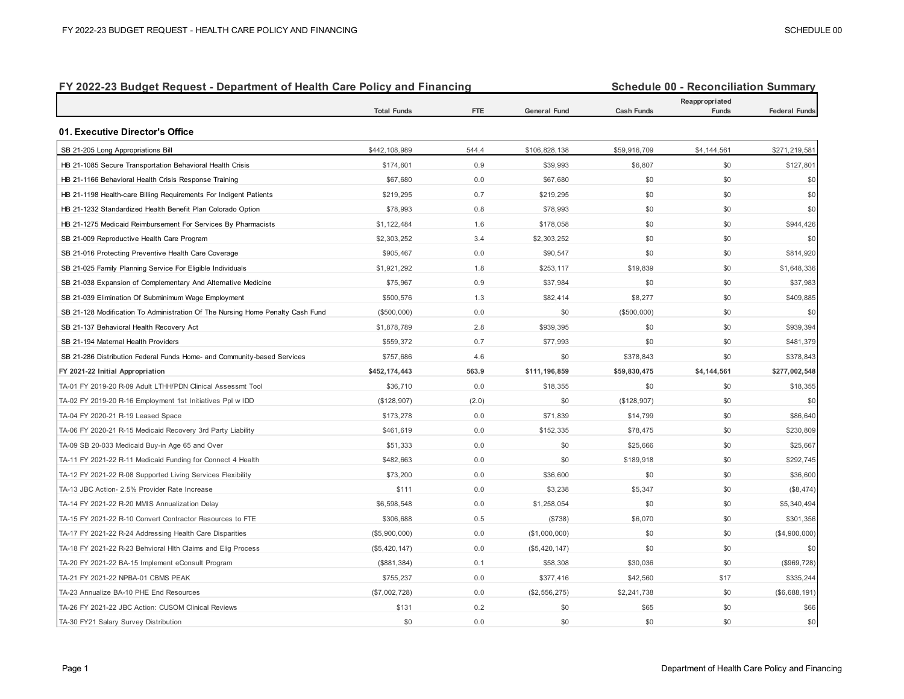| FY 2022-23 Budget Request - Department of Health Care Policy and Financing     |                    |            |                     |                   | <b>Schedule 00 - Reconciliation Summary</b> |                      |  |  |
|--------------------------------------------------------------------------------|--------------------|------------|---------------------|-------------------|---------------------------------------------|----------------------|--|--|
|                                                                                | <b>Total Funds</b> | <b>FTE</b> | <b>General Fund</b> | <b>Cash Funds</b> | Reappropriated<br>Funds                     | <b>Federal Funds</b> |  |  |
| 01. Executive Director's Office                                                |                    |            |                     |                   |                                             |                      |  |  |
| SB 21-205 Long Appropriations Bill                                             | \$442,108,989      | 544.4      | \$106,828,138       | \$59,916,709      | \$4,144,561                                 | \$271,219,581        |  |  |
| HB 21-1085 Secure Transportation Behavioral Health Crisis                      | \$174,601          | 0.9        | \$39,993            | \$6,807           | \$0                                         | \$127,801            |  |  |
| HB 21-1166 Behavioral Health Crisis Response Training                          | \$67,680           | 0.0        | \$67,680            | \$0               | \$0                                         | \$0                  |  |  |
| HB 21-1198 Health-care Billing Requirements For Indigent Patients              | \$219,295          | 0.7        | \$219,295           | \$0               | \$0                                         | \$0                  |  |  |
| HB 21-1232 Standardized Health Benefit Plan Colorado Option                    | \$78,993           | 0.8        | \$78,993            | \$0               | \$0                                         | \$0                  |  |  |
| HB 21-1275 Medicaid Reimbursement For Services By Pharmacists                  | \$1,122,484        | 1.6        | \$178,058           | \$0               | \$0                                         | \$944,426            |  |  |
| SB 21-009 Reproductive Health Care Program                                     | \$2,303,252        | 3.4        | \$2,303,252         | \$0               | \$0                                         | \$0                  |  |  |
| SB 21-016 Protecting Preventive Health Care Coverage                           | \$905,467          | 0.0        | \$90,547            | \$0               | \$0                                         | \$814,920            |  |  |
| SB 21-025 Family Planning Service For Eligible Individuals                     | \$1,921,292        | 1.8        | \$253,117           | \$19,839          | \$0                                         | \$1,648,336          |  |  |
| SB 21-038 Expansion of Complementary And Alternative Medicine                  | \$75,967           | 0.9        | \$37,984            | \$0               | \$0                                         | \$37,983             |  |  |
| SB 21-039 Elimination Of Subminimum Wage Employment                            | \$500,576          | 1.3        | \$82,414            | \$8,277           | \$0                                         | \$409,885            |  |  |
| SB 21-128 Modification To Administration Of The Nursing Home Penalty Cash Fund | (\$500,000)        | 0.0        | \$0                 | (\$500,000)       | \$0                                         | \$0                  |  |  |
| SB 21-137 Behavioral Health Recovery Act                                       | \$1,878,789        | 2.8        | \$939,395           | \$0               | \$0                                         | \$939,394            |  |  |
| SB 21-194 Maternal Health Providers                                            | \$559,372          | 0.7        | \$77,993            | \$0               | \$0                                         | \$481,379            |  |  |
| SB 21-286 Distribution Federal Funds Home- and Community-based Services        | \$757,686          | 4.6        | \$0                 | \$378,843         | \$0                                         | \$378,843            |  |  |
| FY 2021-22 Initial Appropriation                                               | \$452,174,443      | 563.9      | \$111,196,859       | \$59,830,475      | \$4,144,561                                 | \$277,002,548        |  |  |
| TA-01 FY 2019-20 R-09 Adult LTHH/PDN Clinical Assessmt Tool                    | \$36,710           | 0.0        | \$18,355            | \$0               | \$0                                         | \$18,355             |  |  |
| TA-02 FY 2019-20 R-16 Employment 1st Initiatives Ppl w IDD                     | (\$128,907)        | (2.0)      | \$0                 | (\$128,907)       | \$0                                         | \$0                  |  |  |
| TA-04 FY 2020-21 R-19 Leased Space                                             | \$173,278          | 0.0        | \$71,839            | \$14,799          | \$0                                         | \$86,640             |  |  |
| TA-06 FY 2020-21 R-15 Medicaid Recovery 3rd Party Liability                    | \$461,619          | 0.0        | \$152,335           | \$78,475          | \$0                                         | \$230,809            |  |  |
| TA-09 SB 20-033 Medicaid Buy-in Age 65 and Over                                | \$51,333           | 0.0        | \$0                 | \$25,666          | \$0                                         | \$25,667             |  |  |
| TA-11 FY 2021-22 R-11 Medicaid Funding for Connect 4 Health                    | \$482,663          | 0.0        | \$0                 | \$189,918         | \$0                                         | \$292,745            |  |  |
| TA-12 FY 2021-22 R-08 Supported Living Services Flexibility                    | \$73,200           | 0.0        | \$36,600            | \$0               | \$0                                         | \$36,600             |  |  |
| TA-13 JBC Action- 2.5% Provider Rate Increase                                  | \$111              | 0.0        | \$3,238             | \$5,347           | \$0                                         | (\$8,474)            |  |  |
| TA-14 FY 2021-22 R-20 MMIS Annualization Delay                                 | \$6,598,548        | 0.0        | \$1,258,054         | \$0               | \$0                                         | \$5,340,494          |  |  |
| TA-15 FY 2021-22 R-10 Convert Contractor Resources to FTE                      | \$306,688          | 0.5        | (\$738)             | \$6,070           | \$0                                         | \$301,356            |  |  |
| TA-17 FY 2021-22 R-24 Addressing Health Care Disparities                       | (\$5,900,000)      | 0.0        | (\$1,000,000)       | \$0               | \$0                                         | (\$4,900,000)        |  |  |
| TA-18 FY 2021-22 R-23 Behvioral Hlth Claims and Elig Process                   | (\$5,420,147)      | 0.0        | (\$5,420,147)       | \$0               | \$0                                         | \$0                  |  |  |
| TA-20 FY 2021-22 BA-15 Implement eConsult Program                              | (\$881,384)        | 0.1        | \$58,308            | \$30,036          | \$0                                         | (\$969,728)          |  |  |
| TA-21 FY 2021-22 NPBA-01 CBMS PEAK                                             | \$755,237          | 0.0        | \$377,416           | \$42,560          | \$17                                        | \$335,244            |  |  |
| TA-23 Annualize BA-10 PHE End Resources                                        | (\$7,002,728)      | 0.0        | (\$2,556,275)       | \$2,241,738       | \$0                                         | (\$6,688,191)        |  |  |
| TA-26 FY 2021-22 JBC Action: CUSOM Clinical Reviews                            | \$131              | 0.2        | \$0                 | \$65              | \$0                                         | \$66                 |  |  |
| TA-30 FY21 Salary Survey Distribution                                          | \$0                | 0.0        | \$0                 | \$0               | \$0                                         | \$0                  |  |  |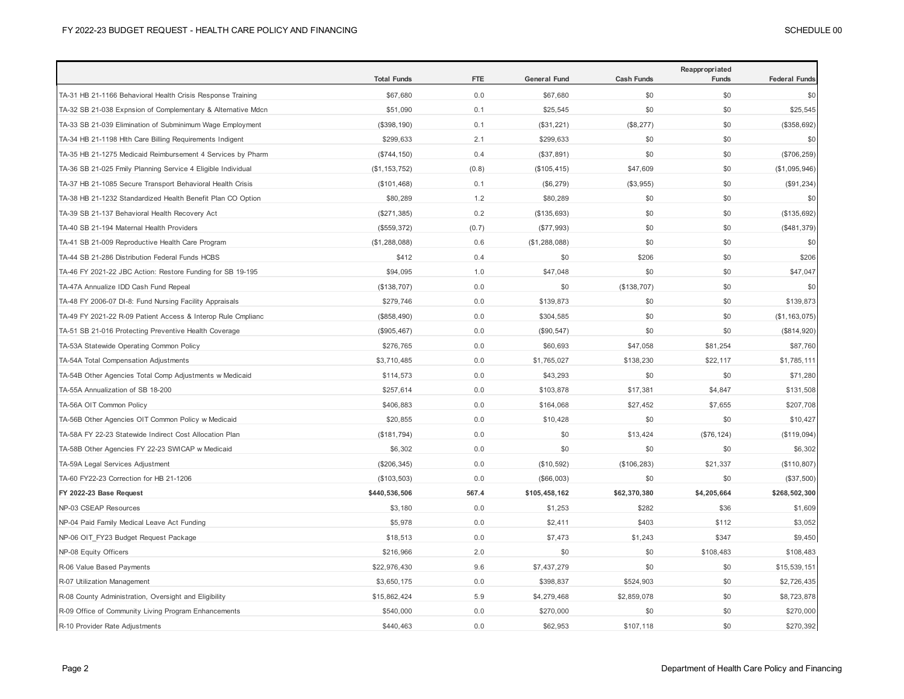|                                                              | <b>Total Funds</b> | <b>FTE</b> | <b>General Fund</b> | <b>Cash Funds</b> | Reappropriated<br>Funds | <b>Federal Funds</b> |
|--------------------------------------------------------------|--------------------|------------|---------------------|-------------------|-------------------------|----------------------|
| TA-31 HB 21-1166 Behavioral Health Crisis Response Training  | \$67,680           | 0.0        | \$67,680            | \$0               | \$0                     | \$0                  |
| TA-32 SB 21-038 Expnsion of Complementary & Alternative Mdcn | \$51,090           | 0.1        | \$25,545            | \$0               | \$0                     | \$25,545             |
| TA-33 SB 21-039 Elimination of Subminimum Wage Employment    | (\$398, 190)       | 0.1        | (\$31,221)          | (\$8,277)         | \$0                     | (\$358,692)          |
| TA-34 HB 21-1198 Hlth Care Billing Requirements Indigent     | \$299,633          | 2.1        | \$299,633           | \$0               | \$0                     | \$0                  |
| TA-35 HB 21-1275 Medicaid Reimbursement 4 Services by Pharm  | (\$744, 150)       | 0.4        | (\$37,891)          | \$0               | \$0                     | $(\$706, 259)$       |
| TA-36 SB 21-025 Fmily Planning Service 4 Eligible Individual | (\$1, 153, 752)    | (0.8)      | (\$105, 415)        | \$47,609          | \$0                     | (\$1,095,946)        |
| TA-37 HB 21-1085 Secure Transport Behavioral Health Crisis   | (\$101,468)        | 0.1        | (\$6,279)           | (\$3,955)         | \$0                     | (\$91,234)           |
| TA-38 HB 21-1232 Standardized Health Benefit Plan CO Option  | \$80,289           | 1.2        | \$80,289            | \$0               | \$0                     | \$0                  |
| TA-39 SB 21-137 Behavioral Health Recovery Act               | (\$271,385)        | 0.2        | (\$135,693)         | \$0               | \$0                     | (\$135,692)          |
| TA-40 SB 21-194 Maternal Health Providers                    | (\$559,372)        | (0.7)      | (\$77,993)          | \$0               | \$0                     | (\$481,379)          |
| TA-41 SB 21-009 Reproductive Health Care Program             | (\$1,288,088)      | 0.6        | (\$1,288,088)       | \$0               | \$0                     | \$0                  |
| TA-44 SB 21-286 Distribution Federal Funds HCBS              | \$412              | 0.4        | \$0                 | \$206             | \$0                     | \$206                |
| TA-46 FY 2021-22 JBC Action: Restore Funding for SB 19-195   | \$94,095           | 1.0        | \$47,048            | \$0               | \$0                     | \$47,047             |
| TA-47A Annualize IDD Cash Fund Repeal                        | (\$138,707)        | 0.0        | \$0                 | (\$138,707)       | \$0                     | \$0                  |
| TA-48 FY 2006-07 DI-8: Fund Nursing Facility Appraisals      | \$279,746          | 0.0        | \$139,873           | \$0               | \$0                     | \$139,873            |
| TA-49 FY 2021-22 R-09 Patient Access & Interop Rule Cmplianc | (\$858,490)        | 0.0        | \$304,585           | \$0               | \$0                     | (\$1, 163, 075)      |
| TA-51 SB 21-016 Protecting Preventive Health Coverage        | (\$905,467)        | 0.0        | (\$90,547)          | \$0               | \$0                     | (\$814,920)          |
| TA-53A Statewide Operating Common Policy                     | \$276,765          | 0.0        | \$60,693            | \$47,058          | \$81,254                | \$87,760             |
| TA-54A Total Compensation Adjustments                        | \$3,710,485        | 0.0        | \$1,765,027         | \$138,230         | \$22,117                | \$1,785,111          |
| TA-54B Other Agencies Total Comp Adjustments w Medicaid      | \$114,573          | 0.0        | \$43,293            | \$0               | \$0                     | \$71,280             |
| TA-55A Annualization of SB 18-200                            | \$257,614          | 0.0        | \$103,878           | \$17,381          | \$4,847                 | \$131,508            |
| TA-56A OIT Common Policy                                     | \$406,883          | 0.0        | \$164,068           | \$27,452          | \$7,655                 | \$207,708            |
| TA-56B Other Agencies OIT Common Policy w Medicaid           | \$20,855           | 0.0        | \$10,428            | \$0               | \$0                     | \$10,427             |
| TA-58A FY 22-23 Statewide Indirect Cost Allocation Plan      | (\$181,794)        | 0.0        | \$0                 | \$13,424          | (\$76, 124)             | (\$119,094)          |
| TA-58B Other Agencies FY 22-23 SWICAP w Medicaid             | \$6,302            | 0.0        | \$0                 | \$0               | \$0                     | \$6,302              |
| TA-59A Legal Services Adjustment                             | (\$206,345)        | 0.0        | (\$10,592)          | (\$106, 283)      | \$21,337                | (\$110,807)          |
| TA-60 FY22-23 Correction for HB 21-1206                      | (\$103,503)        | 0.0        | (\$66,003)          | \$0               | \$0                     | (\$37,500)           |
| FY 2022-23 Base Request                                      | \$440,536,506      | 567.4      | \$105,458,162       | \$62,370,380      | \$4,205,664             | \$268,502,300        |
| NP-03 CSEAP Resources                                        | \$3,180            | 0.0        | \$1,253             | \$282             | \$36                    | \$1,609              |
| NP-04 Paid Family Medical Leave Act Funding                  | \$5,978            | 0.0        | \$2,411             | \$403             | \$112                   | \$3,052              |
| NP-06 OIT FY23 Budget Request Package                        | \$18,513           | 0.0        | \$7,473             | \$1,243           | \$347                   | \$9,450              |
| NP-08 Equity Officers                                        | \$216,966          | 2.0        | \$0                 | \$0               | \$108,483               | \$108,483            |
| R-06 Value Based Payments                                    | \$22,976,430       | 9.6        | \$7,437,279         | \$0               | \$0                     | \$15,539,151         |
| R-07 Utilization Management                                  | \$3,650,175        | 0.0        | \$398,837           | \$524,903         | \$0                     | \$2,726,435          |
| R-08 County Administration, Oversight and Eligibility        | \$15,862,424       | 5.9        | \$4,279,468         | \$2,859,078       | \$0                     | \$8,723,878          |
| R-09 Office of Community Living Program Enhancements         | \$540,000          | 0.0        | \$270,000           | \$0               | \$0                     | \$270,000            |
| R-10 Provider Rate Adjustments                               | \$440,463          | 0.0        | \$62,953            | \$107,118         | \$0                     | \$270,392            |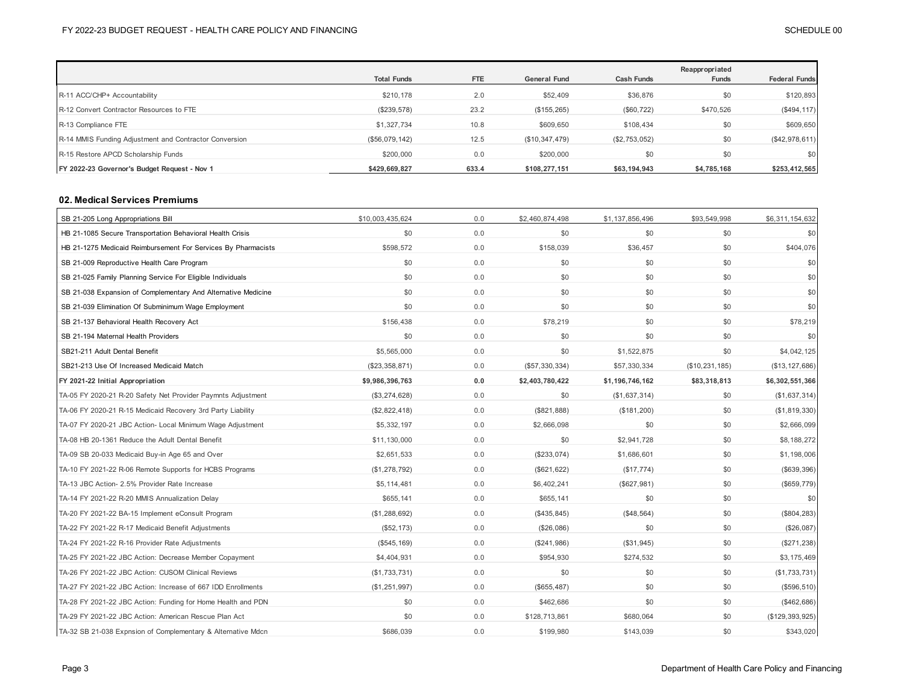|                                                        | <b>Total Funds</b> | <b>FTE</b> | <b>General Fund</b> | <b>Cash Funds</b> | Reappropriated<br>Funds | <b>Federal Funds</b> |
|--------------------------------------------------------|--------------------|------------|---------------------|-------------------|-------------------------|----------------------|
| R-11 ACC/CHP+ Accountability                           | \$210,178          | 2.0        | \$52,409            | \$36,876          | \$0                     | \$120,893            |
| R-12 Convert Contractor Resources to FTE               | (\$239,578)        | 23.2       | (\$155, 265)        | (\$60, 722)       | \$470,526               | (\$494, 117)         |
| R-13 Compliance FTE                                    | \$1,327,734        | 10.8       | \$609,650           | \$108,434         | \$0                     | \$609,650            |
| R-14 MMIS Funding Adjustment and Contractor Conversion | (\$56,079,142)     | 12.5       | (\$10,347,479)      | (\$2,753,052)     | \$0                     | (\$42,978,611)       |
| R-15 Restore APCD Scholarship Funds                    | \$200,000          | 0.0        | \$200,000           | \$0               | \$0                     | \$0                  |
| FY 2022-23 Governor's Budget Request - Nov 1           | \$429.669.827      | 633.4      | \$108,277,151       | \$63,194,943      | \$4,785,168             | \$253,412,565        |

### **02. Medical Services Premiums**

| SB 21-205 Long Appropriations Bill                            | \$10,003,435,624 | 0.0 | \$2,460,874,498 | \$1,137,856,496 | \$93,549,998   | \$6,311,154,632   |
|---------------------------------------------------------------|------------------|-----|-----------------|-----------------|----------------|-------------------|
| HB 21-1085 Secure Transportation Behavioral Health Crisis     | \$0              | 0.0 | \$0             | \$0             | \$0            | \$0               |
| HB 21-1275 Medicaid Reimbursement For Services By Pharmacists | \$598,572        | 0.0 | \$158,039       | \$36,457        | \$0            | \$404,076         |
| SB 21-009 Reproductive Health Care Program                    | \$0              | 0.0 | \$0             | \$0             | \$0            | \$0               |
| SB 21-025 Family Planning Service For Eligible Individuals    | \$0              | 0.0 | \$0             | \$0             | \$0            | \$0               |
| SB 21-038 Expansion of Complementary And Alternative Medicine | \$0              | 0.0 | \$0             | \$0             | \$0            | \$0               |
| SB 21-039 Elimination Of Subminimum Wage Employment           | \$0              | 0.0 | \$0             | \$0             | \$0            | \$0               |
| SB 21-137 Behavioral Health Recovery Act                      | \$156,438        | 0.0 | \$78,219        | \$0             | \$0            | \$78,219          |
| SB 21-194 Maternal Health Providers                           | \$0              | 0.0 | \$0             | \$0             | \$0            | \$0               |
| SB21-211 Adult Dental Benefit                                 | \$5,565,000      | 0.0 | \$0             | \$1,522,875     | \$0            | \$4,042,125       |
| SB21-213 Use Of Increased Medicaid Match                      | (\$23,358,871)   | 0.0 | (\$57,330,334)  | \$57,330,334    | (\$10,231,185) | (\$13, 127, 686)  |
| FY 2021-22 Initial Appropriation                              | \$9,986,396,763  | 0.0 | \$2,403,780,422 | \$1,196,746,162 | \$83,318,813   | \$6,302,551,366   |
| TA-05 FY 2020-21 R-20 Safety Net Provider Paymnts Adjustment  | (\$3,274,628)    | 0.0 | \$0             | (\$1,637,314)   | \$0            | (\$1,637,314)     |
| TA-06 FY 2020-21 R-15 Medicaid Recovery 3rd Party Liability   | (\$2,822,418)    | 0.0 | (\$821,888)     | (\$181,200)     | \$0            | (\$1,819,330)     |
| TA-07 FY 2020-21 JBC Action- Local Minimum Wage Adjustment    | \$5,332,197      | 0.0 | \$2,666,098     | \$0             | \$0            | \$2,666,099       |
| TA-08 HB 20-1361 Reduce the Adult Dental Benefit              | \$11,130,000     | 0.0 | \$0             | \$2,941,728     | \$0            | \$8,188,272       |
| TA-09 SB 20-033 Medicaid Buy-in Age 65 and Over               | \$2,651,533      | 0.0 | (\$233,074)     | \$1,686,601     | \$0            | \$1,198,006       |
| TA-10 FY 2021-22 R-06 Remote Supports for HCBS Programs       | (\$1,278,792)    | 0.0 | (\$621, 622)    | (\$17,774)      | \$0            | (\$639,396)       |
| TA-13 JBC Action- 2.5% Provider Rate Increase                 | \$5,114,481      | 0.0 | \$6,402,241     | (\$627,981)     | \$0            | (\$659, 779)      |
| TA-14 FY 2021-22 R-20 MMIS Annualization Delay                | \$655,141        | 0.0 | \$655,141       | \$0             | \$0            | \$0               |
| TA-20 FY 2021-22 BA-15 Implement eConsult Program             | (\$1,288,692)    | 0.0 | (\$435, 845)    | (\$48,564)      | \$0            | (\$804, 283)      |
| TA-22 FY 2021-22 R-17 Medicaid Benefit Adjustments            | (\$52, 173)      | 0.0 | (\$26,086)      | \$0             | \$0            | (\$26,087)        |
| TA-24 FY 2021-22 R-16 Provider Rate Adjustments               | (\$545, 169)     | 0.0 | (\$241,986)     | (\$31,945)      | \$0            | (\$271,238)       |
| TA-25 FY 2021-22 JBC Action: Decrease Member Copayment        | \$4,404,931      | 0.0 | \$954,930       | \$274,532       | \$0            | \$3,175,469       |
| TA-26 FY 2021-22 JBC Action: CUSOM Clinical Reviews           | (\$1,733,731)    | 0.0 | \$0             | \$0             | \$0            | (\$1,733,731)     |
| TA-27 FY 2021-22 JBC Action: Increase of 667 IDD Enrollments  | (\$1,251,997)    | 0.0 | (\$655,487)     | \$0             | \$0            | (\$596,510)       |
| TA-28 FY 2021-22 JBC Action: Funding for Home Health and PDN  | \$0              | 0.0 | \$462,686       | \$0             | \$0            | (\$462,686)       |
| TA-29 FY 2021-22 JBC Action: American Rescue Plan Act         | \$0              | 0.0 | \$128,713,861   | \$680,064       | \$0            | (\$129, 393, 925) |
| TA-32 SB 21-038 Expnsion of Complementary & Alternative Mdcn  | \$686,039        | 0.0 | \$199,980       | \$143,039       | \$0            | \$343,020         |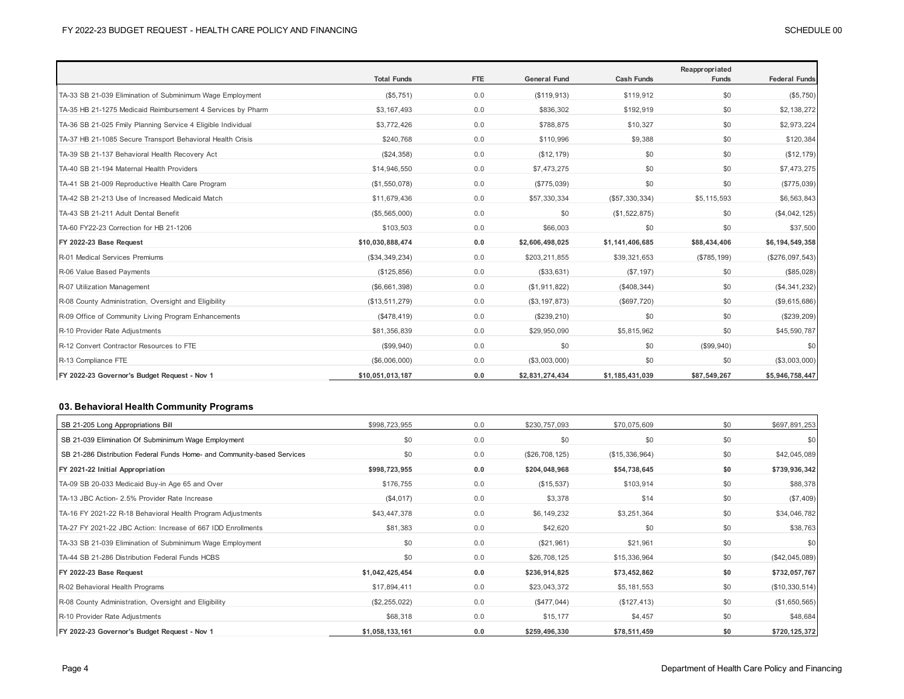|                                                              |                    |     |                     |                   | Reappropriated |                      |
|--------------------------------------------------------------|--------------------|-----|---------------------|-------------------|----------------|----------------------|
|                                                              | <b>Total Funds</b> | FTE | <b>General Fund</b> | <b>Cash Funds</b> | <b>Funds</b>   | <b>Federal Funds</b> |
| TA-33 SB 21-039 Elimination of Subminimum Wage Employment    | (\$5,751)          | 0.0 | (\$119,913)         | \$119,912         | \$0            | (\$5,750)            |
| TA-35 HB 21-1275 Medicaid Reimbursement 4 Services by Pharm  | \$3,167,493        | 0.0 | \$836,302           | \$192,919         | \$0            | \$2,138,272          |
| TA-36 SB 21-025 Fmily Planning Service 4 Eligible Individual | \$3,772,426        | 0.0 | \$788,875           | \$10,327          | \$0            | \$2,973,224          |
| TA-37 HB 21-1085 Secure Transport Behavioral Health Crisis   | \$240,768          | 0.0 | \$110,996           | \$9,388           | \$0            | \$120,384            |
| TA-39 SB 21-137 Behavioral Health Recovery Act               | (\$24,358)         | 0.0 | (\$12, 179)         | \$0               | \$0            | (\$12, 179)          |
| TA-40 SB 21-194 Maternal Health Providers                    | \$14,946,550       | 0.0 | \$7,473,275         | \$0               | \$0            | \$7,473,275          |
| TA-41 SB 21-009 Reproductive Health Care Program             | (\$1,550,078)      | 0.0 | (\$775,039)         | \$0               | \$0            | $(\$775,039)$        |
| TA-42 SB 21-213 Use of Increased Medicaid Match              | \$11,679,436       | 0.0 | \$57,330,334        | (\$57,330,334)    | \$5,115,593    | \$6,563,843          |
| TA-43 SB 21-211 Adult Dental Benefit                         | (\$5,565,000)      | 0.0 | \$0                 | (\$1,522,875)     | \$0            | (\$4,042,125)        |
| TA-60 FY22-23 Correction for HB 21-1206                      | \$103,503          | 0.0 | \$66,003            | \$0               | \$0            | \$37,500             |
| FY 2022-23 Base Request                                      | \$10,030,888,474   | 0.0 | \$2,606,498,025     | \$1,141,406,685   | \$88,434,406   | \$6,194,549,358      |
| R-01 Medical Services Premiums                               | (\$34,349,234)     | 0.0 | \$203,211,855       | \$39,321,653      | (\$785, 199)   | $(\$276,097,543)$    |
| R-06 Value Based Payments                                    | (\$125,856)        | 0.0 | (\$33,631)          | (S7, 197)         | \$0            | (\$85,028)           |
| R-07 Utilization Management                                  | ( \$6,661,398)     | 0.0 | (\$1,911,822)       | (\$408,344)       | \$0            | (\$4,341,232)        |
| R-08 County Administration, Oversight and Eligibility        | (\$13,511,279)     | 0.0 | (\$3, 197, 873)     | (\$697,720)       | \$0            | (\$9,615,686)        |
| R-09 Office of Community Living Program Enhancements         | (\$478,419)        | 0.0 | (\$239,210)         | \$0               | \$0            | $(\$239,209)$        |
| R-10 Provider Rate Adjustments                               | \$81,356,839       | 0.0 | \$29,950,090        | \$5,815,962       | \$0            | \$45,590,787         |
| R-12 Convert Contractor Resources to FTE                     | (\$99,940)         | 0.0 | \$0                 | \$0               | (\$99,940)     | \$0                  |
| R-13 Compliance FTE                                          | (\$6,006,000)      | 0.0 | (\$3,003,000)       | \$0               | \$0            | (\$3,003,000)        |
| FY 2022-23 Governor's Budget Request - Nov 1                 | \$10,051,013,187   | 0.0 | \$2,831,274,434     | \$1,185,431,039   | \$87,549,267   | \$5,946,758,447      |

## **03. Behavioral Health Community Programs**

| SB 21-205 Long Appropriations Bill                                      | \$998,723,955   | 0.0 | \$230,757,093  | \$70,075,609   | \$0 | \$697,891,253  |
|-------------------------------------------------------------------------|-----------------|-----|----------------|----------------|-----|----------------|
| SB 21-039 Elimination Of Subminimum Wage Employment                     | \$0             | 0.0 | \$0            | \$0            | \$0 | \$0            |
| SB 21-286 Distribution Federal Funds Home- and Community-based Services | \$0             | 0.0 | (\$26,708,125) | (\$15,336,964) | \$0 | \$42,045,089   |
| FY 2021-22 Initial Appropriation                                        | \$998,723,955   | 0.0 | \$204,048,968  | \$54,738,645   | \$0 | \$739,936,342  |
| TA-09 SB 20-033 Medicaid Buy-in Age 65 and Over                         | \$176,755       | 0.0 | (\$15,537)     | \$103,914      | \$0 | \$88,378       |
| TA-13 JBC Action- 2.5% Provider Rate Increase                           | (\$4,017)       | 0.0 | \$3,378        | \$14           | \$0 | (\$7,409)      |
| TA-16 FY 2021-22 R-18 Behavioral Health Program Adjustments             | \$43,447,378    | 0.0 | \$6,149,232    | \$3,251,364    | \$0 | \$34,046,782   |
| TA-27 FY 2021-22 JBC Action: Increase of 667 IDD Enrollments            | \$81,383        | 0.0 | \$42,620       | \$0            | \$0 | \$38,763       |
| TA-33 SB 21-039 Elimination of Subminimum Wage Employment               | \$0             | 0.0 | (\$21,961)     | \$21,961       | \$0 | \$0            |
| TA-44 SB 21-286 Distribution Federal Funds HCBS                         | \$0             | 0.0 | \$26,708,125   | \$15,336,964   | \$0 | (\$42,045,089) |
| FY 2022-23 Base Request                                                 | \$1,042,425,454 | 0.0 | \$236,914,825  | \$73,452,862   | \$0 | \$732,057,767  |
| R-02 Behavioral Health Programs                                         | \$17,894,411    | 0.0 | \$23,043,372   | \$5,181,553    | \$0 | (\$10,330,514) |
| R-08 County Administration, Oversight and Eligibility                   | (\$2,255,022)   | 0.0 | $(\$477,044)$  | (\$127, 413)   | \$0 | (\$1,650,565)  |
| R-10 Provider Rate Adjustments                                          | \$68,318        | 0.0 | \$15,177       | \$4,457        | \$0 | \$48,684       |
| FY 2022-23 Governor's Budget Request - Nov 1                            | \$1,058,133,161 | 0.0 | \$259,496,330  | \$78,511,459   | \$0 | \$720,125,372  |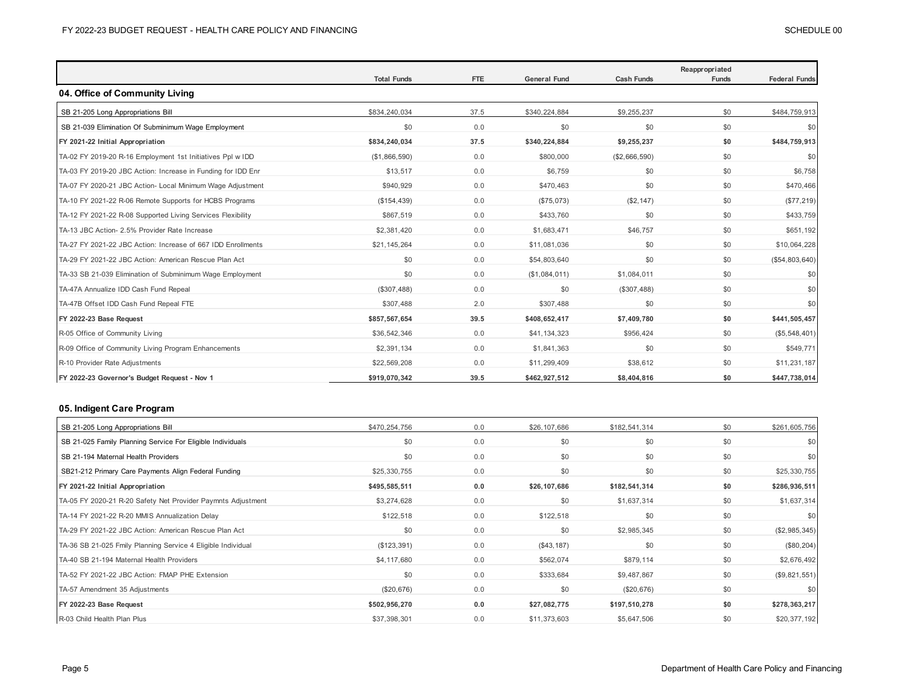|                                                              | <b>Total Funds</b> | <b>FTE</b> | <b>General Fund</b> | <b>Cash Funds</b> | Reappropriated<br><b>Funds</b> | <b>Federal Funds</b> |
|--------------------------------------------------------------|--------------------|------------|---------------------|-------------------|--------------------------------|----------------------|
| 04. Office of Community Living                               |                    |            |                     |                   |                                |                      |
| SB 21-205 Long Appropriations Bill                           | \$834,240,034      | 37.5       | \$340,224,884       | \$9,255,237       | \$0                            | \$484,759,913        |
| SB 21-039 Elimination Of Subminimum Wage Employment          | \$0                | 0.0        | \$0                 | \$0               | \$0                            | \$0                  |
| FY 2021-22 Initial Appropriation                             | \$834,240,034      | 37.5       | \$340,224,884       | \$9,255,237       | \$0                            | \$484,759,913        |
| TA-02 FY 2019-20 R-16 Employment 1st Initiatives Ppl w IDD   | (\$1,866,590)      | 0.0        | \$800,000           | (\$2,666,590)     | \$0                            | \$0                  |
| TA-03 FY 2019-20 JBC Action: Increase in Funding for IDD Enr | \$13,517           | 0.0        | \$6,759             | \$0               | \$0                            | \$6,758              |
| TA-07 FY 2020-21 JBC Action- Local Minimum Wage Adjustment   | \$940,929          | 0.0        | \$470,463           | \$0               | \$0                            | \$470,466            |
| TA-10 FY 2021-22 R-06 Remote Supports for HCBS Programs      | (\$154,439)        | 0.0        | (\$75,073)          | (\$2,147)         | \$0                            | (\$77,219)           |
| TA-12 FY 2021-22 R-08 Supported Living Services Flexibility  | \$867,519          | 0.0        | \$433,760           | \$0               | \$0                            | \$433,759            |
| TA-13 JBC Action- 2.5% Provider Rate Increase                | \$2,381,420        | 0.0        | \$1,683,471         | \$46,757          | \$0                            | \$651,192            |
| TA-27 FY 2021-22 JBC Action: Increase of 667 IDD Enrollments | \$21,145,264       | 0.0        | \$11,081,036        | \$0               | \$0                            | \$10,064,228         |
| TA-29 FY 2021-22 JBC Action: American Rescue Plan Act        | \$0                | 0.0        | \$54,803,640        | \$0               | \$0                            | (\$54,803,640)       |
| TA-33 SB 21-039 Elimination of Subminimum Wage Employment    | \$0                | 0.0        | (\$1,084,011)       | \$1,084,011       | \$0                            | \$0                  |
| TA-47A Annualize IDD Cash Fund Repeal                        | (\$307,488)        | 0.0        | \$0                 | (\$307,488)       | \$0                            | \$0                  |
| TA-47B Offset IDD Cash Fund Repeal FTE                       | \$307,488          | 2.0        | \$307,488           | \$0               | \$0                            | \$0                  |
| FY 2022-23 Base Request                                      | \$857,567,654      | 39.5       | \$408,652,417       | \$7,409,780       | \$0                            | \$441,505,457        |
| R-05 Office of Community Living                              | \$36,542,346       | 0.0        | \$41,134,323        | \$956,424         | \$0                            | (\$5,548,401)        |
| R-09 Office of Community Living Program Enhancements         | \$2,391,134        | 0.0        | \$1,841,363         | \$0               | \$0                            | \$549,771            |
| R-10 Provider Rate Adjustments                               | \$22,569,208       | 0.0        | \$11,299,409        | \$38,612          | \$0                            | \$11,231,187         |
| FY 2022-23 Governor's Budget Request - Nov 1                 | \$919,070,342      | 39.5       | \$462,927,512       | \$8,404,816       | \$0                            | \$447,738,014        |

## **05. Indigent Care Program**

| SB 21-205 Long Appropriations Bill                           | \$470,254,756 | 0.0 | \$26,107,686 | \$182,541,314 | \$0 | \$261,605,756 |
|--------------------------------------------------------------|---------------|-----|--------------|---------------|-----|---------------|
| SB 21-025 Family Planning Service For Eligible Individuals   | \$0           | 0.0 | \$0          | \$0           | \$0 | \$0           |
| SB 21-194 Maternal Health Providers                          | \$0           | 0.0 | \$0          | \$0           | \$0 | \$0           |
| SB21-212 Primary Care Payments Align Federal Funding         | \$25,330,755  | 0.0 | \$0          | \$0           | \$0 | \$25,330,755  |
| FY 2021-22 Initial Appropriation                             | \$495,585,511 | 0.0 | \$26,107,686 | \$182,541,314 | \$0 | \$286,936,511 |
| TA-05 FY 2020-21 R-20 Safety Net Provider Paymnts Adjustment | \$3,274,628   | 0.0 | \$0          | \$1,637,314   | \$0 | \$1,637,314   |
| TA-14 FY 2021-22 R-20 MMIS Annualization Delay               | \$122,518     | 0.0 | \$122,518    | \$0           | \$0 | \$0           |
| TA-29 FY 2021-22 JBC Action: American Rescue Plan Act        | \$0           | 0.0 | \$0          | \$2,985,345   | \$0 | (\$2,985,345) |
| TA-36 SB 21-025 Fmily Planning Service 4 Eligible Individual | (\$123,391)   | 0.0 | (\$43,187)   | \$0           | \$0 | $(\$80, 204)$ |
| TA-40 SB 21-194 Maternal Health Providers                    | \$4,117,680   | 0.0 | \$562,074    | \$879,114     | \$0 | \$2,676,492   |
| TA-52 FY 2021-22 JBC Action: FMAP PHE Extension              | \$0           | 0.0 | \$333,684    | \$9,487,867   | \$0 | (\$9,821,551) |
| TA-57 Amendment 35 Adjustments                               | (\$20,676)    | 0.0 | \$0          | (\$20,676)    | \$0 | \$0           |
| FY 2022-23 Base Request                                      | \$502,956,270 | 0.0 | \$27,082,775 | \$197,510,278 | \$0 | \$278,363,217 |
| R-03 Child Health Plan Plus                                  | \$37,398,301  | 0.0 | \$11,373,603 | \$5,647,506   | \$0 | \$20,377,192  |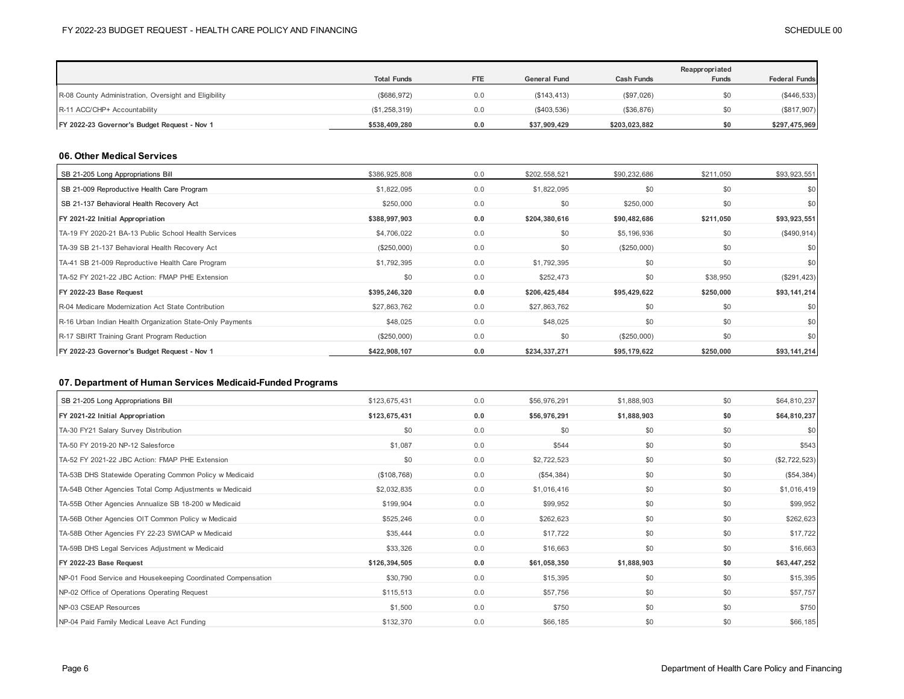|                                                       |                    |            |                     |                   | Reappropriated |                      |
|-------------------------------------------------------|--------------------|------------|---------------------|-------------------|----------------|----------------------|
|                                                       | <b>Total Funds</b> | <b>FTE</b> | <b>General Fund</b> | <b>Cash Funds</b> | <b>Funds</b>   | <b>Federal Funds</b> |
| R-08 County Administration, Oversight and Eligibility | (\$686,972)        | 0.0        | (\$143, 413)        | (\$97,026)        |                | (\$446,533)          |
| R-11 ACC/CHP+ Accountability                          | (\$1,258,319)      | 0.0        | $(\$403,536)$       | (\$36,876)        |                | (\$817,907)          |
| FY 2022-23 Governor's Budget Request - Nov 1          | \$538,409,280      | 0.0        | \$37,909,429        | \$203,023,882     |                | \$297,475,969        |

#### **06. Other Medical Services**

| SB 21-205 Long Appropriations Bill                        | \$386,925,808 | 0.0 | \$202,558,521 | \$90,232,686 | \$211,050 | \$93,923,551  |
|-----------------------------------------------------------|---------------|-----|---------------|--------------|-----------|---------------|
| SB 21-009 Reproductive Health Care Program                | \$1,822,095   | 0.0 | \$1,822,095   | \$0          | \$0       | \$0           |
| SB 21-137 Behavioral Health Recovery Act                  | \$250,000     | 0.0 | \$0           | \$250,000    | \$0       | \$0           |
| FY 2021-22 Initial Appropriation                          | \$388,997,903 | 0.0 | \$204,380,616 | \$90,482,686 | \$211,050 | \$93,923,551  |
| TA-19 FY 2020-21 BA-13 Public School Health Services      | \$4,706,022   | 0.0 | \$0           | \$5,196,936  | \$0       | (\$490,914)   |
| TA-39 SB 21-137 Behavioral Health Recovery Act            | (\$250,000)   | 0.0 | \$0           | (\$250,000)  | \$0       | <b>\$0</b>    |
| TA-41 SB 21-009 Reproductive Health Care Program          | \$1,792,395   | 0.0 | \$1,792,395   | \$0          | \$0       | \$0           |
| TA-52 FY 2021-22 JBC Action: FMAP PHE Extension           | \$0           | 0.0 | \$252,473     | \$0          | \$38,950  | $(\$291,423)$ |
| FY 2022-23 Base Request                                   | \$395,246,320 | 0.0 | \$206,425,484 | \$95,429,622 | \$250,000 | \$93,141,214  |
| R-04 Medicare Modernization Act State Contribution        | \$27,863,762  | 0.0 | \$27,863,762  | \$0          | \$0       | <b>\$0</b>    |
| R-16 Urban Indian Health Organization State-Only Payments | \$48,025      | 0.0 | \$48,025      | \$0          | \$0       | \$0           |
| R-17 SBIRT Training Grant Program Reduction               | (\$250,000)   | 0.0 | \$0           | (\$250,000)  | \$0       | \$0           |
| FY 2022-23 Governor's Budget Request - Nov 1              | \$422,908,107 | 0.0 | \$234,337,271 | \$95,179,622 | \$250,000 | \$93,141,214  |

## **07. Department of Human Services Medicaid-Funded Programs**

| \$123,675,431 | 0.0 | \$56,976,291 | \$1,888,903 | \$0 | \$64,810,237  |
|---------------|-----|--------------|-------------|-----|---------------|
| \$123,675,431 | 0.0 | \$56,976,291 | \$1,888,903 | \$0 | \$64,810,237  |
| \$0           | 0.0 | \$0          | \$0         | \$0 | \$0           |
| \$1,087       | 0.0 | \$544        | \$0         | \$0 | \$543         |
| \$0           | 0.0 | \$2,722,523  | \$0         | \$0 | (\$2,722,523) |
| (\$108,768)   | 0.0 | (\$54,384)   | \$0         | \$0 | (\$54,384)    |
| \$2,032,835   | 0.0 | \$1,016,416  | \$0         | \$0 | \$1,016,419   |
| \$199,904     | 0.0 | \$99,952     | \$0         | \$0 | \$99,952      |
| \$525,246     | 0.0 | \$262,623    | \$0         | \$0 | \$262,623     |
| \$35,444      | 0.0 | \$17,722     | \$0         | \$0 | \$17,722      |
| \$33,326      | 0.0 | \$16,663     | \$0         | \$0 | \$16,663      |
| \$126,394,505 | 0.0 | \$61,058,350 | \$1,888,903 | \$0 | \$63,447,252  |
| \$30,790      | 0.0 | \$15,395     | \$0         | \$0 | \$15,395      |
| \$115,513     | 0.0 | \$57,756     | \$0         | \$0 | \$57,757      |
| \$1,500       | 0.0 | \$750        | \$0         | \$0 | \$750         |
| \$132,370     | 0.0 | \$66,185     | \$0         | \$0 | \$66,185      |
|               |     |              |             |     |               |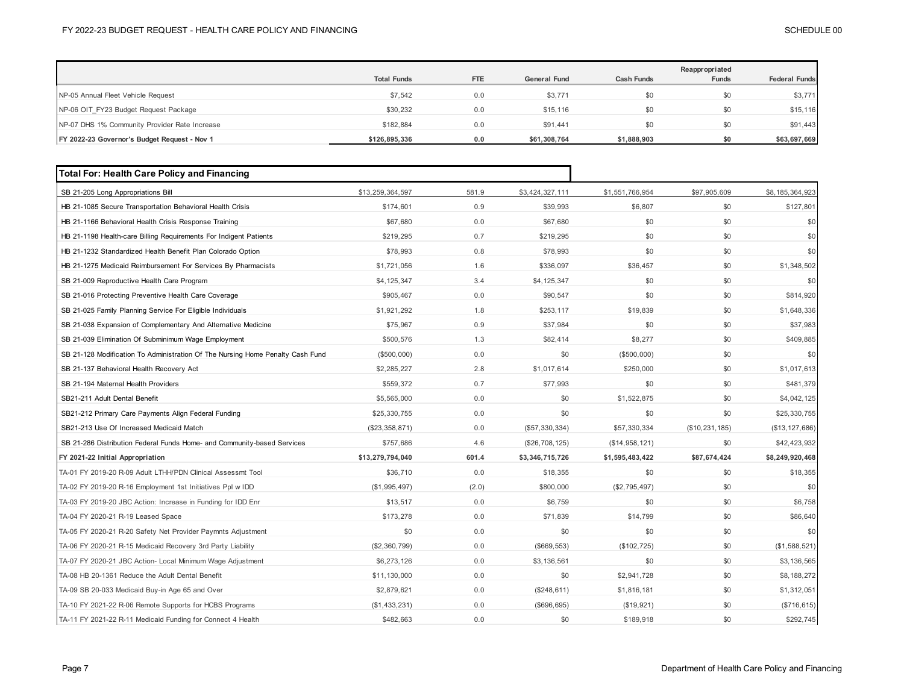|                                               |                    |            |                     |                   | Reappropriated |                      |
|-----------------------------------------------|--------------------|------------|---------------------|-------------------|----------------|----------------------|
|                                               | <b>Total Funds</b> | <b>FTE</b> | <b>General Fund</b> | <b>Cash Funds</b> | <b>Funds</b>   | <b>Federal Funds</b> |
| NP-05 Annual Fleet Vehicle Request            | \$7,542            | 0.0        | \$3,771             | \$0               | \$0            | \$3,771              |
| NP-06 OIT FY23 Budget Request Package         | \$30,232           | 0.0        | \$15,116            | \$0               | \$0            | \$15,116             |
| NP-07 DHS 1% Community Provider Rate Increase | \$182.884          | 0.0        | \$91.441            | \$0               | \$0            | \$91,443             |
| FY 2022-23 Governor's Budget Request - Nov 1  | \$126,895,336      | 0.0        | \$61,308,764        | \$1,888,903       | \$0            | \$63,697,669         |

| <b>Total For: Health Care Policy and Financing</b>                             |                  |       |                 |                 |                |                  |
|--------------------------------------------------------------------------------|------------------|-------|-----------------|-----------------|----------------|------------------|
| SB 21-205 Long Appropriations Bill                                             | \$13,259,364,597 | 581.9 | \$3,424,327,111 | \$1,551,766,954 | \$97,905,609   | \$8,185,364,923  |
| HB 21-1085 Secure Transportation Behavioral Health Crisis                      | \$174,601        | 0.9   | \$39,993        | \$6,807         | \$0            | \$127,801        |
| HB 21-1166 Behavioral Health Crisis Response Training                          | \$67,680         | 0.0   | \$67,680        | \$0             | \$0            | \$0              |
| HB 21-1198 Health-care Billing Requirements For Indigent Patients              | \$219.295        | 0.7   | \$219.295       | \$0             | \$0            | \$0              |
| HB 21-1232 Standardized Health Benefit Plan Colorado Option                    | \$78,993         | 0.8   | \$78,993        | \$0             | \$0            | \$0              |
| HB 21-1275 Medicaid Reimbursement For Services By Pharmacists                  | \$1,721,056      | 1.6   | \$336,097       | \$36,457        | \$0            | \$1,348,502      |
| SB 21-009 Reproductive Health Care Program                                     | \$4,125,347      | 3.4   | \$4,125,347     | \$0             | \$0            | \$0              |
| SB 21-016 Protecting Preventive Health Care Coverage                           | \$905,467        | 0.0   | \$90,547        | \$0             | \$0            | \$814,920        |
| SB 21-025 Family Planning Service For Eligible Individuals                     | \$1,921,292      | 1.8   | \$253,117       | \$19,839        | \$0            | \$1,648,336      |
| SB 21-038 Expansion of Complementary And Alternative Medicine                  | \$75,967         | 0.9   | \$37,984        | \$0             | \$0            | \$37,983         |
| SB 21-039 Elimination Of Subminimum Wage Employment                            | \$500,576        | 1.3   | \$82,414        | \$8,277         | \$0            | \$409,885        |
| SB 21-128 Modification To Administration Of The Nursing Home Penalty Cash Fund | (\$500,000)      | 0.0   | \$0             | (\$500,000)     | \$0            | \$0              |
| SB 21-137 Behavioral Health Recovery Act                                       | \$2.285.227      | 2.8   | \$1,017,614     | \$250,000       | \$0            | \$1,017,613      |
| SB 21-194 Maternal Health Providers                                            | \$559,372        | 0.7   | \$77,993        | \$0             | \$0            | \$481,379        |
| SB21-211 Adult Dental Benefit                                                  | \$5,565,000      | 0.0   | \$0             | \$1,522,875     | \$0            | \$4,042,125      |
| SB21-212 Primary Care Payments Align Federal Funding                           | \$25,330,755     | 0.0   | \$0             | \$0             | \$0            | \$25,330,755     |
| SB21-213 Use Of Increased Medicaid Match                                       | (\$23,358,871)   | 0.0   | (\$57,330,334)  | \$57,330,334    | (\$10,231,185) | (\$13, 127, 686) |
| SB 21-286 Distribution Federal Funds Home- and Community-based Services        | \$757,686        | 4.6   | (\$26,708,125)  | (\$14,958,121)  | \$0            | \$42,423,932     |
| FY 2021-22 Initial Appropriation                                               | \$13,279,794,040 | 601.4 | \$3,346,715,726 | \$1,595,483,422 | \$87,674,424   | \$8,249,920,468  |
| TA-01 FY 2019-20 R-09 Adult LTHH/PDN Clinical Assessmt Tool                    | \$36,710         | 0.0   | \$18,355        | \$0             | \$0            | \$18,355         |
| TA-02 FY 2019-20 R-16 Employment 1st Initiatives Ppl w IDD                     | (\$1,995,497)    | (2.0) | \$800,000       | (\$2,795,497)   | \$0            | \$0              |
| TA-03 FY 2019-20 JBC Action: Increase in Funding for IDD Enr                   | \$13,517         | 0.0   | \$6,759         | \$0             | \$0            | \$6,758          |
| TA-04 FY 2020-21 R-19 Leased Space                                             | \$173,278        | 0.0   | \$71,839        | \$14,799        | \$0            | \$86,640         |
| TA-05 FY 2020-21 R-20 Safety Net Provider Paymnts Adjustment                   | \$0              | 0.0   | \$0             | \$0             | \$0            | \$0              |
| TA-06 FY 2020-21 R-15 Medicaid Recovery 3rd Party Liability                    | (\$2,360,799)    | 0.0   | (\$669, 553)    | (\$102, 725)    | \$0            | (\$1,588,521)    |
| TA-07 FY 2020-21 JBC Action- Local Minimum Wage Adjustment                     | \$6,273,126      | 0.0   | \$3,136,561     | \$0             | \$0            | \$3,136,565      |
| TA-08 HB 20-1361 Reduce the Adult Dental Benefit                               | \$11,130,000     | 0.0   | \$0             | \$2,941,728     | \$0            | \$8,188,272      |
| TA-09 SB 20-033 Medicaid Buy-in Age 65 and Over                                | \$2,879,621      | 0.0   | (\$248,611)     | \$1,816,181     | \$0            | \$1,312,051      |
| TA-10 FY 2021-22 R-06 Remote Supports for HCBS Programs                        | (\$1,433,231)    | 0.0   | (\$696, 695)    | (\$19,921)      | \$0            | (\$716, 615)     |
| TA-11 FY 2021-22 R-11 Medicaid Funding for Connect 4 Health                    | \$482,663        | 0.0   | \$0             | \$189,918       | \$0            | \$292,745        |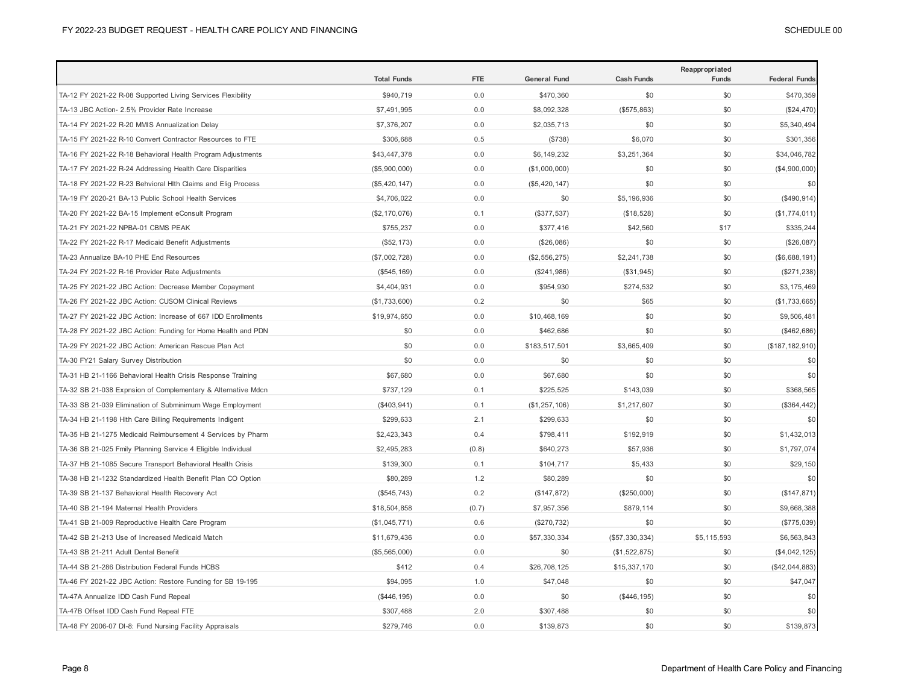|                                                              | <b>Total Funds</b> | <b>FTE</b> | <b>General Fund</b> | <b>Cash Funds</b> | Reappropriated<br>Funds | <b>Federal Funds</b> |
|--------------------------------------------------------------|--------------------|------------|---------------------|-------------------|-------------------------|----------------------|
| TA-12 FY 2021-22 R-08 Supported Living Services Flexibility  | \$940,719          | 0.0        | \$470,360           | \$0               | \$0                     | \$470,359            |
| TA-13 JBC Action- 2.5% Provider Rate Increase                | \$7,491,995        | 0.0        | \$8,092,328         | (\$575,863)       | \$0                     | (\$24,470)           |
| TA-14 FY 2021-22 R-20 MMIS Annualization Delay               | \$7,376,207        | 0.0        | \$2,035,713         | \$0               | \$0                     | \$5,340,494          |
| TA-15 FY 2021-22 R-10 Convert Contractor Resources to FTE    | \$306,688          | 0.5        | (\$738)             | \$6,070           | \$0                     | \$301,356            |
| TA-16 FY 2021-22 R-18 Behavioral Health Program Adjustments  | \$43,447,378       | 0.0        | \$6,149,232         | \$3,251,364       | \$0                     | \$34,046,782         |
| TA-17 FY 2021-22 R-24 Addressing Health Care Disparities     | (\$5,900,000)      | 0.0        | (\$1,000,000)       | \$0               | \$0                     | (\$4,900,000)        |
| TA-18 FY 2021-22 R-23 Behvioral Hlth Claims and Elig Process | (\$5,420,147)      | 0.0        | (\$5,420,147)       | \$0               | \$0                     | \$0                  |
| TA-19 FY 2020-21 BA-13 Public School Health Services         | \$4,706,022        | 0.0        | \$0                 | \$5,196,936       | \$0                     | (\$490,914)          |
| TA-20 FY 2021-22 BA-15 Implement eConsult Program            | (\$2,170,076)      | 0.1        | (\$377,537)         | (\$18,528)        | \$0                     | (\$1,774,011)        |
| TA-21 FY 2021-22 NPBA-01 CBMS PEAK                           | \$755,237          | 0.0        | \$377,416           | \$42,560          | \$17                    | \$335,244            |
| TA-22 FY 2021-22 R-17 Medicaid Benefit Adjustments           | (\$52, 173)        | 0.0        | (\$26,086)          | \$0               | \$0                     | (\$26,087)           |
| TA-23 Annualize BA-10 PHE End Resources                      | (\$7,002,728)      | 0.0        | (\$2,556,275)       | \$2,241,738       | \$0                     | (\$6,688,191)        |
| TA-24 FY 2021-22 R-16 Provider Rate Adjustments              | (\$545, 169)       | 0.0        | (\$241,986)         | (\$31,945)        | \$0                     | (\$271,238)          |
| TA-25 FY 2021-22 JBC Action: Decrease Member Copayment       | \$4,404,931        | 0.0        | \$954,930           | \$274,532         | \$0                     | \$3,175,469          |
| TA-26 FY 2021-22 JBC Action: CUSOM Clinical Reviews          | (\$1,733,600)      | 0.2        | \$0                 | \$65              | \$0                     | (\$1,733,665)        |
| TA-27 FY 2021-22 JBC Action: Increase of 667 IDD Enrollments | \$19,974,650       | 0.0        | \$10,468,169        | \$0               | \$0                     | \$9,506,481          |
| TA-28 FY 2021-22 JBC Action: Funding for Home Health and PDN | \$0                | 0.0        | \$462,686           | \$0               | \$0                     | (\$462,686)          |
| TA-29 FY 2021-22 JBC Action: American Rescue Plan Act        | \$0                | 0.0        | \$183,517,501       | \$3,665,409       | \$0                     | (\$187, 182, 910)    |
| TA-30 FY21 Salary Survey Distribution                        | \$0                | 0.0        | \$0                 | \$0               | \$0                     | \$0                  |
| TA-31 HB 21-1166 Behavioral Health Crisis Response Training  | \$67,680           | 0.0        | \$67,680            | \$0               | \$0                     | \$0                  |
| TA-32 SB 21-038 Expnsion of Complementary & Alternative Mdcn | \$737,129          | 0.1        | \$225,525           | \$143,039         | \$0                     | \$368,565            |
| TA-33 SB 21-039 Elimination of Subminimum Wage Employment    | (\$403,941)        | 0.1        | (\$1,257,106)       | \$1,217,607       | \$0                     | (\$364, 442)         |
| TA-34 HB 21-1198 Hlth Care Billing Requirements Indigent     | \$299,633          | 2.1        | \$299,633           | \$0               | \$0                     | \$0                  |
| TA-35 HB 21-1275 Medicaid Reimbursement 4 Services by Pharm  | \$2,423,343        | 0.4        | \$798,411           | \$192,919         | \$0                     | \$1,432,013          |
| TA-36 SB 21-025 Fmily Planning Service 4 Eligible Individual | \$2,495,283        | (0.8)      | \$640,273           | \$57,936          | \$0                     | \$1,797,074          |
| TA-37 HB 21-1085 Secure Transport Behavioral Health Crisis   | \$139,300          | 0.1        | \$104,717           | \$5,433           | \$0                     | \$29,150             |
| TA-38 HB 21-1232 Standardized Health Benefit Plan CO Option  | \$80,289           | 1.2        | \$80,289            | \$0               | \$0                     | \$0                  |
| TA-39 SB 21-137 Behavioral Health Recovery Act               | (\$545,743)        | 0.2        | (\$147,872)         | (\$250,000)       | \$0                     | (\$147, 871)         |
| TA-40 SB 21-194 Maternal Health Providers                    | \$18,504,858       | (0.7)      | \$7,957,356         | \$879,114         | \$0                     | \$9,668,388          |
| TA-41 SB 21-009 Reproductive Health Care Program             | (\$1,045,771)      | 0.6        | (\$270,732)         | \$0               | \$0                     | (\$775,039)          |
| TA-42 SB 21-213 Use of Increased Medicaid Match              | \$11,679,436       | 0.0        | \$57,330,334        | (\$57,330,334)    | \$5,115,593             | \$6,563,843          |
| TA-43 SB 21-211 Adult Dental Benefit                         | (\$5,565,000)      | 0.0        | \$0                 | (\$1,522,875)     | \$0                     | (\$4,042,125)        |
| TA-44 SB 21-286 Distribution Federal Funds HCBS              | \$412              | 0.4        | \$26,708,125        | \$15,337,170      | \$0                     | (\$42,044,883)       |
| TA-46 FY 2021-22 JBC Action: Restore Funding for SB 19-195   | \$94,095           | 1.0        | \$47,048            | \$0               | \$0                     | \$47,047             |
| TA-47A Annualize IDD Cash Fund Repeal                        | (\$446, 195)       | 0.0        | \$0                 | (\$446, 195)      | \$0                     | \$0                  |
| TA-47B Offset IDD Cash Fund Repeal FTE                       | \$307,488          | 2.0        | \$307,488           | \$0               | \$0                     | \$0                  |
| TA-48 FY 2006-07 DI-8: Fund Nursing Facility Appraisals      | \$279,746          | 0.0        | \$139,873           | \$0               | \$0                     | \$139,873            |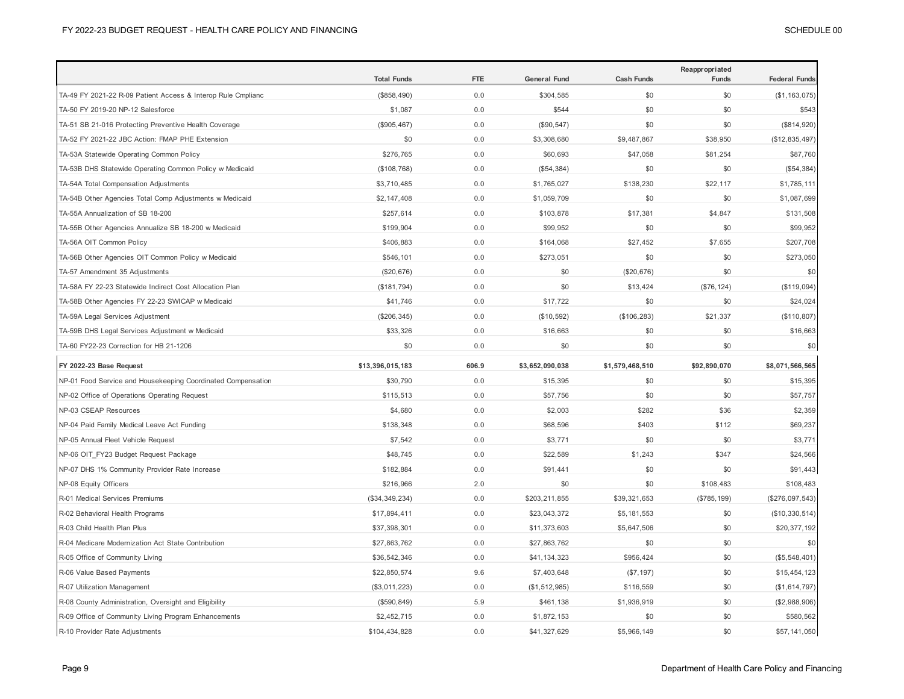|                                                              | <b>Total Funds</b> | <b>FTE</b> | <b>General Fund</b> | <b>Cash Funds</b> | Reappropriated<br>Funds | <b>Federal Funds</b> |
|--------------------------------------------------------------|--------------------|------------|---------------------|-------------------|-------------------------|----------------------|
| TA-49 FY 2021-22 R-09 Patient Access & Interop Rule Cmplianc | (\$858,490)        | 0.0        | \$304,585           | \$0               | \$0                     | (\$1, 163, 075)      |
| TA-50 FY 2019-20 NP-12 Salesforce                            | \$1,087            | 0.0        | \$544               | \$0               | \$0                     | \$543                |
| TA-51 SB 21-016 Protecting Preventive Health Coverage        | (\$905,467)        | 0.0        | (\$90,547)          | \$0               | \$0                     | (\$814,920)          |
| TA-52 FY 2021-22 JBC Action: FMAP PHE Extension              | \$0                | 0.0        | \$3,308,680         | \$9,487,867       | \$38,950                | (\$12,835,497)       |
| TA-53A Statewide Operating Common Policy                     | \$276,765          | 0.0        | \$60,693            | \$47,058          | \$81,254                | \$87,760             |
| TA-53B DHS Statewide Operating Common Policy w Medicaid      | (\$108,768)        | 0.0        | (\$54,384)          | \$0               | \$0                     | (\$54,384)           |
| TA-54A Total Compensation Adjustments                        | \$3,710,485        | 0.0        | \$1,765,027         | \$138,230         | \$22,117                | \$1,785,111          |
| TA-54B Other Agencies Total Comp Adjustments w Medicaid      | \$2,147,408        | 0.0        | \$1,059,709         | \$0               | \$0                     | \$1,087,699          |
| TA-55A Annualization of SB 18-200                            | \$257,614          | 0.0        | \$103,878           | \$17,381          | \$4,847                 | \$131,508            |
| TA-55B Other Agencies Annualize SB 18-200 w Medicaid         | \$199,904          | 0.0        | \$99,952            | \$0               | \$0                     | \$99,952             |
| TA-56A OIT Common Policy                                     | \$406,883          | 0.0        | \$164,068           | \$27,452          | \$7,655                 | \$207,708            |
| TA-56B Other Agencies OIT Common Policy w Medicaid           | \$546,101          | 0.0        | \$273,051           | \$0               | \$0                     | \$273,050            |
| TA-57 Amendment 35 Adjustments                               | (\$20,676)         | 0.0        | \$0                 | (\$20,676)        | \$0                     | \$0                  |
| TA-58A FY 22-23 Statewide Indirect Cost Allocation Plan      | (\$181,794)        | 0.0        | \$0                 | \$13,424          | (\$76, 124)             | (\$119,094)          |
| TA-58B Other Agencies FY 22-23 SWICAP w Medicaid             | \$41,746           | 0.0        | \$17,722            | \$0               | \$0                     | \$24,024             |
| TA-59A Legal Services Adjustment                             | (\$206,345)        | 0.0        | (\$10,592)          | (\$106, 283)      | \$21,337                | (\$110,807)          |
| TA-59B DHS Legal Services Adjustment w Medicaid              | \$33,326           | 0.0        | \$16,663            | \$0               | \$0                     | \$16,663             |
| TA-60 FY22-23 Correction for HB 21-1206                      | \$0                | 0.0        | \$0                 | \$0               | \$0                     | \$0                  |
| FY 2022-23 Base Request                                      | \$13,396,015,183   | 606.9      | \$3,652,090,038     | \$1,579,468,510   | \$92,890,070            | \$8,071,566,565      |
| NP-01 Food Service and Housekeeping Coordinated Compensation | \$30,790           | 0.0        | \$15,395            | \$0               | \$0                     | \$15,395             |
| NP-02 Office of Operations Operating Request                 | \$115,513          | 0.0        | \$57,756            | \$0               | \$0                     | \$57,757             |
| NP-03 CSEAP Resources                                        | \$4,680            | 0.0        | \$2,003             | \$282             | \$36                    | \$2,359              |
| NP-04 Paid Family Medical Leave Act Funding                  | \$138,348          | 0.0        | \$68,596            | \$403             | \$112                   | \$69,237             |
| NP-05 Annual Fleet Vehicle Request                           | \$7,542            | 0.0        | \$3,771             | \$0               | \$0                     | \$3,771              |
| NP-06 OIT_FY23 Budget Request Package                        | \$48,745           | 0.0        | \$22,589            | \$1,243           | \$347                   | \$24,566             |
| NP-07 DHS 1% Community Provider Rate Increase                | \$182,884          | 0.0        | \$91,441            | \$0               | \$0                     | \$91,443             |
| NP-08 Equity Officers                                        | \$216,966          | 2.0        | \$0                 | \$0               | \$108,483               | \$108,483            |
| R-01 Medical Services Premiums                               | (\$34,349,234)     | 0.0        | \$203,211,855       | \$39,321,653      | (\$785, 199)            | (\$276,097,543)      |
| R-02 Behavioral Health Programs                              | \$17,894,411       | 0.0        | \$23,043,372        | \$5,181,553       | \$0                     | (\$10,330,514)       |
| R-03 Child Health Plan Plus                                  | \$37,398,301       | 0.0        | \$11,373,603        | \$5,647,506       | \$0                     | \$20,377,192         |
| R-04 Medicare Modernization Act State Contribution           | \$27,863,762       | 0.0        | \$27,863,762        | \$0               | \$0                     | \$0                  |
| R-05 Office of Community Living                              | \$36,542,346       | 0.0        | \$41,134,323        | \$956,424         | \$0                     | (\$5,548,401)        |
| R-06 Value Based Payments                                    | \$22,850,574       | 9.6        | \$7,403,648         | (\$7,197)         | \$0                     | \$15,454,123         |
| R-07 Utilization Management                                  | (\$3,011,223)      | 0.0        | (\$1,512,985)       | \$116,559         | \$0                     | (\$1,614,797)        |
| R-08 County Administration, Oversight and Eligibility        | (\$590, 849)       | 5.9        | \$461,138           | \$1,936,919       | \$0                     | (\$2,988,906)        |
| R-09 Office of Community Living Program Enhancements         | \$2,452,715        | 0.0        | \$1,872,153         | \$0               | \$0                     | \$580,562            |
| R-10 Provider Rate Adjustments                               | \$104,434,828      | 0.0        | \$41,327,629        | \$5,966,149       | \$0                     | \$57,141,050         |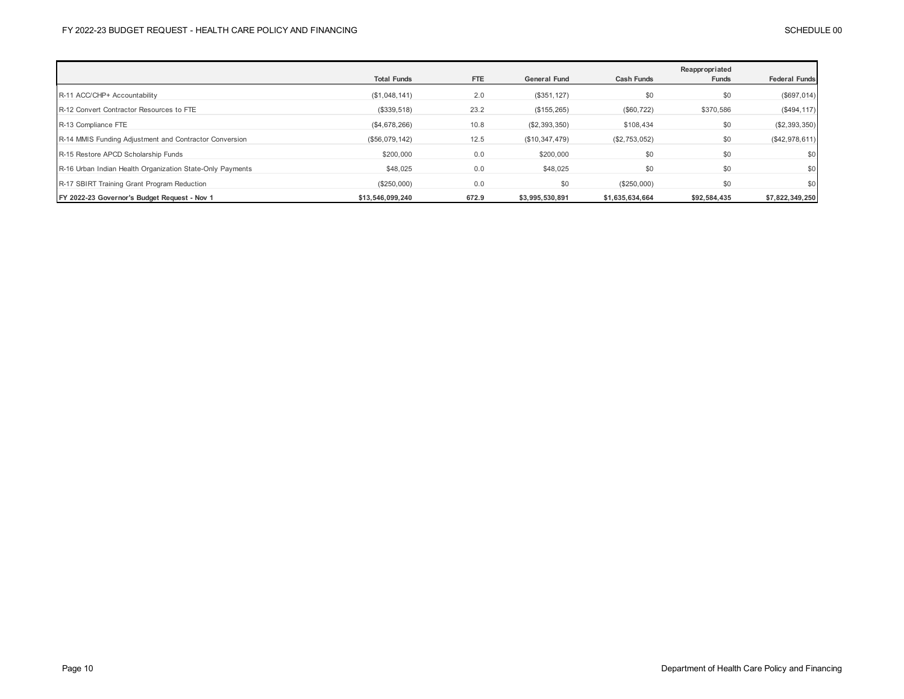|                                                           |                    |            |                     |                   | Reappropriated |                      |
|-----------------------------------------------------------|--------------------|------------|---------------------|-------------------|----------------|----------------------|
|                                                           | <b>Total Funds</b> | <b>FTE</b> | <b>General Fund</b> | <b>Cash Funds</b> | Funds          | <b>Federal Funds</b> |
| R-11 ACC/CHP+ Accountability                              | (\$1,048,141)      | 2.0        | (\$351, 127)        | \$0               | \$0            | (\$697,014)          |
| R-12 Convert Contractor Resources to FTE                  | (\$339,518)        | 23.2       | (\$155, 265)        | (\$60, 722)       | \$370,586      | $(\$494, 117)$       |
| R-13 Compliance FTE                                       | (\$4,678,266)      | 10.8       | (\$2,393,350)       | \$108,434         | \$0            | (\$2,393,350)        |
| R-14 MMIS Funding Adjustment and Contractor Conversion    | (\$56,079,142)     | 12.5       | (\$10,347,479)      | (\$2,753,052)     | \$0            | (\$42,978,611)       |
| R-15 Restore APCD Scholarship Funds                       | \$200,000          | 0.0        | \$200,000           | \$0               | \$0            | \$0                  |
| R-16 Urban Indian Health Organization State-Only Payments | \$48,025           | 0.0        | \$48,025            | \$0               | \$0            | \$0                  |
| R-17 SBIRT Training Grant Program Reduction               | (\$250,000)        | 0.0        | \$0                 | (\$250,000)       | \$0            | \$0                  |
| FY 2022-23 Governor's Budget Request - Nov 1              | \$13.546.099.240   | 672.9      | \$3,995,530,891     | \$1,635,634,664   | \$92,584,435   | \$7,822,349,250      |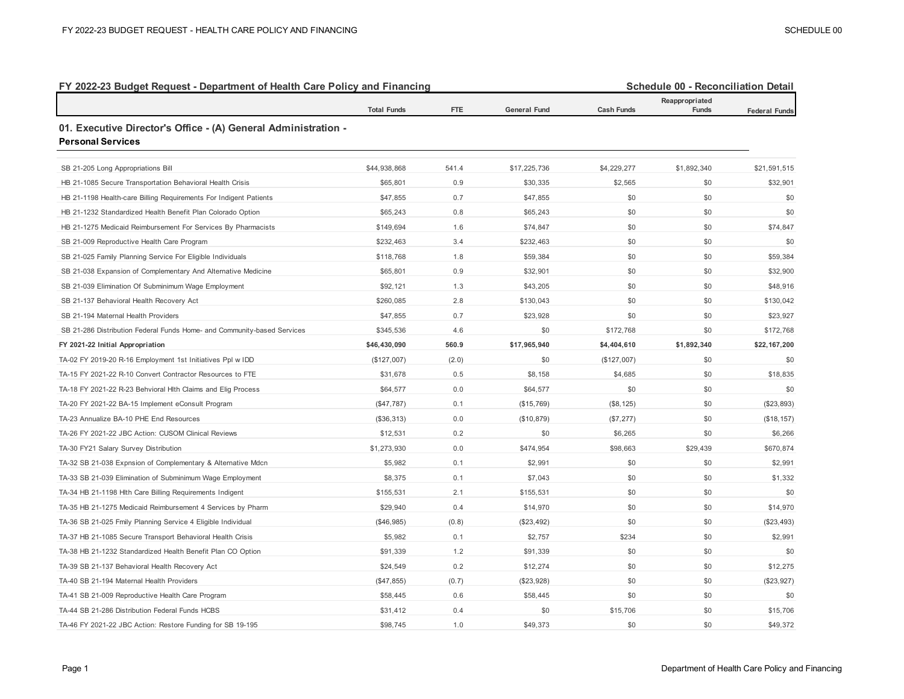| FY 2022-23 Budget Request - Department of Health Care Policy and Financing                 |                    |            |                     |                   | Schedule 00 - Reconciliation Detail<br>Reappropriated |                      |
|--------------------------------------------------------------------------------------------|--------------------|------------|---------------------|-------------------|-------------------------------------------------------|----------------------|
|                                                                                            | <b>Total Funds</b> | <b>FTE</b> | <b>General Fund</b> | <b>Cash Funds</b> | Funds                                                 | <b>Federal Funds</b> |
| 01. Executive Director's Office - (A) General Administration -<br><b>Personal Services</b> |                    |            |                     |                   |                                                       |                      |
| SB 21-205 Long Appropriations Bill                                                         | \$44,938,868       | 541.4      | \$17,225,736        | \$4,229,277       | \$1,892,340                                           | \$21,591,515         |
| HB 21-1085 Secure Transportation Behavioral Health Crisis                                  | \$65,801           | 0.9        | \$30,335            | \$2,565           | \$0                                                   | \$32,901             |
| HB 21-1198 Health-care Billing Requirements For Indigent Patients                          | \$47,855           | 0.7        | \$47,855            | \$0               | \$0                                                   | \$0                  |
| HB 21-1232 Standardized Health Benefit Plan Colorado Option                                | \$65,243           | 0.8        | \$65,243            | \$0               | \$0                                                   | \$0                  |
| HB 21-1275 Medicaid Reimbursement For Services By Pharmacists                              | \$149,694          | 1.6        | \$74,847            | \$0               | \$0                                                   | \$74,847             |
| SB 21-009 Reproductive Health Care Program                                                 | \$232,463          | 3.4        | \$232,463           | \$0               | \$0                                                   | \$0                  |
| SB 21-025 Family Planning Service For Eligible Individuals                                 | \$118,768          | 1.8        | \$59,384            | \$0               | \$0                                                   | \$59,384             |
| SB 21-038 Expansion of Complementary And Alternative Medicine                              | \$65,801           | 0.9        | \$32,901            | \$0               | \$0                                                   | \$32,900             |
| SB 21-039 Elimination Of Subminimum Wage Employment                                        | \$92,121           | 1.3        | \$43,205            | \$0               | \$0                                                   | \$48,916             |
| SB 21-137 Behavioral Health Recovery Act                                                   | \$260,085          | 2.8        | \$130,043           | \$0               | \$0                                                   | \$130,042            |
| SB 21-194 Maternal Health Providers                                                        | \$47,855           | 0.7        | \$23,928            | \$0               | \$0                                                   | \$23,927             |
| SB 21-286 Distribution Federal Funds Home- and Community-based Services                    | \$345,536          | 4.6        | \$0                 | \$172,768         | \$0                                                   | \$172,768            |
| FY 2021-22 Initial Appropriation                                                           | \$46,430,090       | 560.9      | \$17,965,940        | \$4,404,610       | \$1,892,340                                           | \$22,167,200         |
| TA-02 FY 2019-20 R-16 Employment 1st Initiatives Ppl w IDD                                 | (\$127,007)        | (2.0)      | \$0                 | (\$127,007)       | \$0                                                   | \$0                  |
| TA-15 FY 2021-22 R-10 Convert Contractor Resources to FTE                                  | \$31,678           | 0.5        | \$8,158             | \$4,685           | \$0                                                   | \$18,835             |
| TA-18 FY 2021-22 R-23 Behvioral Hlth Claims and Elig Process                               | \$64,577           | 0.0        | \$64,577            | \$0               | \$0                                                   | \$0                  |
| TA-20 FY 2021-22 BA-15 Implement eConsult Program                                          | (\$47,787)         | 0.1        | (\$15,769)          | (\$8, 125)        | \$0                                                   | (\$23,893)           |
| TA-23 Annualize BA-10 PHE End Resources                                                    | (\$36,313)         | 0.0        | (\$10,879)          | (\$7,277)         | \$0                                                   | (\$18, 157)          |
| TA-26 FY 2021-22 JBC Action: CUSOM Clinical Reviews                                        | \$12,531           | 0.2        | \$0                 | \$6,265           | \$0                                                   | \$6,266              |
| TA-30 FY21 Salary Survey Distribution                                                      | \$1,273,930        | 0.0        | \$474,954           | \$98,663          | \$29,439                                              | \$670,874            |
| TA-32 SB 21-038 Expnsion of Complementary & Alternative Mdcn                               | \$5,982            | 0.1        | \$2,991             | \$0               | \$0                                                   | \$2,991              |
| TA-33 SB 21-039 Elimination of Subminimum Wage Employment                                  | \$8,375            | 0.1        | \$7,043             | \$0               | \$0                                                   | \$1,332              |
| TA-34 HB 21-1198 Hlth Care Billing Requirements Indigent                                   | \$155,531          | 2.1        | \$155,531           | \$0               | \$0                                                   | \$0                  |
| TA-35 HB 21-1275 Medicaid Reimbursement 4 Services by Pharm                                | \$29,940           | 0.4        | \$14,970            | \$0               | \$0                                                   | \$14,970             |
| TA-36 SB 21-025 Fmily Planning Service 4 Eligible Individual                               | (\$46,985)         | (0.8)      | (\$23,492)          | \$0               | \$0                                                   | (\$23,493)           |
| TA-37 HB 21-1085 Secure Transport Behavioral Health Crisis                                 | \$5,982            | 0.1        | \$2,757             | \$234             | \$0                                                   | \$2,991              |
| TA-38 HB 21-1232 Standardized Health Benefit Plan CO Option                                | \$91,339           | 1.2        | \$91,339            | \$0               | \$0                                                   | \$0                  |
| TA-39 SB 21-137 Behavioral Health Recovery Act                                             | \$24,549           | 0.2        | \$12,274            | \$0               | \$0                                                   | \$12,275             |
| TA-40 SB 21-194 Maternal Health Providers                                                  | (\$47, 855)        | (0.7)      | (\$23,928)          | \$0               | \$0                                                   | (\$23,927)           |
| TA-41 SB 21-009 Reproductive Health Care Program                                           | \$58,445           | 0.6        | \$58,445            | \$0               | \$0                                                   | \$0                  |
| TA-44 SB 21-286 Distribution Federal Funds HCBS                                            | \$31,412           | 0.4        | \$0                 | \$15,706          | \$0                                                   | \$15,706             |
| TA-46 FY 2021-22 JBC Action: Restore Funding for SB 19-195                                 | \$98,745           | 1.0        | \$49,373            | \$0               | \$0                                                   | \$49,372             |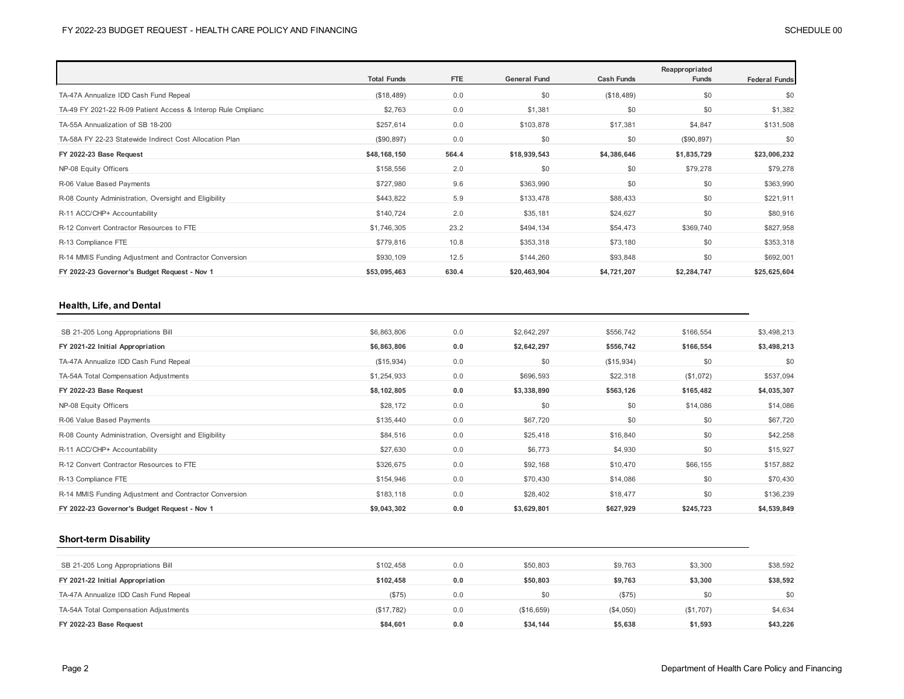|                                                              | <b>Total Funds</b> | <b>FTE</b> | <b>General Fund</b> | <b>Cash Funds</b> | Reappropriated<br>Funds | <b>Federal Funds</b> |
|--------------------------------------------------------------|--------------------|------------|---------------------|-------------------|-------------------------|----------------------|
|                                                              |                    |            |                     |                   |                         |                      |
| TA-47A Annualize IDD Cash Fund Repeal                        | (\$18,489)         | 0.0        | \$0                 | (\$18,489)        | \$0                     | \$0                  |
| TA-49 FY 2021-22 R-09 Patient Access & Interop Rule Cmplianc | \$2,763            | 0.0        | \$1,381             | \$0               | \$0                     | \$1,382              |
| TA-55A Annualization of SB 18-200                            | \$257,614          | 0.0        | \$103,878           | \$17,381          | \$4,847                 | \$131,508            |
| TA-58A FY 22-23 Statewide Indirect Cost Allocation Plan      | (\$90, 897)        | 0.0        | \$0                 | \$0               | (\$90,897)              | \$0                  |
| FY 2022-23 Base Request                                      | \$48,168,150       | 564.4      | \$18,939,543        | \$4,386,646       | \$1,835,729             | \$23,006,232         |
| NP-08 Equity Officers                                        | \$158,556          | 2.0        | \$0                 | \$0               | \$79,278                | \$79,278             |
| R-06 Value Based Payments                                    | \$727,980          | 9.6        | \$363,990           | \$0               | \$0                     | \$363,990            |
| R-08 County Administration, Oversight and Eligibility        | \$443,822          | 5.9        | \$133,478           | \$88,433          | \$0                     | \$221,911            |
| R-11 ACC/CHP+ Accountability                                 | \$140,724          | 2.0        | \$35,181            | \$24,627          | \$0                     | \$80,916             |
| R-12 Convert Contractor Resources to FTE                     | \$1,746,305        | 23.2       | \$494,134           | \$54,473          | \$369,740               | \$827,958            |
| R-13 Compliance FTE                                          | \$779,816          | 10.8       | \$353,318           | \$73,180          | \$0                     | \$353,318            |
| R-14 MMIS Funding Adjustment and Contractor Conversion       | \$930,109          | 12.5       | \$144,260           | \$93,848          | \$0                     | \$692,001            |
| FY 2022-23 Governor's Budget Request - Nov 1                 | \$53,095,463       | 630.4      | \$20,463,904        | \$4,721,207       | \$2,284,747             | \$25,625,604         |

## **Health, Life, and Dental**

| SB 21-205 Long Appropriations Bill                     | \$6,863,806 | 0.0 | \$2,642,297 | \$556,742  | \$166,554 | \$3,498,213 |
|--------------------------------------------------------|-------------|-----|-------------|------------|-----------|-------------|
| FY 2021-22 Initial Appropriation                       | \$6,863,806 | 0.0 | \$2,642,297 | \$556,742  | \$166,554 | \$3,498,213 |
| TA-47A Annualize IDD Cash Fund Repeal                  | (\$15,934)  | 0.0 | \$0         | (\$15,934) | \$0       | \$0         |
| TA-54A Total Compensation Adjustments                  | \$1,254,933 | 0.0 | \$696,593   | \$22,318   | (\$1,072) | \$537,094   |
| FY 2022-23 Base Request                                | \$8,102,805 | 0.0 | \$3,338,890 | \$563,126  | \$165,482 | \$4,035,307 |
| NP-08 Equity Officers                                  | \$28,172    | 0.0 | \$0         | \$0        | \$14,086  | \$14,086    |
| R-06 Value Based Payments                              | \$135,440   | 0.0 | \$67,720    | \$0        | \$0       | \$67,720    |
| R-08 County Administration, Oversight and Eligibility  | \$84,516    | 0.0 | \$25,418    | \$16,840   | \$0       | \$42,258    |
| R-11 ACC/CHP+ Accountability                           | \$27,630    | 0.0 | \$6,773     | \$4,930    | \$0       | \$15,927    |
| R-12 Convert Contractor Resources to FTE               | \$326,675   | 0.0 | \$92,168    | \$10,470   | \$66,155  | \$157,882   |
| R-13 Compliance FTE                                    | \$154,946   | 0.0 | \$70,430    | \$14,086   | \$0       | \$70,430    |
| R-14 MMIS Funding Adjustment and Contractor Conversion | \$183,118   | 0.0 | \$28,402    | \$18,477   | \$0       | \$136,239   |
| FY 2022-23 Governor's Budget Request - Nov 1           | \$9,043,302 | 0.0 | \$3,629,801 | \$627,929  | \$245,723 | \$4,539,849 |

## **Short-term Disability**

| SB 21-205 Long Appropriations Bill    | \$102.458  | 0.0 | \$50,803   | \$9,763   | \$3,300   | \$38,592 |
|---------------------------------------|------------|-----|------------|-----------|-----------|----------|
| FY 2021-22 Initial Appropriation      | \$102.458  | 0.0 | \$50,803   | \$9,763   | \$3,300   | \$38,592 |
| TA-47A Annualize IDD Cash Fund Repeal | (S75)      | 0.0 | \$0        | (S75)     | \$0       | \$0      |
| TA-54A Total Compensation Adjustments | (\$17,782) | 0.0 | (\$16,659) | (\$4,050) | (\$1,707) | \$4,634  |
| FY 2022-23 Base Request               | \$84,601   | 0.0 | \$34,144   | \$5,638   | \$1,593   | \$43,226 |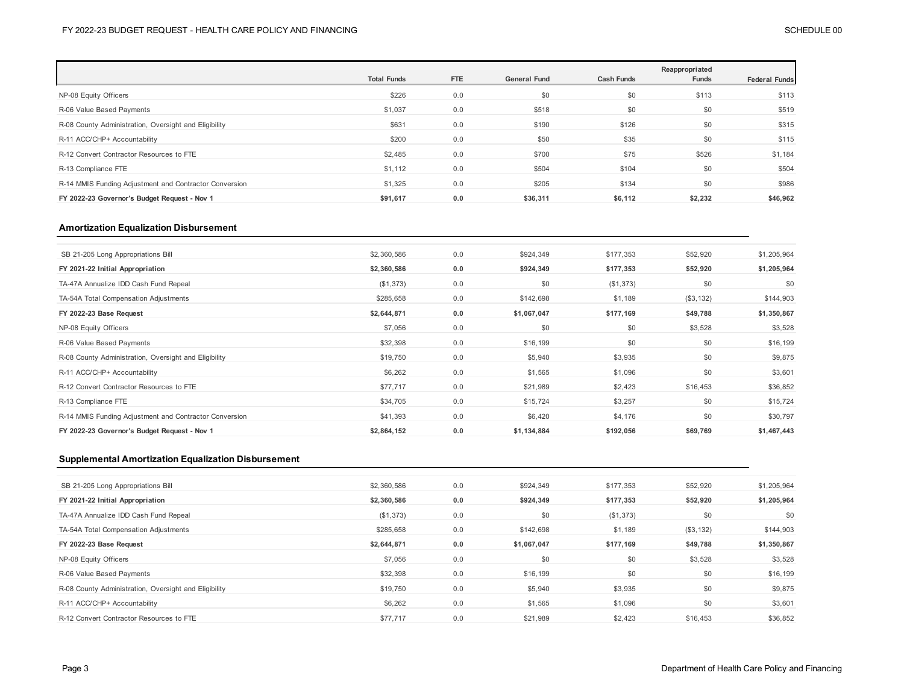|                                                        |                    |            |                     |                   | Reappropriated |                      |
|--------------------------------------------------------|--------------------|------------|---------------------|-------------------|----------------|----------------------|
|                                                        | <b>Total Funds</b> | <b>FTE</b> | <b>General Fund</b> | <b>Cash Funds</b> | <b>Funds</b>   | <b>Federal Funds</b> |
| NP-08 Equity Officers                                  | \$226              | 0.0        | \$0                 | \$0               | \$113          | \$113                |
| R-06 Value Based Payments                              | \$1,037            | 0.0        | \$518               | \$0               | \$0            | \$519                |
| R-08 County Administration, Oversight and Eligibility  | \$631              | 0.0        | \$190               | \$126             | \$0            | \$315                |
| R-11 ACC/CHP+ Accountability                           | \$200              | 0.0        | \$50                | \$35              | \$0            | \$115                |
| R-12 Convert Contractor Resources to FTE               | \$2,485            | 0.0        | \$700               | \$75              | \$526          | \$1,184              |
| R-13 Compliance FTE                                    | \$1,112            | 0.0        | \$504               | \$104             | \$0            | \$504                |
| R-14 MMIS Funding Adjustment and Contractor Conversion | \$1,325            | 0.0        | \$205               | \$134             | \$0            | \$986                |
| FY 2022-23 Governor's Budget Request - Nov 1           | \$91,617           | 0.0        | \$36,311            | \$6,112           | \$2,232        | \$46,962             |

## **Amortization Equalization Disbursement**

| SB 21-205 Long Appropriations Bill                     | \$2,360,586 | 0.0 | \$924,349   | \$177,353 | \$52,920  | \$1,205,964 |
|--------------------------------------------------------|-------------|-----|-------------|-----------|-----------|-------------|
| FY 2021-22 Initial Appropriation                       | \$2,360,586 | 0.0 | \$924,349   | \$177,353 | \$52,920  | \$1,205,964 |
| TA-47A Annualize IDD Cash Fund Repeal                  | (\$1,373)   | 0.0 | \$0         | (\$1,373) | \$0       | \$0         |
| TA-54A Total Compensation Adjustments                  | \$285,658   | 0.0 | \$142,698   | \$1,189   | (\$3,132) | \$144,903   |
| FY 2022-23 Base Request                                | \$2,644,871 | 0.0 | \$1,067,047 | \$177,169 | \$49,788  | \$1,350,867 |
| NP-08 Equity Officers                                  | \$7,056     | 0.0 | \$0         | \$0       | \$3,528   | \$3,528     |
| R-06 Value Based Payments                              | \$32,398    | 0.0 | \$16,199    | \$0       | \$0       | \$16,199    |
| R-08 County Administration, Oversight and Eligibility  | \$19,750    | 0.0 | \$5,940     | \$3,935   | \$0       | \$9,875     |
| R-11 ACC/CHP+ Accountability                           | \$6,262     | 0.0 | \$1,565     | \$1,096   | \$0       | \$3,601     |
| R-12 Convert Contractor Resources to FTE               | \$77,717    | 0.0 | \$21,989    | \$2,423   | \$16,453  | \$36,852    |
| R-13 Compliance FTE                                    | \$34,705    | 0.0 | \$15,724    | \$3,257   | \$0       | \$15,724    |
| R-14 MMIS Funding Adjustment and Contractor Conversion | \$41,393    | 0.0 | \$6,420     | \$4,176   | \$0       | \$30,797    |
| FY 2022-23 Governor's Budget Request - Nov 1           | \$2,864,152 | 0.0 | \$1,134,884 | \$192,056 | \$69,769  | \$1,467,443 |
|                                                        |             |     |             |           |           |             |

#### **Supplemental Amortization Equalization Disbursement**

| SB 21-205 Long Appropriations Bill                    | \$2,360,586 | 0.0 | \$924,349   | \$177,353 | \$52,920  | \$1,205,964 |
|-------------------------------------------------------|-------------|-----|-------------|-----------|-----------|-------------|
| FY 2021-22 Initial Appropriation                      | \$2,360,586 | 0.0 | \$924,349   | \$177,353 | \$52,920  | \$1,205,964 |
| TA-47A Annualize IDD Cash Fund Repeal                 | (\$1,373)   | 0.0 | \$0         | (\$1,373) | \$0       | \$0         |
| TA-54A Total Compensation Adjustments                 | \$285,658   | 0.0 | \$142,698   | \$1,189   | (\$3,132) | \$144,903   |
| FY 2022-23 Base Request                               | \$2,644,871 | 0.0 | \$1,067,047 | \$177,169 | \$49,788  | \$1,350,867 |
| NP-08 Equity Officers                                 | \$7,056     | 0.0 | \$0         | \$0       | \$3,528   | \$3,528     |
| R-06 Value Based Payments                             | \$32,398    | 0.0 | \$16,199    | \$0       | \$0       | \$16,199    |
| R-08 County Administration, Oversight and Eligibility | \$19,750    | 0.0 | \$5,940     | \$3,935   | \$0       | \$9,875     |
| R-11 ACC/CHP+ Accountability                          | \$6,262     | 0.0 | \$1,565     | \$1,096   | \$0       | \$3,601     |
| R-12 Convert Contractor Resources to FTE              | \$77.717    | 0.0 | \$21.989    | \$2.423   | \$16,453  | \$36,852    |
|                                                       |             |     |             |           |           |             |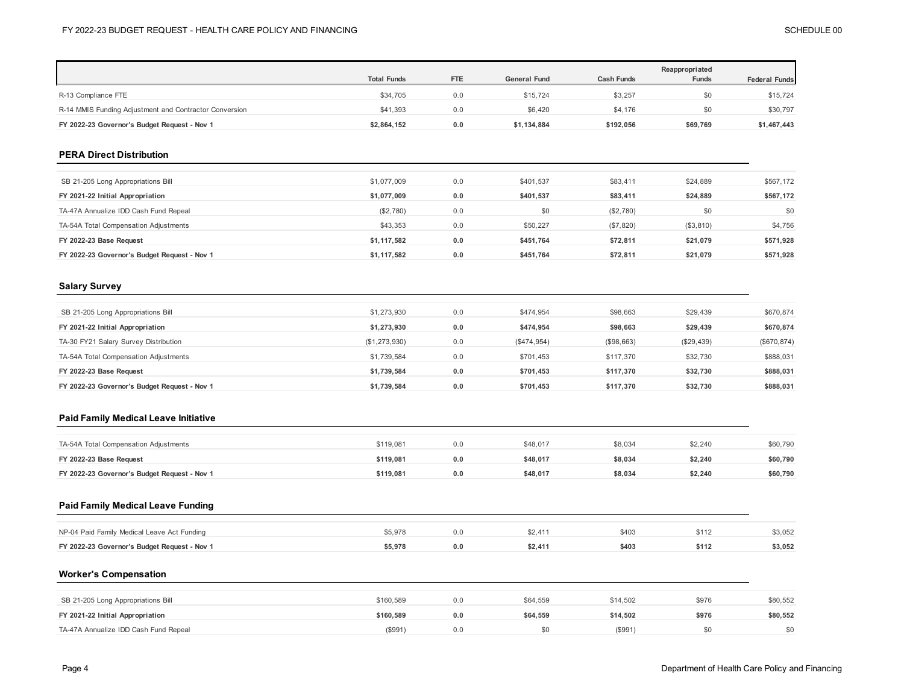|                                                            | <b>Total Funds</b> | <b>FTE</b> | <b>General Fund</b> | <b>Cash Funds</b> | Reappropriated<br><b>Funds</b> | <b>Federal Funds</b> |
|------------------------------------------------------------|--------------------|------------|---------------------|-------------------|--------------------------------|----------------------|
| R-13 Compliance FTE                                        | \$34,705           | 0.0        | \$15,724            | \$3,257           | \$0                            | \$15,724             |
| R-14 MMIS Funding Adjustment and Contractor Conversion     | \$41,393           | 0.0        | \$6,420             | \$4,176           | \$0                            | \$30,797             |
| FY 2022-23 Governor's Budget Request - Nov 1               | \$2,864,152        | 0.0        | \$1,134,884         | \$192,056         | \$69,769                       | \$1,467,443          |
| <b>PERA Direct Distribution</b>                            |                    |            |                     |                   |                                |                      |
| SB 21-205 Long Appropriations Bill                         | \$1,077,009        | 0.0        | \$401,537           | \$83,411          | \$24,889                       | \$567,172            |
| FY 2021-22 Initial Appropriation                           | \$1,077,009        | 0.0        | \$401,537           | \$83,411          | \$24,889                       | \$567,172            |
| TA-47A Annualize IDD Cash Fund Repeal                      | (\$2,780)          | 0.0        | \$0                 | (\$2,780)         | \$0                            | \$0                  |
| TA-54A Total Compensation Adjustments                      | \$43,353           | 0.0        | \$50,227            | (\$7,820)         | (\$3,810)                      | \$4,756              |
| FY 2022-23 Base Request                                    | \$1,117,582        | 0.0        | \$451,764           | \$72,811          | \$21,079                       | \$571,928            |
| FY 2022-23 Governor's Budget Request - Nov 1               | \$1,117,582        | 0.0        | \$451,764           | \$72,811          | \$21,079                       | \$571,928            |
|                                                            |                    |            |                     |                   |                                |                      |
| <b>Salary Survey</b><br>SB 21-205 Long Appropriations Bill | \$1,273,930        | 0.0        | \$474.954           | \$98,663          | \$29,439                       | \$670,874            |
| FY 2021-22 Initial Appropriation                           | \$1,273,930        | 0.0        | \$474,954           | \$98,663          | \$29,439                       | \$670,874            |
| TA-30 FY21 Salary Survey Distribution                      | (\$1,273,930)      | 0.0        | (\$474,954)         | (\$98,663)        | (\$29,439)                     | (\$670, 874)         |
| TA-54A Total Compensation Adjustments                      | \$1,739,584        | 0.0        | \$701,453           | \$117,370         | \$32,730                       | \$888,031            |
| FY 2022-23 Base Request                                    | \$1,739,584        | 0.0        | \$701,453           | \$117,370         | \$32,730                       | \$888,031            |
| FY 2022-23 Governor's Budget Request - Nov 1               | \$1,739,584        | 0.0        | \$701,453           | \$117,370         | \$32,730                       | \$888,031            |
| <b>Paid Family Medical Leave Initiative</b>                |                    |            |                     |                   |                                |                      |
| TA-54A Total Compensation Adjustments                      | \$119,081          | 0.0        | \$48,017            | \$8,034           | \$2,240                        |                      |
| FY 2022-23 Base Request                                    | \$119,081          | 0.0        | \$48,017            | \$8,034           | \$2,240                        | \$60,790<br>\$60,790 |

## **Paid Family Medical Leave Funding**

| NP-04 Paid Family Medical Leave Act Funding  | 5.978ء |  | \$403 |       | \$3,052 |
|----------------------------------------------|--------|--|-------|-------|---------|
| FY 2022-23 Governor's Budget Request - Nov 1 | 5.978  |  |       | \$112 | \$3.052 |

### **Worker's Compensation**

| SB 21-205 Long Appropriations Bill    | \$160,589 | 0.0 | \$64,559 | \$14.502 | \$976 | \$80,552 |
|---------------------------------------|-----------|-----|----------|----------|-------|----------|
| FY 2021-22 Initial Appropriation      | \$160.589 | 0.0 | \$64.559 | \$14.502 | \$976 | \$80,552 |
| TA-47A Annualize IDD Cash Fund Repeal | (S991)    | 0.0 |          | (\$991   |       | \$0      |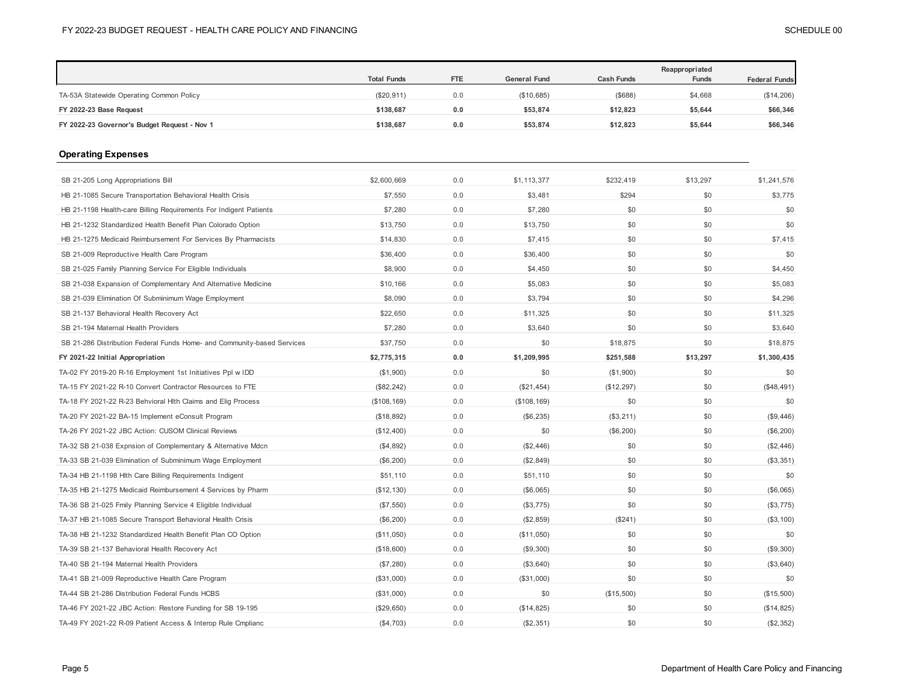|                                                                         | <b>Total Funds</b> | <b>FTE</b> | <b>General Fund</b> | <b>Cash Funds</b> | Reappropriated<br>Funds | <b>Federal Funds</b> |
|-------------------------------------------------------------------------|--------------------|------------|---------------------|-------------------|-------------------------|----------------------|
| TA-53A Statewide Operating Common Policy                                | (\$20, 911)        | 0.0        | (\$10,685)          | (\$688)           | \$4,668                 | (\$14,206)           |
| FY 2022-23 Base Request                                                 | \$138,687          | 0.0        | \$53,874            | \$12,823          | \$5,644                 | \$66,346             |
| FY 2022-23 Governor's Budget Request - Nov 1                            | \$138,687          | $0.0\,$    | \$53,874            | \$12,823          | \$5,644                 | \$66,346             |
| <b>Operating Expenses</b>                                               |                    |            |                     |                   |                         |                      |
| SB 21-205 Long Appropriations Bill                                      | \$2,600,669        | 0.0        | \$1,113,377         | \$232,419         | \$13,297                | \$1,241,576          |
| HB 21-1085 Secure Transportation Behavioral Health Crisis               | \$7,550            | 0.0        | \$3,481             | \$294             | \$0                     | \$3,775              |
| HB 21-1198 Health-care Billing Requirements For Indigent Patients       | \$7,280            | 0.0        | \$7,280             | \$0               | \$0                     | \$0                  |
| HB 21-1232 Standardized Health Benefit Plan Colorado Option             | \$13,750           | 0.0        | \$13,750            | \$0               | \$0                     | \$0                  |
| HB 21-1275 Medicaid Reimbursement For Services By Pharmacists           | \$14,830           | 0.0        | \$7,415             | \$0               | \$0                     | \$7,415              |
| SB 21-009 Reproductive Health Care Program                              | \$36,400           | 0.0        | \$36,400            | \$0               | \$0                     | \$0                  |
| SB 21-025 Family Planning Service For Eligible Individuals              | \$8,900            | 0.0        | \$4,450             | \$0               | \$0                     | \$4,450              |
| SB 21-038 Expansion of Complementary And Alternative Medicine           | \$10,166           | 0.0        | \$5,083             | \$0               | \$0                     | \$5,083              |
| SB 21-039 Elimination Of Subminimum Wage Employment                     | \$8,090            | 0.0        | \$3,794             | \$0               | \$0                     | \$4,296              |
| SB 21-137 Behavioral Health Recovery Act                                | \$22,650           | 0.0        | \$11,325            | \$0               | \$0                     | \$11,325             |
| SB 21-194 Maternal Health Providers                                     | \$7,280            | 0.0        | \$3,640             | \$0               | \$0                     | \$3,640              |
| SB 21-286 Distribution Federal Funds Home- and Community-based Services | \$37,750           | 0.0        | \$0                 | \$18,875          | \$0                     | \$18,875             |
| FY 2021-22 Initial Appropriation                                        | \$2,775,315        | 0.0        | \$1,209,995         | \$251,588         | \$13,297                | \$1,300,435          |
| TA-02 FY 2019-20 R-16 Employment 1st Initiatives Ppl w IDD              | (\$1,900)          | 0.0        | \$0                 | (\$1,900)         | \$0                     | \$0                  |
| TA-15 FY 2021-22 R-10 Convert Contractor Resources to FTE               | (\$82, 242)        | 0.0        | (\$21,454)          | (\$12,297)        | \$0                     | (\$48,491)           |
| TA-18 FY 2021-22 R-23 Behvioral Hlth Claims and Elig Process            | (\$108, 169)       | 0.0        | (\$108, 169)        | \$0               | \$0                     | \$0                  |
| TA-20 FY 2021-22 BA-15 Implement eConsult Program                       | (\$18,892)         | 0.0        | (\$6,235)           | (\$3,211)         | \$0                     | (\$9,446)            |
| TA-26 FY 2021-22 JBC Action: CUSOM Clinical Reviews                     | (\$12,400)         | 0.0        | \$0                 | (\$6,200)         | \$0                     | (\$6, 200)           |
| TA-32 SB 21-038 Expnsion of Complementary & Alternative Mdcn            | (\$4,892)          | 0.0        | (\$2,446)           | \$0               | \$0                     | (\$2,446)            |
| TA-33 SB 21-039 Elimination of Subminimum Wage Employment               | (\$6, 200)         | 0.0        | (\$2,849)           | \$0               | \$0                     | (\$3,351)            |
| TA-34 HB 21-1198 Hlth Care Billing Requirements Indigent                | \$51,110           | 0.0        | \$51,110            | \$0               | \$0                     | \$0                  |
| TA-35 HB 21-1275 Medicaid Reimbursement 4 Services by Pharm             | (\$12, 130)        | 0.0        | (\$6,065)           | \$0               | \$0                     | (\$6,065)            |
| TA-36 SB 21-025 Fmily Planning Service 4 Eligible Individual            | (\$7,550)          | 0.0        | (\$3,775)           | \$0               | \$0                     | (\$3,775)            |
| TA-37 HB 21-1085 Secure Transport Behavioral Health Crisis              | (\$6, 200)         | 0.0        | (\$2,859)           | (\$241)           | \$0                     | (\$3,100)            |
| TA-38 HB 21-1232 Standardized Health Benefit Plan CO Option             | (\$11,050)         | 0.0        | (\$11,050)          | \$0               | \$0                     | \$0                  |
| TA-39 SB 21-137 Behavioral Health Recovery Act                          | (\$18,600)         | 0.0        | (\$9,300)           | \$0               | \$0                     | (\$9,300)            |
| TA-40 SB 21-194 Maternal Health Providers                               | (\$7,280)          | 0.0        | (\$3,640)           | \$0               | \$0                     | (\$3,640)            |
| TA-41 SB 21-009 Reproductive Health Care Program                        | (\$31,000)         | 0.0        | (\$31,000)          | \$0               | \$0                     | \$0                  |
| TA-44 SB 21-286 Distribution Federal Funds HCBS                         | (\$31,000)         | 0.0        | \$0                 | (\$15,500)        | \$0                     | (\$15,500)           |
| TA-46 FY 2021-22 JBC Action: Restore Funding for SB 19-195              | (\$29,650)         | 0.0        | (\$14,825)          | \$0               | \$0                     | (\$14, 825)          |
| TA-49 FY 2021-22 R-09 Patient Access & Interop Rule Cmplianc            | (\$4,703)          | 0.0        | (\$2,351)           | \$0               | \$0                     | (\$2,352)            |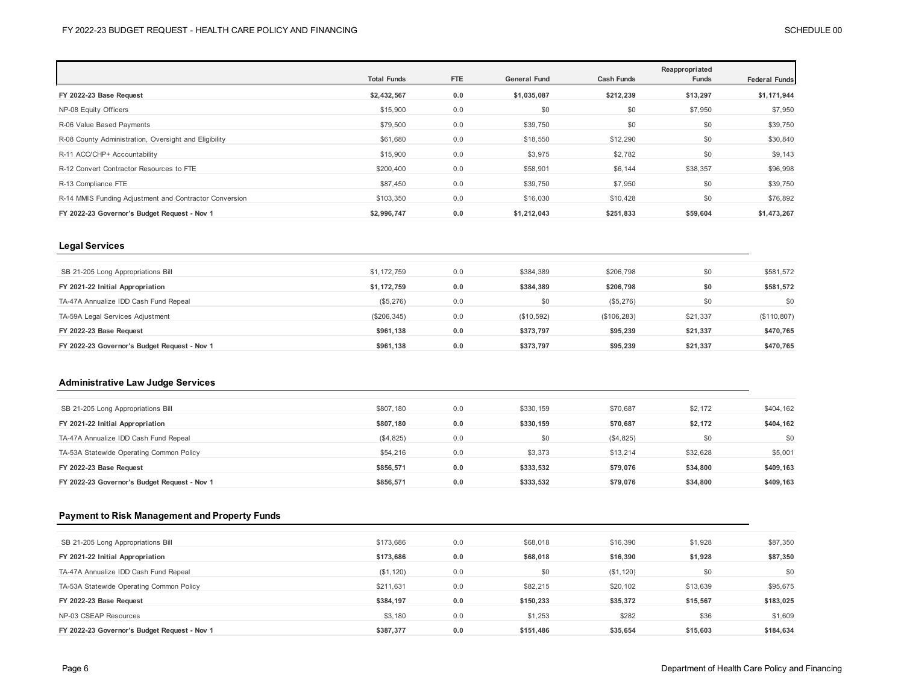|                                                        | <b>Total Funds</b> | <b>FTE</b> | <b>General Fund</b> | <b>Cash Funds</b> | Reappropriated<br>Funds | <b>Federal Funds</b> |
|--------------------------------------------------------|--------------------|------------|---------------------|-------------------|-------------------------|----------------------|
| FY 2022-23 Base Request                                | \$2,432,567        | 0.0        | \$1,035,087         | \$212,239         | \$13,297                | \$1,171,944          |
| NP-08 Equity Officers                                  | \$15,900           | 0.0        | \$0                 | \$0               | \$7,950                 | \$7,950              |
| R-06 Value Based Payments                              | \$79,500           | 0.0        | \$39,750            | \$0               | \$0                     | \$39,750             |
| R-08 County Administration, Oversight and Eligibility  | \$61,680           | 0.0        | \$18,550            | \$12,290          | \$0                     | \$30,840             |
| R-11 ACC/CHP+ Accountability                           | \$15,900           | 0.0        | \$3,975             | \$2,782           | \$0                     | \$9,143              |
| R-12 Convert Contractor Resources to FTE               | \$200,400          | 0.0        | \$58,901            | \$6,144           | \$38,357                | \$96,998             |
| R-13 Compliance FTE                                    | \$87,450           | 0.0        | \$39,750            | \$7,950           | \$0                     | \$39,750             |
| R-14 MMIS Funding Adjustment and Contractor Conversion | \$103,350          | 0.0        | \$16,030            | \$10,428          | \$0                     | \$76,892             |
| FY 2022-23 Governor's Budget Request - Nov 1           | \$2,996,747        | 0.0        | \$1,212,043         | \$251,833         | \$59,604                | \$1,473,267          |

## **Legal Services**

| SB 21-205 Long Appropriations Bill           | \$1,172,759 | 0.0 | \$384,389  | \$206,798    | \$0      | \$581,572   |
|----------------------------------------------|-------------|-----|------------|--------------|----------|-------------|
| FY 2021-22 Initial Appropriation             | \$1,172,759 | 0.0 | \$384.389  | \$206.798    | \$0      | \$581,572   |
| TA-47A Annualize IDD Cash Fund Repeal        | (\$5,276)   | 0.0 | \$0        | (\$5,276)    | \$0      | \$0         |
| TA-59A Legal Services Adjustment             | (\$206,345) | 0.0 | (\$10,592) | (\$106, 283) | \$21,337 | (\$110,807) |
| FY 2022-23 Base Request                      | \$961.138   | 0.0 | \$373.797  | \$95,239     | \$21.337 | \$470,765   |
| FY 2022-23 Governor's Budget Request - Nov 1 | \$961.138   | 0.0 | \$373,797  | \$95,239     | \$21,337 | \$470,765   |

#### **Administrative Law Judge Services**

| \$807.180 | 0.0 | \$330.159 | \$70,687  | \$2,172  | \$404,162 |
|-----------|-----|-----------|-----------|----------|-----------|
| \$807.180 | 0.0 | \$330.159 | \$70,687  | \$2,172  | \$404.162 |
| (\$4,825) | 0.0 | \$0       | (\$4,825) | \$0      | \$0       |
| \$54,216  | 0.0 | \$3,373   | \$13,214  | \$32,628 | \$5,001   |
| \$856.571 | 0.0 | \$333.532 | \$79,076  | \$34.800 | \$409,163 |
| \$856.571 | 0.0 | \$333,532 | \$79,076  | \$34,800 | \$409,163 |
|           |     |           |           |          |           |

### **Payment to Risk Management and Property Funds**

| SB 21-205 Long Appropriations Bill           | \$173,686 | 0.0 | \$68,018  | \$16,390  | \$1,928  | \$87,350  |
|----------------------------------------------|-----------|-----|-----------|-----------|----------|-----------|
| FY 2021-22 Initial Appropriation             | \$173,686 | 0.0 | \$68,018  | \$16,390  | \$1,928  | \$87,350  |
| TA-47A Annualize IDD Cash Fund Repeal        | (\$1,120) | 0.0 | \$0       | (\$1,120) | \$0      | \$0       |
| TA-53A Statewide Operating Common Policy     | \$211,631 | 0.0 | \$82,215  | \$20,102  | \$13,639 | \$95,675  |
| FY 2022-23 Base Request                      | \$384.197 | 0.0 | \$150.233 | \$35,372  | \$15,567 | \$183,025 |
| NP-03 CSEAP Resources                        | \$3,180   | 0.0 | \$1,253   | \$282     | \$36     | \$1,609   |
| FY 2022-23 Governor's Budget Request - Nov 1 | \$387,377 | 0.0 | \$151,486 | \$35,654  | \$15,603 | \$184,634 |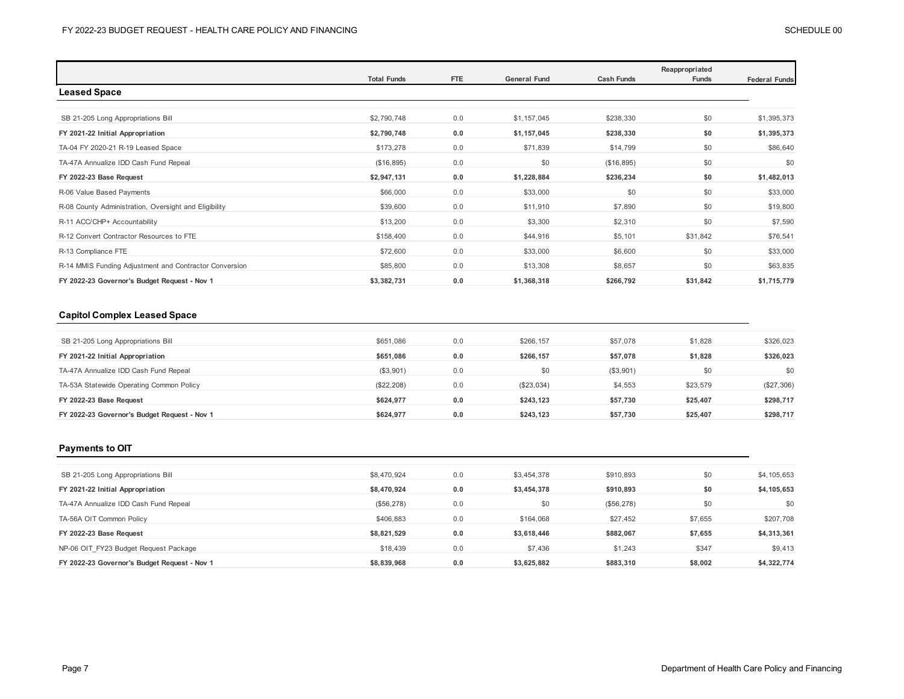|                                                        | <b>Total Funds</b> | <b>FTE</b> | <b>General Fund</b> | <b>Cash Funds</b> | Reappropriated<br>Funds | <b>Federal Funds</b> |
|--------------------------------------------------------|--------------------|------------|---------------------|-------------------|-------------------------|----------------------|
| <b>Leased Space</b>                                    |                    |            |                     |                   |                         |                      |
|                                                        |                    |            |                     |                   |                         |                      |
| SB 21-205 Long Appropriations Bill                     | \$2,790,748        | 0.0        | \$1,157,045         | \$238,330         | \$0                     | \$1,395,373          |
| FY 2021-22 Initial Appropriation                       | \$2,790,748        | 0.0        | \$1,157,045         | \$238,330         | \$0                     | \$1,395,373          |
| TA-04 FY 2020-21 R-19 Leased Space                     | \$173,278          | 0.0        | \$71,839            | \$14,799          | \$0                     | \$86,640             |
| TA-47A Annualize IDD Cash Fund Repeal                  | (\$16,895)         | 0.0        | \$0                 | (\$16,895)        | \$0                     | \$0                  |
| FY 2022-23 Base Request                                | \$2,947,131        | 0.0        | \$1,228,884         | \$236,234         | \$0                     | \$1,482,013          |
| R-06 Value Based Payments                              | \$66,000           | 0.0        | \$33,000            | \$0               | \$0                     | \$33,000             |
| R-08 County Administration, Oversight and Eligibility  | \$39,600           | 0.0        | \$11,910            | \$7,890           | \$0                     | \$19,800             |
| R-11 ACC/CHP+ Accountability                           | \$13,200           | 0.0        | \$3,300             | \$2,310           | \$0                     | \$7,590              |
| R-12 Convert Contractor Resources to FTE               | \$158,400          | 0.0        | \$44,916            | \$5,101           | \$31,842                | \$76,541             |
| R-13 Compliance FTE                                    | \$72,600           | 0.0        | \$33,000            | \$6,600           | \$0                     | \$33,000             |
| R-14 MMIS Funding Adjustment and Contractor Conversion | \$85,800           | 0.0        | \$13,308            | \$8,657           | \$0                     | \$63,835             |
| FY 2022-23 Governor's Budget Request - Nov 1           | \$3,382,731        | 0.0        | \$1,368,318         | \$266,792         | \$31,842                | \$1,715,779          |

## **Capitol Complex Leased Space**

| \$651,086  | 0.0 | \$266.157  | \$57,078  | \$1,828  | \$326,023  |
|------------|-----|------------|-----------|----------|------------|
| \$651.086  | 0.0 | \$266.157  | \$57.078  | \$1.828  | \$326,023  |
| (\$3,901)  | 0.0 | \$0        | (\$3,901) | \$0      | \$0        |
| (\$22,208) | 0.0 | (\$23,034) | \$4,553   | \$23,579 | (\$27,306) |
| \$624.977  | 0.0 | \$243,123  | \$57,730  | \$25,407 | \$298,717  |
| \$624.977  | 0.0 | \$243.123  | \$57.730  | \$25,407 | \$298,717  |
|            |     |            |           |          |            |

## **Payments to OIT**

| SB 21-205 Long Appropriations Bill           | \$8,470,924 | 0.0 | \$3,454,378 | \$910,893  | \$0     | \$4,105,653 |
|----------------------------------------------|-------------|-----|-------------|------------|---------|-------------|
| FY 2021-22 Initial Appropriation             | \$8,470,924 | 0.0 | \$3,454,378 | \$910,893  | \$0     | \$4,105,653 |
| TA-47A Annualize IDD Cash Fund Repeal        | (\$56, 278) | 0.0 | \$0         | (\$56,278) | \$0     | \$0         |
| TA-56A OIT Common Policy                     | \$406,883   | 0.0 | \$164.068   | \$27.452   | \$7,655 | \$207,708   |
| FY 2022-23 Base Request                      | \$8,821,529 | 0.0 | \$3,618,446 | \$882,067  | \$7,655 | \$4,313,361 |
| NP-06 OIT FY23 Budget Request Package        | \$18,439    | 0.0 | \$7,436     | \$1,243    | \$347   | \$9,413     |
| FY 2022-23 Governor's Budget Request - Nov 1 | \$8,839,968 | 0.0 | \$3,625,882 | \$883,310  | \$8,002 | \$4,322,774 |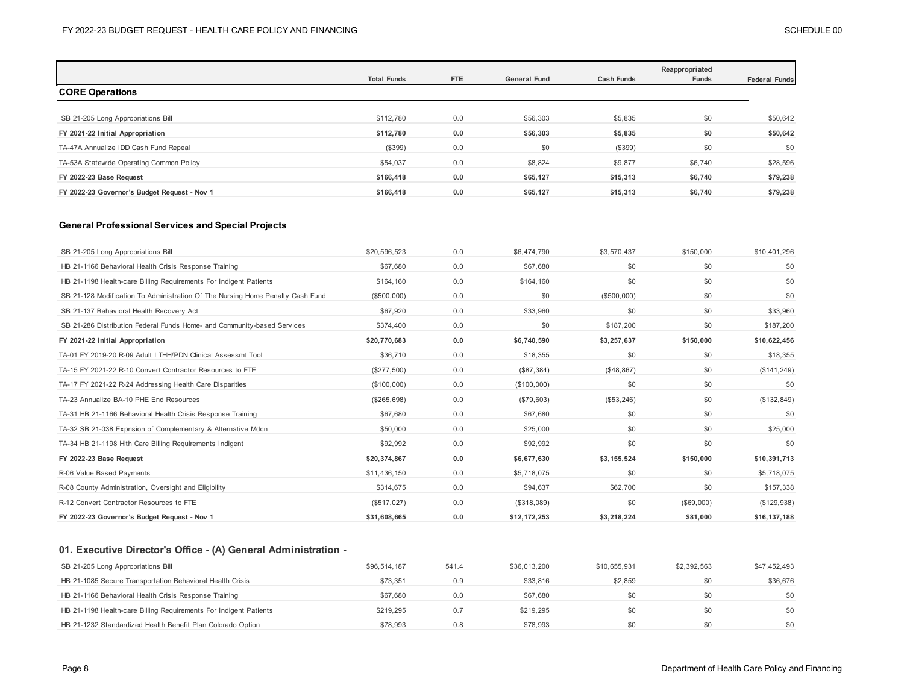|                                              | <b>Total Funds</b> | <b>FTE</b> | <b>General Fund</b> | <b>Cash Funds</b> | Reappropriated<br>Funds | <b>Federal Funds</b> |
|----------------------------------------------|--------------------|------------|---------------------|-------------------|-------------------------|----------------------|
| <b>CORE Operations</b>                       |                    |            |                     |                   |                         |                      |
|                                              |                    |            |                     |                   |                         |                      |
| SB 21-205 Long Appropriations Bill           | \$112,780          | 0.0        | \$56,303            | \$5,835           | \$0                     | \$50,642             |
| FY 2021-22 Initial Appropriation             | \$112,780          | 0.0        | \$56,303            | \$5,835           | \$0                     | \$50,642             |
| TA-47A Annualize IDD Cash Fund Repeal        | (\$399)            | 0.0        | \$0                 | (\$399)           | \$0                     | \$0                  |
| TA-53A Statewide Operating Common Policy     | \$54,037           | 0.0        | \$8,824             | \$9,877           | \$6,740                 | \$28,596             |
| FY 2022-23 Base Request                      | \$166,418          | 0.0        | \$65,127            | \$15,313          | \$6,740                 | \$79,238             |
| FY 2022-23 Governor's Budget Request - Nov 1 | \$166,418          | 0.0        | \$65,127            | \$15,313          | \$6,740                 | \$79,238             |

### **General Professional Services and Special Projects**

| SB 21-205 Long Appropriations Bill                                             | \$20,596,523 | 0.0 | \$6,474,790  | \$3,570,437 | \$150,000  | \$10,401,296 |
|--------------------------------------------------------------------------------|--------------|-----|--------------|-------------|------------|--------------|
| HB 21-1166 Behavioral Health Crisis Response Training                          | \$67,680     | 0.0 | \$67,680     | \$0         | \$0        | \$0          |
| HB 21-1198 Health-care Billing Requirements For Indigent Patients              | \$164,160    | 0.0 | \$164,160    | \$0         | \$0        | \$0          |
| SB 21-128 Modification To Administration Of The Nursing Home Penalty Cash Fund | (\$500,000)  | 0.0 | \$0          | (\$500,000) | \$0        | \$0          |
| SB 21-137 Behavioral Health Recovery Act                                       | \$67,920     | 0.0 | \$33,960     | \$0         | \$0        | \$33,960     |
| SB 21-286 Distribution Federal Funds Home- and Community-based Services        | \$374,400    | 0.0 | \$0          | \$187,200   | \$0        | \$187,200    |
| FY 2021-22 Initial Appropriation                                               | \$20,770,683 | 0.0 | \$6,740,590  | \$3,257,637 | \$150,000  | \$10,622,456 |
| TA-01 FY 2019-20 R-09 Adult LTHH/PDN Clinical Assessmt Tool                    | \$36,710     | 0.0 | \$18,355     | \$0         | \$0        | \$18,355     |
| TA-15 FY 2021-22 R-10 Convert Contractor Resources to FTE                      | (\$277,500)  | 0.0 | (\$87,384)   | (\$48,867)  | \$0        | (\$141, 249) |
| TA-17 FY 2021-22 R-24 Addressing Health Care Disparities                       | (\$100,000)  | 0.0 | (\$100,000)  | \$0         | \$0        | \$0          |
| TA-23 Annualize BA-10 PHE End Resources                                        | (\$265,698)  | 0.0 | (\$79,603)   | (\$53,246)  | \$0        | (\$132,849)  |
| TA-31 HB 21-1166 Behavioral Health Crisis Response Training                    | \$67,680     | 0.0 | \$67,680     | \$0         | \$0        | \$0          |
| TA-32 SB 21-038 Expnsion of Complementary & Alternative Mdcn                   | \$50,000     | 0.0 | \$25,000     | \$0         | \$0        | \$25,000     |
| TA-34 HB 21-1198 Hlth Care Billing Requirements Indigent                       | \$92,992     | 0.0 | \$92,992     | \$0         | \$0        | \$0          |
| FY 2022-23 Base Request                                                        | \$20,374,867 | 0.0 | \$6,677,630  | \$3,155,524 | \$150,000  | \$10,391,713 |
| R-06 Value Based Payments                                                      | \$11,436,150 | 0.0 | \$5,718,075  | \$0         | \$0        | \$5,718,075  |
| R-08 County Administration, Oversight and Eligibility                          | \$314,675    | 0.0 | \$94,637     | \$62,700    | \$0        | \$157,338    |
| R-12 Convert Contractor Resources to FTE                                       | (\$517,027)  | 0.0 | (\$318,089)  | \$0         | (\$69,000) | (\$129,938)  |
| FY 2022-23 Governor's Budget Request - Nov 1                                   | \$31,608,665 | 0.0 | \$12,172,253 | \$3,218,224 | \$81,000   | \$16,137,188 |

## **01. Executive Director's Office - (A) General Administration -**

| SB 21-205 Long Appropriations Bill                                | \$96,514,187 | 541.4 | \$36,013,200 | \$10.655.931 | \$2,392,563 | \$47.452.493 |
|-------------------------------------------------------------------|--------------|-------|--------------|--------------|-------------|--------------|
| HB 21-1085 Secure Transportation Behavioral Health Crisis         | \$73.351     | 0.9   | \$33,816     | \$2.859      | \$0         | \$36,676     |
| HB 21-1166 Behavioral Health Crisis Response Training             | \$67,680     | 0.0   | \$67,680     | \$0          |             | \$0          |
| HB 21-1198 Health-care Billing Requirements For Indigent Patients | \$219.295    | 0.7   | \$219.295    | \$0          |             | \$0          |
| HB 21-1232 Standardized Health Benefit Plan Colorado Option       | \$78,993     | 0.8   | \$78,993     | \$0          |             | \$0          |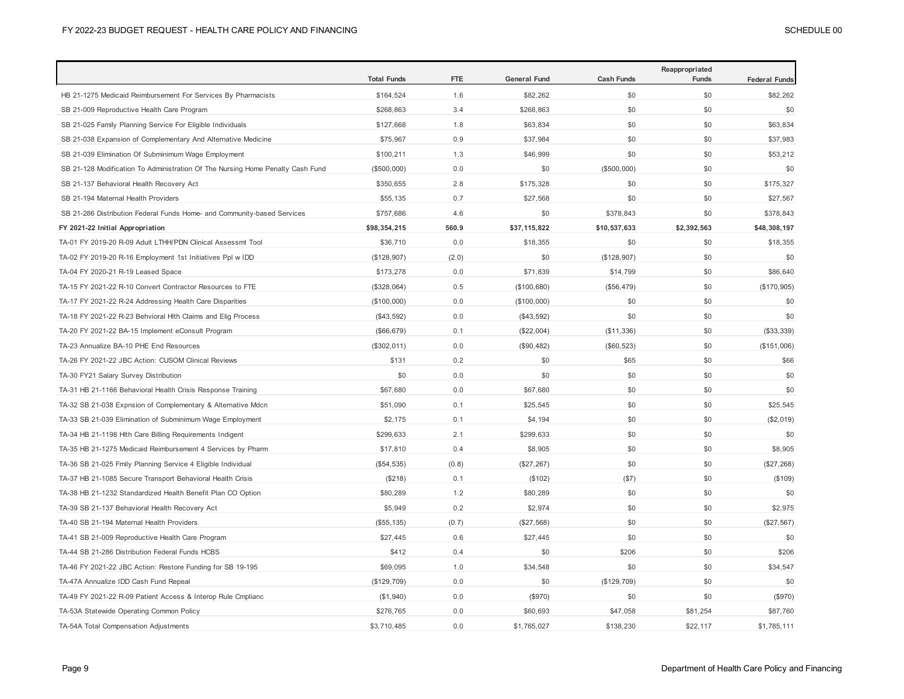|                                                                                | <b>Total Funds</b> | <b>FTE</b> | <b>General Fund</b> | <b>Cash Funds</b> | Reappropriated<br>Funds | <b>Federal Funds</b> |
|--------------------------------------------------------------------------------|--------------------|------------|---------------------|-------------------|-------------------------|----------------------|
| HB 21-1275 Medicaid Reimbursement For Services By Pharmacists                  | \$164,524          | 1.6        | \$82,262            | \$0               | \$0                     | \$82,262             |
| SB 21-009 Reproductive Health Care Program                                     | \$268,863          | 3.4        | \$268,863           | \$0               | \$0                     | \$0                  |
| SB 21-025 Family Planning Service For Eligible Individuals                     | \$127,668          | 1.8        | \$63,834            | \$0               | \$0                     | \$63,834             |
| SB 21-038 Expansion of Complementary And Alternative Medicine                  | \$75,967           | 0.9        | \$37,984            | \$0               | \$0                     | \$37,983             |
| SB 21-039 Elimination Of Subminimum Wage Employment                            | \$100,211          | 1.3        | \$46,999            | \$0               | \$0                     | \$53,212             |
| SB 21-128 Modification To Administration Of The Nursing Home Penalty Cash Fund | (\$500,000)        | 0.0        | \$0                 | (\$500,000)       | \$0                     | \$0                  |
| SB 21-137 Behavioral Health Recovery Act                                       | \$350,655          | 2.8        | \$175,328           | \$0               | \$0                     | \$175,327            |
| SB 21-194 Maternal Health Providers                                            | \$55,135           | 0.7        | \$27,568            | \$0               | \$0                     | \$27,567             |
| SB 21-286 Distribution Federal Funds Home- and Community-based Services        | \$757,686          | 4.6        | \$0                 | \$378,843         | \$0                     | \$378,843            |
| FY 2021-22 Initial Appropriation                                               | \$98,354,215       | 560.9      | \$37,115,822        | \$10,537,633      | \$2,392,563             | \$48,308,197         |
| TA-01 FY 2019-20 R-09 Adult LTHH/PDN Clinical Assessmt Tool                    | \$36,710           | 0.0        | \$18,355            | \$0               | \$0                     | \$18,355             |
| TA-02 FY 2019-20 R-16 Employment 1st Initiatives Ppl w IDD                     | (\$128,907)        | (2.0)      | \$0                 | (\$128,907)       | \$0                     | \$0                  |
| TA-04 FY 2020-21 R-19 Leased Space                                             | \$173,278          | 0.0        | \$71,839            | \$14,799          | \$0                     | \$86,640             |
| TA-15 FY 2021-22 R-10 Convert Contractor Resources to FTE                      | (\$328,064)        | 0.5        | (\$100,680)         | (\$56,479)        | \$0                     | (\$170,905)          |
| TA-17 FY 2021-22 R-24 Addressing Health Care Disparities                       | (\$100,000)        | 0.0        | (\$100,000)         | \$0               | \$0                     | \$0                  |
| TA-18 FY 2021-22 R-23 Behvioral Hlth Claims and Elig Process                   | (\$43,592)         | 0.0        | (\$43,592)          | \$0               | \$0                     | \$0                  |
| TA-20 FY 2021-22 BA-15 Implement eConsult Program                              | (\$66, 679)        | 0.1        | (\$22,004)          | (\$11,336)        | \$0                     | (\$33,339)           |
| TA-23 Annualize BA-10 PHE End Resources                                        | (\$302,011)        | 0.0        | (\$90,482)          | (\$60, 523)       | \$0                     | (\$151,006)          |
| TA-26 FY 2021-22 JBC Action: CUSOM Clinical Reviews                            | \$131              | 0.2        | \$0                 | \$65              | \$0                     | \$66                 |
| TA-30 FY21 Salary Survey Distribution                                          | \$0                | 0.0        | \$0                 | \$0               | \$0                     | \$0                  |
| TA-31 HB 21-1166 Behavioral Health Crisis Response Training                    | \$67,680           | 0.0        | \$67,680            | \$0               | \$0                     | \$0                  |
| TA-32 SB 21-038 Expnsion of Complementary & Alternative Mdcn                   | \$51,090           | 0.1        | \$25,545            | \$0               | \$0                     | \$25,545             |
| TA-33 SB 21-039 Elimination of Subminimum Wage Employment                      | \$2,175            | 0.1        | \$4,194             | \$0               | \$0                     | (\$2,019)            |
| TA-34 HB 21-1198 Hith Care Billing Requirements Indigent                       | \$299,633          | 2.1        | \$299,633           | \$0               | \$0                     | \$0                  |
| TA-35 HB 21-1275 Medicaid Reimbursement 4 Services by Pharm                    | \$17,810           | 0.4        | \$8,905             | \$0               | \$0                     | \$8,905              |
| TA-36 SB 21-025 Fmily Planning Service 4 Eligible Individual                   | (\$54,535)         | (0.8)      | (\$27,267)          | \$0               | \$0                     | (\$27,268)           |
| TA-37 HB 21-1085 Secure Transport Behavioral Health Crisis                     | (\$218)            | 0.1        | (\$102)             | (\$7)             | \$0                     | (\$109)              |
| TA-38 HB 21-1232 Standardized Health Benefit Plan CO Option                    | \$80,289           | 1.2        | \$80,289            | \$0               | \$0                     | \$0                  |
| TA-39 SB 21-137 Behavioral Health Recovery Act                                 | \$5,949            | 0.2        | \$2,974             | \$0               | \$0                     | \$2,975              |
| TA-40 SB 21-194 Maternal Health Providers                                      | (\$55, 135)        | (0.7)      | (\$27,568)          | \$0               | \$0                     | (\$27,567)           |
| TA-41 SB 21-009 Reproductive Health Care Program                               | \$27,445           | 0.6        | \$27,445            | \$0               | \$0                     | \$0                  |
| TA-44 SB 21-286 Distribution Federal Funds HCBS                                | \$412              | 0.4        | \$0                 | \$206             | \$0                     | \$206                |
| TA-46 FY 2021-22 JBC Action: Restore Funding for SB 19-195                     | \$69,095           | 1.0        | \$34,548            | \$0               | \$0                     | \$34,547             |
| TA-47A Annualize IDD Cash Fund Repeal                                          | (\$129,709)        | 0.0        | \$0                 | (\$129,709)       | \$0                     | \$0                  |
| TA-49 FY 2021-22 R-09 Patient Access & Interop Rule Cmplianc                   | (\$1,940)          | 0.0        | (\$970)             | \$0               | \$0                     | (\$970)              |
| TA-53A Statewide Operating Common Policy                                       | \$276,765          | 0.0        | \$60,693            | \$47,058          | \$81,254                | \$87,760             |
| TA-54A Total Compensation Adjustments                                          | \$3,710,485        | 0.0        | \$1,765,027         | \$138,230         | \$22,117                | \$1,785,111          |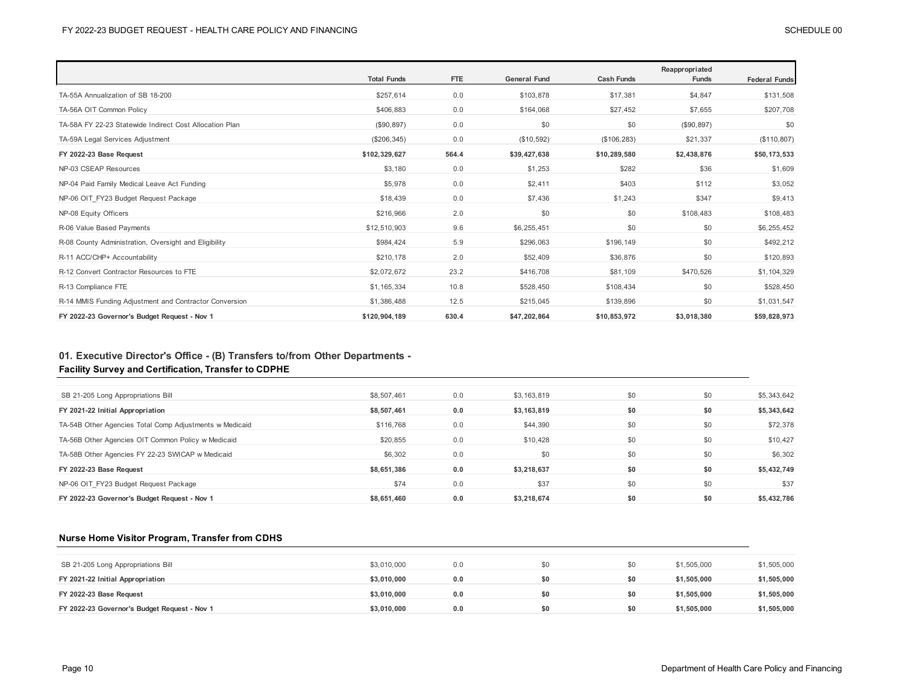|                                                         | <b>Total Funds</b> | FTE   | <b>General Fund</b> | <b>Cash Funds</b> | Reappropriated<br><b>Funds</b> | <b>Federal Funds</b> |
|---------------------------------------------------------|--------------------|-------|---------------------|-------------------|--------------------------------|----------------------|
| TA-55A Annualization of SB 18-200                       | \$257,614          | 0.0   | \$103,878           | \$17,381          | \$4,847                        | \$131,508            |
| TA-56A OIT Common Policy                                | \$406,883          | 0.0   | \$164,068           | \$27,452          | \$7,655                        | \$207,708            |
| TA-58A FY 22-23 Statewide Indirect Cost Allocation Plan | (\$90, 897)        | 0.0   | \$0                 | \$0               | (\$90,897)                     | \$0                  |
| TA-59A Legal Services Adjustment                        | (\$206,345)        | 0.0   | (\$10,592)          | (\$106, 283)      | \$21,337                       | (\$110, 807)         |
| FY 2022-23 Base Request                                 | \$102,329,627      | 564.4 | \$39,427,638        | \$10,289,580      | \$2,438,876                    | \$50,173,533         |
| NP-03 CSEAP Resources                                   | \$3,180            | 0.0   | \$1,253             | \$282             | \$36                           | \$1,609              |
| NP-04 Paid Family Medical Leave Act Funding             | \$5,978            | 0.0   | \$2,411             | \$403             | \$112                          | \$3,052              |
| NP-06 OIT FY23 Budget Request Package                   | \$18,439           | 0.0   | \$7,436             | \$1,243           | \$347                          | \$9,413              |
| NP-08 Equity Officers                                   | \$216,966          | 2.0   | \$0                 | \$0               | \$108,483                      | \$108,483            |
| R-06 Value Based Payments                               | \$12,510,903       | 9.6   | \$6,255,451         | \$0               | \$0                            | \$6,255,452          |
| R-08 County Administration, Oversight and Eligibility   | \$984,424          | 5.9   | \$296,063           | \$196,149         | \$0                            | \$492,212            |
| R-11 ACC/CHP+ Accountability                            | \$210,178          | 2.0   | \$52,409            | \$36,876          | \$0                            | \$120,893            |
| R-12 Convert Contractor Resources to FTE                | \$2,072,672        | 23.2  | \$416,708           | \$81,109          | \$470,526                      | \$1,104,329          |
| R-13 Compliance FTE                                     | \$1,165,334        | 10.8  | \$528.450           | \$108.434         | \$0                            | \$528,450            |
| R-14 MMIS Funding Adjustment and Contractor Conversion  | \$1,386,488        | 12.5  | \$215,045           | \$139,896         | \$0                            | \$1,031,547          |
| FY 2022-23 Governor's Budget Request - Nov 1            | \$120,904,189      | 630.4 | \$47,202,864        | \$10,853,972      | \$3,018,380                    | \$59,828,973         |

## **01. Executive Director's Office - (B) Transfers to/from Other Departments - Facility Survey and Certification, Transfer to CDPHE**

| SB 21-205 Long Appropriations Bill                      | \$8,507,461 | 0.0 | \$3,163,819 | \$0 | \$0 | \$5,343,642 |
|---------------------------------------------------------|-------------|-----|-------------|-----|-----|-------------|
| FY 2021-22 Initial Appropriation                        | \$8,507,461 | 0.0 | \$3,163,819 | \$0 | \$0 | \$5,343,642 |
| TA-54B Other Agencies Total Comp Adjustments w Medicaid | \$116,768   | 0.0 | \$44,390    | \$0 | \$0 | \$72,378    |
| TA-56B Other Agencies OIT Common Policy w Medicaid      | \$20,855    | 0.0 | \$10,428    | \$0 | \$0 | \$10,427    |
| TA-58B Other Agencies FY 22-23 SWICAP w Medicaid        | \$6,302     | 0.0 | \$0         | \$0 | \$0 | \$6,302     |
| FY 2022-23 Base Request                                 | \$8,651,386 | 0.0 | \$3,218,637 | \$0 | \$0 | \$5,432,749 |
| NP-06 OIT FY23 Budget Request Package                   | \$74        | 0.0 | \$37        | \$0 | \$0 | \$37        |
| FY 2022-23 Governor's Budget Request - Nov 1            | \$8,651,460 | 0.0 | \$3,218,674 | \$0 | \$0 | \$5,432,786 |

## **Nurse Home Visitor Program, Transfer from CDHS**

| SB 21-205 Long Appropriations Bill           | \$3,010,000 | 0.0 | SO. | \$0 | \$1,505,000 | \$1,505,000 |
|----------------------------------------------|-------------|-----|-----|-----|-------------|-------------|
| FY 2021-22 Initial Appropriation             | \$3.010.000 | 0.0 |     | \$0 | \$1,505,000 | \$1,505,000 |
| FY 2022-23 Base Request                      | \$3.010.000 | 0.0 | S0  | \$0 | \$1,505,000 | \$1,505,000 |
| FY 2022-23 Governor's Budget Request - Nov 1 | \$3.010.000 | 0.0 | \$0 | \$0 | \$1,505,000 | \$1,505,000 |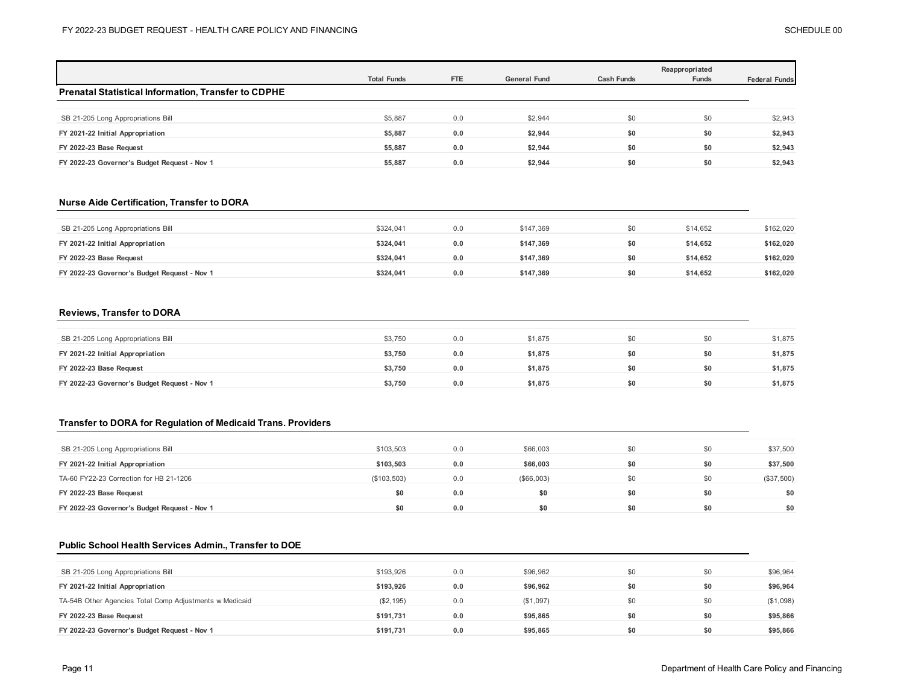|                                                            |                    |     |                     |                   | Reappropriated |                      |  |
|------------------------------------------------------------|--------------------|-----|---------------------|-------------------|----------------|----------------------|--|
|                                                            | <b>Total Funds</b> | FTE | <b>General Fund</b> | <b>Cash Funds</b> | <b>Funds</b>   | <b>Federal Funds</b> |  |
| <b>Prenatal Statistical Information, Transfer to CDPHE</b> |                    |     |                     |                   |                |                      |  |
|                                                            |                    |     |                     |                   |                |                      |  |
| SB 21-205 Long Appropriations Bill                         | \$5,887            | 0.0 | \$2,944             | \$0               | \$0            | \$2,943              |  |
| FY 2021-22 Initial Appropriation                           | \$5,887            | 0.0 | \$2,944             | \$0               | \$0            | \$2,943              |  |
| FY 2022-23 Base Request                                    | \$5,887            | 0.0 | \$2,944             | \$0               | \$0            | \$2,943              |  |
| FY 2022-23 Governor's Budget Request - Nov 1               | \$5,887            | 0.0 | \$2,944             | \$0               | \$0            | \$2,943              |  |

## **Nurse Aide Certification, Transfer to DORA**

| SB 21-205 Long Appropriations Bill           | \$324,041 | 0.0 | \$147.369 | \$0 | \$14,652 | \$162,020 |
|----------------------------------------------|-----------|-----|-----------|-----|----------|-----------|
| FY 2021-22 Initial Appropriation             | \$324.041 | 0.0 | \$147.369 | \$0 | \$14.652 | \$162,020 |
| FY 2022-23 Base Request                      | \$324.041 | 0.0 | \$147.369 | \$0 | \$14.652 | \$162,020 |
| FY 2022-23 Governor's Budget Request - Nov 1 | \$324.041 | 0.0 | \$147.369 | \$0 | \$14.652 | \$162,020 |

### **Reviews, Transfer to DORA**

| SB 21-205 Long Appropriations Bill           | \$3,750 | 0.0 | \$1.875 |     | SO. | \$1,875 |
|----------------------------------------------|---------|-----|---------|-----|-----|---------|
| FY 2021-22 Initial Appropriation             | \$3.750 | 0.0 | \$1,875 | \$0 | SO. | \$1,875 |
| FY 2022-23 Base Request                      | \$3,750 | 0.0 | \$1,875 | \$0 | \$0 | \$1,875 |
| FY 2022-23 Governor's Budget Request - Nov 1 | \$3,750 | 0.0 | \$1,875 | \$0 | \$0 | \$1,875 |

## **Transfer to DORA for Regulation of Medicaid Trans. Providers**

| SB 21-205 Long Appropriations Bill           | \$103.503   | 0.0 | \$66,003   | \$0 | \$0 | \$37,500   |
|----------------------------------------------|-------------|-----|------------|-----|-----|------------|
| FY 2021-22 Initial Appropriation             | \$103.503   | 0.0 | \$66,003   | \$0 | \$0 | \$37,500   |
| TA-60 FY22-23 Correction for HB 21-1206      | (\$103,503) | 0.0 | (\$66,003) | \$0 | \$0 | (\$37,500) |
| FY 2022-23 Base Request                      | \$0         | 0.0 | \$0        | \$0 | \$0 | \$0        |
| FY 2022-23 Governor's Budget Request - Nov 1 | \$0         | 0.0 | \$0        | \$0 | \$0 | \$0        |

### **Public School Health Services Admin., Transfer to DOE**

| SB 21-205 Long Appropriations Bill                      | \$193.926  | 0.0 | \$96,962  | \$0 | \$0 | \$96,964  |
|---------------------------------------------------------|------------|-----|-----------|-----|-----|-----------|
| FY 2021-22 Initial Appropriation                        | \$193.926  | 0.0 | \$96,962  | \$0 | \$0 | \$96.964  |
| TA-54B Other Agencies Total Comp Adjustments w Medicaid | (\$2, 195) | 0.0 | (\$1,097) | \$0 | \$0 | (\$1,098) |
| FY 2022-23 Base Request                                 | \$191.731  | 0.0 | \$95,865  | \$0 | \$0 | \$95,866  |
| FY 2022-23 Governor's Budget Request - Nov 1            | \$191.731  | 0.0 | \$95,865  | \$0 | \$0 | \$95,866  |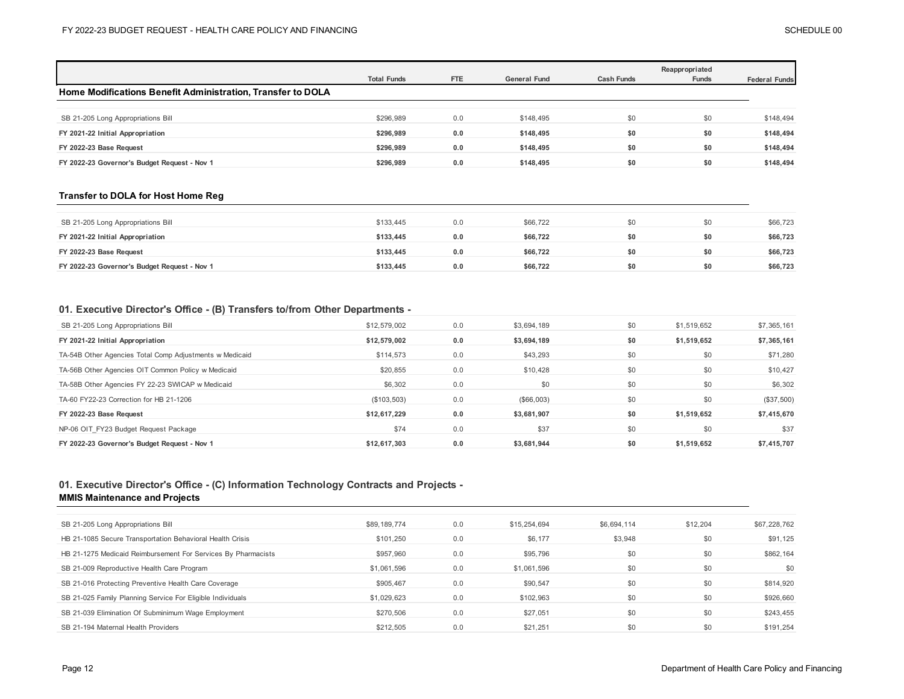|                                                             | <b>Total Funds</b> | <b>FTE</b> | <b>General Fund</b> | <b>Cash Funds</b> | Reappropriated<br><b>Funds</b> | <b>Federal Funds</b> |
|-------------------------------------------------------------|--------------------|------------|---------------------|-------------------|--------------------------------|----------------------|
| Home Modifications Benefit Administration, Transfer to DOLA |                    |            |                     |                   |                                |                      |
|                                                             |                    |            |                     |                   |                                |                      |
| SB 21-205 Long Appropriations Bill                          | \$296,989          | 0.0        | \$148,495           | \$0               | \$0                            | \$148,494            |
| FY 2021-22 Initial Appropriation                            | \$296.989          | 0.0        | \$148.495           | \$0               | \$0                            | \$148,494            |
| FY 2022-23 Base Request                                     | \$296.989          | 0.0        | \$148,495           | \$0               | \$0                            | \$148,494            |
| FY 2022-23 Governor's Budget Request - Nov 1                | \$296.989          | 0.0        | \$148.495           | \$0               | \$0                            | \$148.494            |

### **Transfer to DOLA for Host Home Reg**

| SB 21-205 Long Appropriations Bill           | \$133,445 |     | \$66,722 |     | \$0 | \$66,723 |
|----------------------------------------------|-----------|-----|----------|-----|-----|----------|
| FY 2021-22 Initial Appropriation             | \$133.445 | 0.0 | \$66.722 | \$0 | \$0 | \$66,723 |
| FY 2022-23 Base Request                      | \$133.445 | 0.0 | \$66.722 |     | \$0 | \$66,723 |
| FY 2022-23 Governor's Budget Request - Nov 1 | \$133,445 |     | \$66,722 | \$0 | \$0 | \$66,723 |

### **01. Executive Director's Office - (B) Transfers to/from Other Departments -**

| SB 21-205 Long Appropriations Bill                      | \$12,579,002 | 0.0 | \$3,694,189 | \$0 | \$1,519,652 | \$7,365,161  |
|---------------------------------------------------------|--------------|-----|-------------|-----|-------------|--------------|
| FY 2021-22 Initial Appropriation                        | \$12,579,002 | 0.0 | \$3,694,189 | \$0 | \$1,519,652 | \$7,365,161  |
| TA-54B Other Agencies Total Comp Adjustments w Medicaid | \$114,573    | 0.0 | \$43,293    | \$0 | \$0         | \$71,280     |
| TA-56B Other Agencies OIT Common Policy w Medicaid      | \$20,855     | 0.0 | \$10,428    | \$0 | \$0         | \$10,427     |
| TA-58B Other Agencies FY 22-23 SWICAP w Medicaid        | \$6,302      | 0.0 | \$0         | \$0 | \$0         | \$6,302      |
| TA-60 FY22-23 Correction for HB 21-1206                 | (\$103,503)  | 0.0 | (\$66,003)  | \$0 | \$0         | $(\$37,500)$ |
| FY 2022-23 Base Request                                 | \$12.617.229 | 0.0 | \$3.681.907 | \$0 | \$1.519.652 | \$7,415,670  |
| NP-06 OIT FY23 Budget Request Package                   | \$74         | 0.0 | \$37        | \$0 | \$0         | \$37         |
| FY 2022-23 Governor's Budget Request - Nov 1            | \$12.617.303 | 0.0 | \$3.681.944 | \$0 | \$1.519.652 | \$7.415.707  |

## **01. Executive Director's Office - (C) Information Technology Contracts and Projects -**

### **MMIS Maintenance and Projects**

| SB 21-205 Long Appropriations Bill                            | \$89,189,774 | 0.0 | \$15,254,694 | \$6,694,114 | \$12,204 | \$67,228,762 |
|---------------------------------------------------------------|--------------|-----|--------------|-------------|----------|--------------|
| HB 21-1085 Secure Transportation Behavioral Health Crisis     | \$101.250    | 0.0 | \$6,177      | \$3,948     | \$0      | \$91,125     |
| HB 21-1275 Medicaid Reimbursement For Services By Pharmacists | \$957.960    | 0.0 | \$95,796     | \$0         | \$0      | \$862,164    |
| SB 21-009 Reproductive Health Care Program                    | \$1,061,596  | 0.0 | \$1,061,596  | \$0         | \$0      | \$0          |
| SB 21-016 Protecting Preventive Health Care Coverage          | \$905,467    | 0.0 | \$90,547     | \$0         | \$0      | \$814,920    |
| SB 21-025 Family Planning Service For Eligible Individuals    | \$1,029,623  | 0.0 | \$102,963    | \$0         | \$0      | \$926,660    |
| SB 21-039 Elimination Of Subminimum Wage Employment           | \$270,506    | 0.0 | \$27.051     | \$0         | \$0      | \$243,455    |
| SB 21-194 Maternal Health Providers                           | \$212,505    | 0.0 | \$21,251     | \$0         | \$0      | \$191.254    |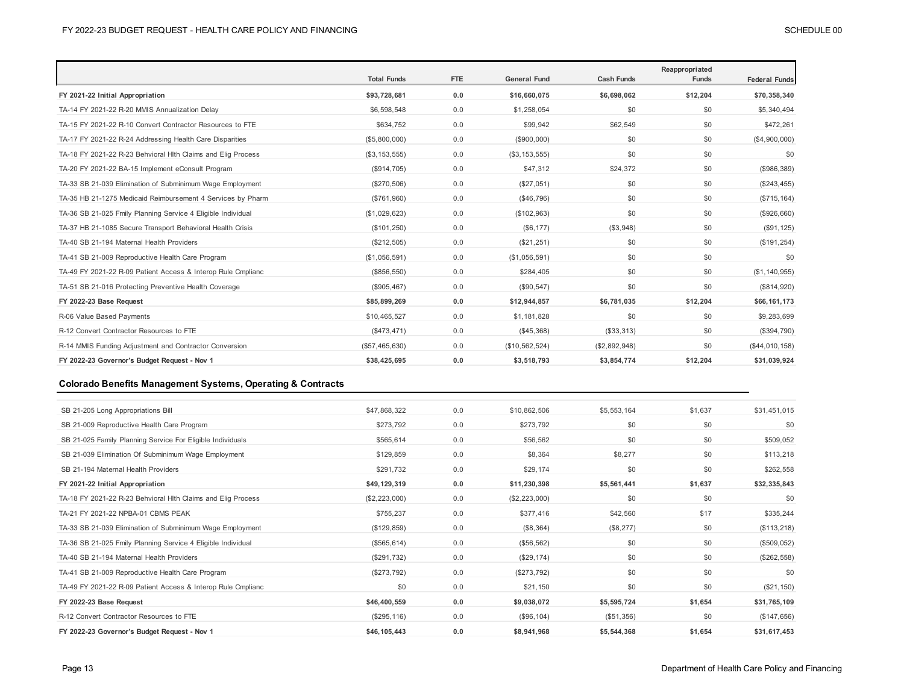|                                                              | <b>Total Funds</b> | <b>FTE</b> | <b>General Fund</b> | <b>Cash Funds</b> | Reappropriated<br><b>Funds</b> | <b>Federal Funds</b> |
|--------------------------------------------------------------|--------------------|------------|---------------------|-------------------|--------------------------------|----------------------|
| FY 2021-22 Initial Appropriation                             | \$93,728,681       | 0.0        | \$16,660,075        | \$6,698,062       | \$12,204                       | \$70,358,340         |
| TA-14 FY 2021-22 R-20 MMIS Annualization Delay               | \$6,598,548        | 0.0        | \$1,258,054         | \$0               | \$0                            | \$5,340,494          |
| TA-15 FY 2021-22 R-10 Convert Contractor Resources to FTE    | \$634,752          | 0.0        | \$99,942            | \$62,549          | \$0                            | \$472,261            |
| TA-17 FY 2021-22 R-24 Addressing Health Care Disparities     | (\$5,800,000)      | 0.0        | (\$900,000)         | \$0               | \$0                            | (\$4,900,000)        |
| TA-18 FY 2021-22 R-23 Behvioral Hlth Claims and Elig Process | (\$3, 153, 555)    | 0.0        | (\$3, 153, 555)     | \$0               | \$0                            | \$0                  |
| TA-20 FY 2021-22 BA-15 Implement eConsult Program            | (\$914,705)        | 0.0        | \$47,312            | \$24,372          | \$0                            | $($ \$986,389)       |
| TA-33 SB 21-039 Elimination of Subminimum Wage Employment    | (\$270,506)        | 0.0        | (\$27,051)          | \$0               | \$0                            | (\$243, 455)         |
| TA-35 HB 21-1275 Medicaid Reimbursement 4 Services by Pharm  | (\$761,960)        | 0.0        | (\$46,796)          | \$0               | \$0                            | (\$715, 164)         |
| TA-36 SB 21-025 Fmily Planning Service 4 Eligible Individual | (\$1,029,623)      | 0.0        | (\$102,963)         | \$0               | \$0                            | (\$926,660)          |
| TA-37 HB 21-1085 Secure Transport Behavioral Health Crisis   | (\$101, 250)       | 0.0        | (S6, 177)           | (\$3,948)         | \$0                            | (\$91, 125)          |
| TA-40 SB 21-194 Maternal Health Providers                    | (\$212,505)        | 0.0        | (\$21,251)          | \$0               | \$0                            | (\$191, 254)         |
| TA-41 SB 21-009 Reproductive Health Care Program             | (\$1,056,591)      | 0.0        | (\$1,056,591)       | \$0               | \$0                            | \$0                  |
| TA-49 FY 2021-22 R-09 Patient Access & Interop Rule Cmplianc | (\$856,550)        | 0.0        | \$284,405           | \$0               | \$0                            | (\$1, 140, 955)      |
| TA-51 SB 21-016 Protecting Preventive Health Coverage        | (\$905,467)        | 0.0        | (\$90, 547)         | \$0               | \$0                            | (\$814,920)          |
| FY 2022-23 Base Request                                      | \$85,899,269       | 0.0        | \$12,944,857        | \$6,781,035       | \$12,204                       | \$66,161,173         |
| R-06 Value Based Payments                                    | \$10,465,527       | 0.0        | \$1,181,828         | \$0               | \$0                            | \$9,283,699          |
| R-12 Convert Contractor Resources to FTE                     | (\$473, 471)       | 0.0        | (\$45,368)          | (\$33,313)        | \$0                            | (\$394,790)          |
| R-14 MMIS Funding Adjustment and Contractor Conversion       | (\$57,465,630)     | 0.0        | (\$10,562,524)      | (\$2,892,948)     | \$0                            | (\$44,010,158)       |
| FY 2022-23 Governor's Budget Request - Nov 1                 | \$38,425,695       | 0.0        | \$3,518,793         | \$3,854,774       | \$12,204                       | \$31,039,924         |

## **Colorado Benefits Management Systems, Operating & Contracts**

| SB 21-205 Long Appropriations Bill                           | \$47,868,322  | 0.0 | \$10,862,506  | \$5,553,164 | \$1,637 | \$31,451,015 |
|--------------------------------------------------------------|---------------|-----|---------------|-------------|---------|--------------|
| SB 21-009 Reproductive Health Care Program                   | \$273,792     | 0.0 | \$273,792     | \$0         | \$0     | \$0          |
| SB 21-025 Family Planning Service For Eligible Individuals   | \$565,614     | 0.0 | \$56,562      | \$0         | \$0     | \$509,052    |
| SB 21-039 Elimination Of Subminimum Wage Employment          | \$129,859     | 0.0 | \$8,364       | \$8,277     | \$0     | \$113,218    |
| SB 21-194 Maternal Health Providers                          | \$291,732     | 0.0 | \$29,174      | \$0         | \$0     | \$262,558    |
| FY 2021-22 Initial Appropriation                             | \$49,129,319  | 0.0 | \$11,230,398  | \$5,561,441 | \$1,637 | \$32,335,843 |
| TA-18 FY 2021-22 R-23 Behvioral Hith Claims and Elig Process | (\$2,223,000) | 0.0 | (\$2,223,000) | \$0         | \$0     | \$0          |
| TA-21 FY 2021-22 NPBA-01 CBMS PEAK                           | \$755,237     | 0.0 | \$377,416     | \$42,560    | \$17    | \$335,244    |
| TA-33 SB 21-039 Elimination of Subminimum Wage Employment    | (\$129, 859)  | 0.0 | (\$8,364)     | (\$8,277)   | \$0     | (\$113, 218) |
| TA-36 SB 21-025 Fmily Planning Service 4 Eligible Individual | (\$565, 614)  | 0.0 | (\$56,562)    | \$0         | \$0     | (\$509,052)  |
| TA-40 SB 21-194 Maternal Health Providers                    | (\$291,732)   | 0.0 | (\$29,174)    | \$0         | \$0     | (\$262, 558) |
| TA-41 SB 21-009 Reproductive Health Care Program             | (\$273,792)   | 0.0 | (\$273,792)   | \$0         | \$0     | \$0          |
| TA-49 FY 2021-22 R-09 Patient Access & Interop Rule Cmplianc | \$0           | 0.0 | \$21,150      | \$0         | \$0     | (\$21, 150)  |
| FY 2022-23 Base Request                                      | \$46,400,559  | 0.0 | \$9,038,072   | \$5,595,724 | \$1,654 | \$31,765,109 |
| R-12 Convert Contractor Resources to FTE                     | (\$295, 116)  | 0.0 | (\$96,104)    | (\$51,356)  | \$0     | (\$147,656)  |
| FY 2022-23 Governor's Budget Request - Nov 1                 | \$46,105,443  | 0.0 | \$8,941,968   | \$5,544,368 | \$1,654 | \$31,617,453 |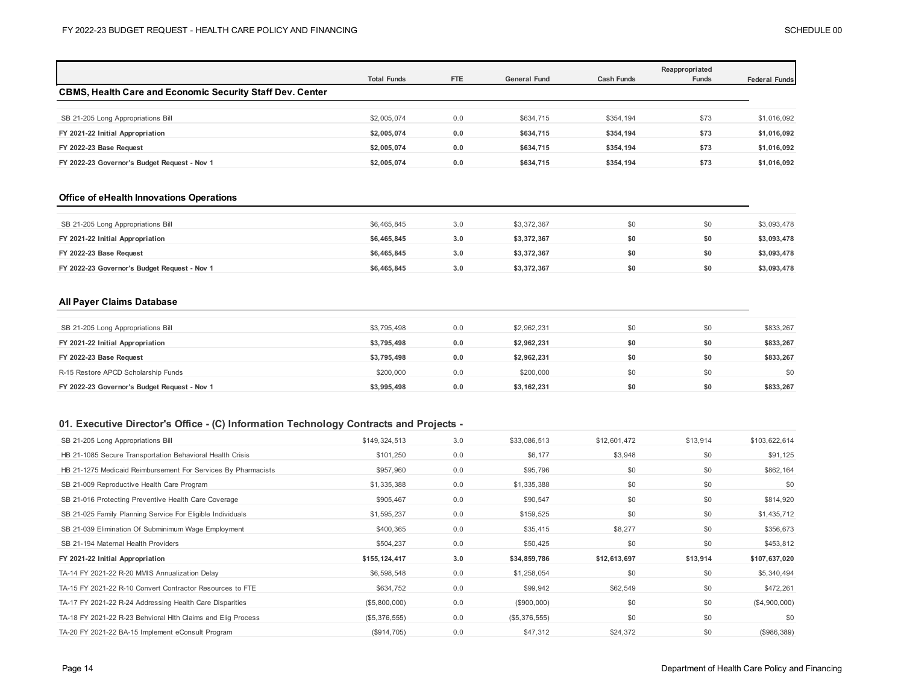|                                                                  | <b>Total Funds</b> | FTE | <b>General Fund</b> | <b>Cash Funds</b> | Reappropriated<br><b>Funds</b> | <b>Federal Funds</b> |
|------------------------------------------------------------------|--------------------|-----|---------------------|-------------------|--------------------------------|----------------------|
| <b>CBMS, Health Care and Economic Security Staff Dev. Center</b> |                    |     |                     |                   |                                |                      |
|                                                                  |                    |     |                     |                   |                                |                      |
| SB 21-205 Long Appropriations Bill                               | \$2,005,074        | 0.0 | \$634,715           | \$354,194         | \$73                           | \$1,016,092          |
| FY 2021-22 Initial Appropriation                                 | \$2,005,074        | 0.0 | \$634.715           | \$354.194         | \$73                           | \$1,016,092          |
| FY 2022-23 Base Request                                          | \$2.005.074        | 0.0 | \$634.715           | \$354.194         | \$73                           | \$1,016,092          |
| FY 2022-23 Governor's Budget Request - Nov 1                     | \$2.005.074        | 0.0 | \$634.715           | \$354.194         | \$73                           | \$1.016.092          |

#### **Office of eHealth Innovations Operations**

| SB 21-205 Long Appropriations Bill           | \$6,465,845 | 3.0 | \$3,372,367 |     | \$0 | \$3,093,478 |
|----------------------------------------------|-------------|-----|-------------|-----|-----|-------------|
| FY 2021-22 Initial Appropriation             | \$6,465,845 | 3.0 | \$3.372.367 | \$0 | SO. | \$3,093,478 |
| FY 2022-23 Base Request                      | \$6,465,845 | 3.0 | \$3,372,367 | \$0 | \$0 | \$3,093,478 |
| FY 2022-23 Governor's Budget Request - Nov 1 | \$6,465,845 | 3.0 | \$3,372,367 | \$0 | SO. | \$3,093,478 |

### **All Payer Claims Database**

| SB 21-205 Long Appropriations Bill           | \$3,795,498 | 0.0 | \$2,962,231 | \$0 | \$0 | \$833,267 |
|----------------------------------------------|-------------|-----|-------------|-----|-----|-----------|
| FY 2021-22 Initial Appropriation             | \$3,795,498 | 0.0 | \$2.962.231 | \$0 | \$0 | \$833,267 |
| FY 2022-23 Base Request                      | \$3,795,498 | 0.0 | \$2,962,231 | \$0 | \$0 | \$833,267 |
| R-15 Restore APCD Scholarship Funds          | \$200,000   | 0.0 | \$200,000   | \$0 | \$0 | \$0       |
| FY 2022-23 Governor's Budget Request - Nov 1 | \$3,995,498 | 0.0 | \$3.162.231 | \$0 | \$0 | \$833.267 |

## **01. Executive Director's Office - (C) Information Technology Contracts and Projects -**

| SB 21-205 Long Appropriations Bill                            | \$149,324,513 | 3.0 | \$33,086,513  | \$12,601,472 | \$13,914 | \$103,622,614 |
|---------------------------------------------------------------|---------------|-----|---------------|--------------|----------|---------------|
| HB 21-1085 Secure Transportation Behavioral Health Crisis     | \$101,250     | 0.0 | \$6,177       | \$3,948      | \$0      | \$91,125      |
| HB 21-1275 Medicaid Reimbursement For Services By Pharmacists | \$957,960     | 0.0 | \$95,796      | \$0          | \$0      | \$862,164     |
| SB 21-009 Reproductive Health Care Program                    | \$1,335,388   | 0.0 | \$1,335,388   | \$0          | \$0      | \$0           |
| SB 21-016 Protecting Preventive Health Care Coverage          | \$905,467     | 0.0 | \$90,547      | \$0          | \$0      | \$814,920     |
| SB 21-025 Family Planning Service For Eligible Individuals    | \$1,595,237   | 0.0 | \$159,525     | \$0          | \$0      | \$1,435,712   |
| SB 21-039 Elimination Of Subminimum Wage Employment           | \$400,365     | 0.0 | \$35,415      | \$8,277      | \$0      | \$356,673     |
| SB 21-194 Maternal Health Providers                           | \$504,237     | 0.0 | \$50,425      | \$0          | \$0      | \$453,812     |
| FY 2021-22 Initial Appropriation                              | \$155,124,417 | 3.0 | \$34,859,786  | \$12,613,697 | \$13,914 | \$107,637,020 |
| TA-14 FY 2021-22 R-20 MMIS Annualization Delay                | \$6,598,548   | 0.0 | \$1,258,054   | \$0          | \$0      | \$5,340,494   |
| TA-15 FY 2021-22 R-10 Convert Contractor Resources to FTE     | \$634,752     | 0.0 | \$99,942      | \$62,549     | \$0      | \$472,261     |
| TA-17 FY 2021-22 R-24 Addressing Health Care Disparities      | (\$5,800,000) | 0.0 | (\$900,000)   | \$0          | \$0      | (\$4,900,000) |
| TA-18 FY 2021-22 R-23 Behvioral Hlth Claims and Elig Process  | (\$5,376,555) | 0.0 | (\$5,376,555) | \$0          | \$0      | \$0           |
| TA-20 FY 2021-22 BA-15 Implement eConsult Program             | (\$914,705)   | 0.0 | \$47,312      | \$24,372     | \$0      | (\$986,389)   |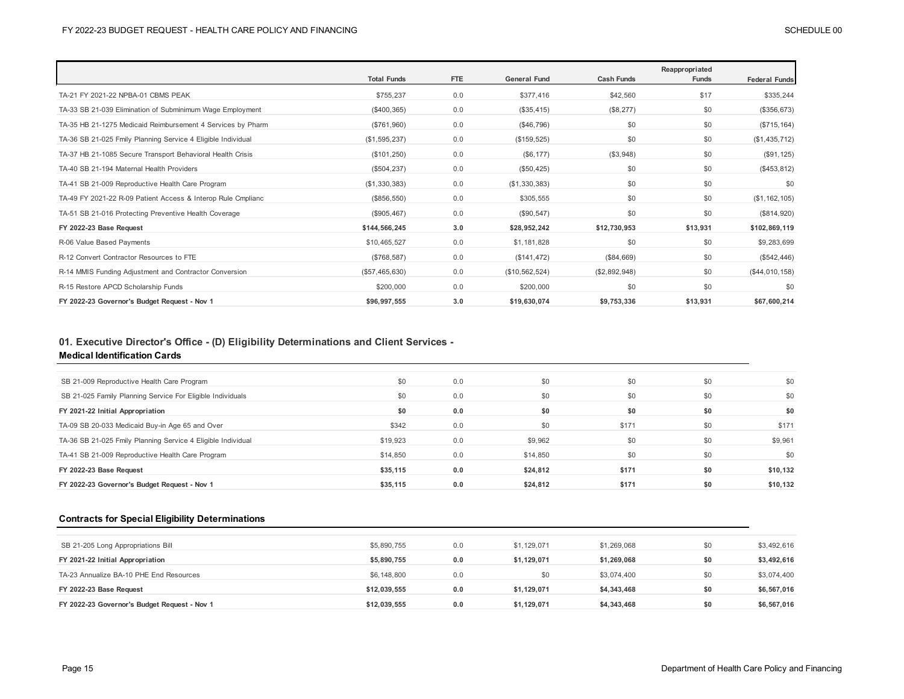|                                                              |                    |            |                     |                   | Reappropriated |                      |
|--------------------------------------------------------------|--------------------|------------|---------------------|-------------------|----------------|----------------------|
|                                                              | <b>Total Funds</b> | <b>FTE</b> | <b>General Fund</b> | <b>Cash Funds</b> | <b>Funds</b>   | <b>Federal Funds</b> |
| TA-21 FY 2021-22 NPBA-01 CBMS PEAK                           | \$755,237          | 0.0        | \$377,416           | \$42,560          | \$17           | \$335,244            |
| TA-33 SB 21-039 Elimination of Subminimum Wage Employment    | (\$400,365)        | 0.0        | (\$35,415)          | (\$8,277)         | \$0            | (\$356, 673)         |
| TA-35 HB 21-1275 Medicaid Reimbursement 4 Services by Pharm  | (\$761,960)        | 0.0        | (\$46,796)          | \$0               | \$0            | (\$715, 164)         |
| TA-36 SB 21-025 Fmily Planning Service 4 Eligible Individual | (\$1,595,237)      | 0.0        | (\$159, 525)        | \$0               | \$0            | (\$1,435,712)        |
| TA-37 HB 21-1085 Secure Transport Behavioral Health Crisis   | (\$101, 250)       | 0.0        | (\$6, 177)          | (\$3,948)         | \$0            | (\$91, 125)          |
| TA-40 SB 21-194 Maternal Health Providers                    | (\$504, 237)       | 0.0        | (\$50,425)          | \$0               | \$0            | (\$453, 812)         |
| TA-41 SB 21-009 Reproductive Health Care Program             | (\$1,330,383)      | 0.0        | (\$1,330,383)       | \$0               | \$0            | \$0                  |
| TA-49 FY 2021-22 R-09 Patient Access & Interop Rule Cmplianc | (\$856,550)        | 0.0        | \$305,555           | \$0               | \$0            | (\$1, 162, 105)      |
| TA-51 SB 21-016 Protecting Preventive Health Coverage        | (\$905,467)        | 0.0        | (\$90,547)          | \$0               | \$0            | (\$814,920)          |
| FY 2022-23 Base Request                                      | \$144,566,245      | 3.0        | \$28,952,242        | \$12,730,953      | \$13,931       | \$102,869,119        |
| R-06 Value Based Payments                                    | \$10,465,527       | 0.0        | \$1,181,828         | \$0               | \$0            | \$9,283,699          |
| R-12 Convert Contractor Resources to FTE                     | (\$768,587)        | 0.0        | (\$141, 472)        | (\$84,669)        | \$0            | (\$542,446)          |
| R-14 MMIS Funding Adjustment and Contractor Conversion       | (\$57,465,630)     | 0.0        | (\$10,562,524)      | (\$2,892,948)     | \$0            | (\$44,010,158)       |
| R-15 Restore APCD Scholarship Funds                          | \$200,000          | 0.0        | \$200,000           | \$0               | \$0            | \$0                  |
| FY 2022-23 Governor's Budget Request - Nov 1                 | \$96,997,555       | 3.0        | \$19,630,074        | \$9,753,336       | \$13.931       | \$67,600,214         |

# **01. Executive Director's Office - (D) Eligibility Determinations and Client Services -**

### **Medical Identification Cards**

| \$0      | 0.0 | \$0      | \$0   | \$0 | \$0      |
|----------|-----|----------|-------|-----|----------|
| \$0      | 0.0 | \$0      | \$0   | \$0 | \$0      |
| \$0      | 0.0 | \$0      | \$0   | \$0 | \$0      |
| \$342    | 0.0 | \$0      | \$171 | \$0 | \$171    |
| \$19,923 | 0.0 | \$9,962  | \$0   | \$0 | \$9,961  |
| \$14,850 | 0.0 | \$14,850 | \$0   | \$0 | \$0      |
| \$35,115 | 0.0 | \$24,812 | \$171 | \$0 | \$10,132 |
| \$35,115 | 0.0 | \$24.812 | \$171 | \$0 | \$10,132 |
|          |     |          |       |     |          |

## **Contracts for Special Eligibility Determinations**

| SB 21-205 Long Appropriations Bill           | \$5,890,755  | 0.0 | \$1.129.071 | \$1,269,068 | \$0 | \$3,492,616 |
|----------------------------------------------|--------------|-----|-------------|-------------|-----|-------------|
| FY 2021-22 Initial Appropriation             | \$5,890,755  | 0.0 | \$1.129.071 | \$1,269,068 | \$0 | \$3,492,616 |
| TA-23 Annualize BA-10 PHE End Resources      | \$6,148,800  | 0.0 | \$0         | \$3.074.400 | \$0 | \$3,074,400 |
| FY 2022-23 Base Request                      | \$12.039.555 | 0.0 | \$1.129.071 | \$4,343,468 | \$0 | \$6,567,016 |
| FY 2022-23 Governor's Budget Request - Nov 1 | \$12,039,555 | 0.0 | \$1,129,071 | \$4,343,468 | \$0 | \$6,567,016 |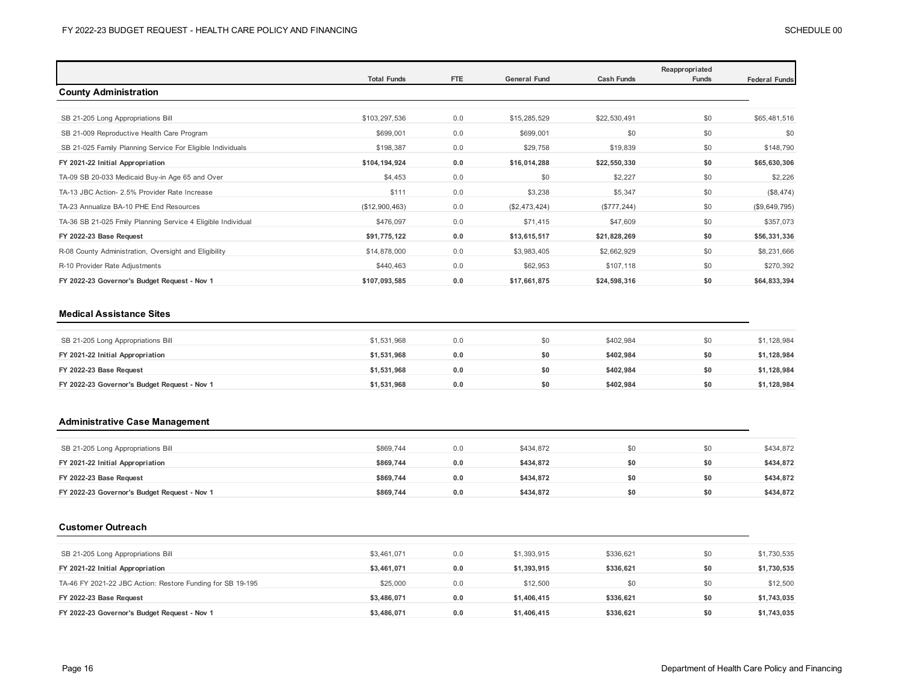|                                                              |                    |            |                     |                   | Reappropriated |                      |
|--------------------------------------------------------------|--------------------|------------|---------------------|-------------------|----------------|----------------------|
|                                                              | <b>Total Funds</b> | <b>FTE</b> | <b>General Fund</b> | <b>Cash Funds</b> | Funds          | <b>Federal Funds</b> |
| <b>County Administration</b>                                 |                    |            |                     |                   |                |                      |
|                                                              |                    |            |                     |                   |                |                      |
| SB 21-205 Long Appropriations Bill                           | \$103,297,536      | 0.0        | \$15,285,529        | \$22,530,491      | \$0            | \$65,481,516         |
| SB 21-009 Reproductive Health Care Program                   | \$699,001          | 0.0        | \$699,001           | \$0               | \$0            | \$0                  |
| SB 21-025 Family Planning Service For Eligible Individuals   | \$198,387          | 0.0        | \$29,758            | \$19,839          | \$0            | \$148,790            |
| FY 2021-22 Initial Appropriation                             | \$104,194,924      | 0.0        | \$16,014,288        | \$22,550,330      | \$0            | \$65,630,306         |
| TA-09 SB 20-033 Medicaid Buy-in Age 65 and Over              | \$4,453            | 0.0        | \$0                 | \$2,227           | \$0            | \$2,226              |
| TA-13 JBC Action- 2.5% Provider Rate Increase                | \$111              | 0.0        | \$3,238             | \$5,347           | \$0            | (\$8,474)            |
| TA-23 Annualize BA-10 PHE End Resources                      | (\$12,900,463)     | 0.0        | (\$2,473,424)       | (\$777, 244)      | \$0            | (\$9,649,795)        |
| TA-36 SB 21-025 Fmily Planning Service 4 Eligible Individual | \$476,097          | 0.0        | \$71,415            | \$47,609          | \$0            | \$357,073            |
| FY 2022-23 Base Request                                      | \$91,775,122       | 0.0        | \$13,615,517        | \$21,828,269      | \$0            | \$56,331,336         |
| R-08 County Administration, Oversight and Eligibility        | \$14,878,000       | 0.0        | \$3,983,405         | \$2,662,929       | \$0            | \$8,231,666          |
| R-10 Provider Rate Adjustments                               | \$440,463          | 0.0        | \$62,953            | \$107,118         | \$0            | \$270,392            |
| FY 2022-23 Governor's Budget Request - Nov 1                 | \$107,093,585      | 0.0        | \$17,661,875        | \$24,598,316      | \$0            | \$64,833,394         |

### **Medical Assistance Sites**

| SB 21-205 Long Appropriations Bill           | \$1,531,968 | 0.0 | \$0 | \$402.984 | \$0 | \$1,128,984 |
|----------------------------------------------|-------------|-----|-----|-----------|-----|-------------|
| FY 2021-22 Initial Appropriation             | \$1,531,968 | 0.0 | SO. | \$402.984 | \$0 | \$1,128,984 |
| FY 2022-23 Base Request                      | \$1,531,968 | 0.0 | \$0 | \$402.984 | \$0 | \$1,128,984 |
| FY 2022-23 Governor's Budget Request - Nov 1 | \$1,531,968 | 0.0 | \$0 | \$402,984 | \$0 | \$1,128,984 |

## **Administrative Case Management**

| SB 21-205 Long Appropriations Bill           | \$869.744 | 0.0 | \$434,872 | \$0 | \$434,872 |
|----------------------------------------------|-----------|-----|-----------|-----|-----------|
| FY 2021-22 Initial Appropriation             | \$869,744 | 0.0 | \$434.872 | \$0 | \$434,872 |
| FY 2022-23 Base Request                      | \$869,744 | 0.0 | \$434.872 | \$0 | \$434,872 |
| FY 2022-23 Governor's Budget Request - Nov 1 | \$869,744 | 0.0 | \$434.872 | \$0 | \$434,872 |

### **Customer Outreach**

| SB 21-205 Long Appropriations Bill                         | \$3.461.071 | 0.0 | \$1,393,915 | \$336,621 | \$0 | \$1,730,535 |
|------------------------------------------------------------|-------------|-----|-------------|-----------|-----|-------------|
| FY 2021-22 Initial Appropriation                           | \$3,461,071 | 0.0 | \$1,393,915 | \$336.621 | \$0 | \$1,730,535 |
| TA-46 FY 2021-22 JBC Action: Restore Funding for SB 19-195 | \$25,000    | 0.0 | \$12,500    | \$0       | \$0 | \$12,500    |
| FY 2022-23 Base Request                                    | \$3,486,071 | 0.0 | \$1,406,415 | \$336.621 | \$0 | \$1,743,035 |
| FY 2022-23 Governor's Budget Request - Nov 1               | \$3,486,071 | 0.0 | \$1,406,415 | \$336.621 | \$0 | \$1,743,035 |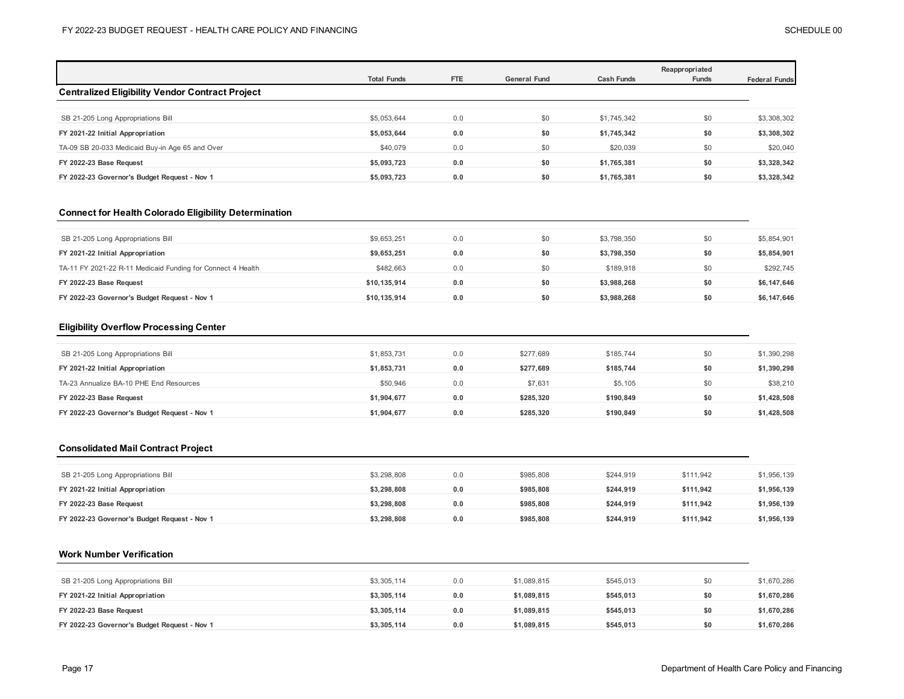|                                                 | <b>Total Funds</b> | <b>FTE</b> | <b>General Fund</b> | <b>Cash Funds</b> | Reappropriated<br>Funds | <b>Federal Funds</b> |
|-------------------------------------------------|--------------------|------------|---------------------|-------------------|-------------------------|----------------------|
| Centralized Eligibility Vendor Contract Project |                    |            |                     |                   |                         |                      |
|                                                 |                    |            |                     |                   |                         |                      |
| SB 21-205 Long Appropriations Bill              | \$5,053,644        | 0.0        | \$0                 | \$1,745,342       | \$0                     | \$3,308,302          |
| FY 2021-22 Initial Appropriation                | \$5,053,644        | 0.0        | \$0                 | \$1,745,342       | \$0                     | \$3,308,302          |
| TA-09 SB 20-033 Medicaid Buy-in Age 65 and Over | \$40,079           | 0.0        | \$0                 | \$20,039          | \$0                     | \$20,040             |
| FY 2022-23 Base Request                         | \$5,093,723        | 0.0        | \$0                 | \$1,765,381       | \$0                     | \$3,328,342          |
| FY 2022-23 Governor's Budget Request - Nov 1    | \$5,093,723        | 0.0        | \$0                 | \$1,765,381       | \$0                     | \$3,328,342          |

### **Connect for Health Colorado Eligibility Determination**

| SB 21-205 Long Appropriations Bill                          | \$9,653,251  | 0.0 | \$0 | \$3,798,350 | \$0 | \$5,854,901 |
|-------------------------------------------------------------|--------------|-----|-----|-------------|-----|-------------|
| FY 2021-22 Initial Appropriation                            | \$9,653,251  | 0.0 | \$0 | \$3.798.350 | \$0 | \$5,854,901 |
| TA-11 FY 2021-22 R-11 Medicaid Funding for Connect 4 Health | \$482.663    | 0.0 | \$0 | \$189.918   | \$0 | \$292,745   |
| FY 2022-23 Base Request                                     | \$10.135.914 | 0.0 | \$0 | \$3.988.268 | \$0 | \$6,147,646 |
| FY 2022-23 Governor's Budget Request - Nov 1                | \$10.135.914 | 0.0 | \$0 | \$3,988,268 | \$0 | \$6,147,646 |

### **Eligibility Overflow Processing Center**

| SB 21-205 Long Appropriations Bill           | \$1,853,731 | 0.0 | \$277,689 | \$185,744 | \$0 | \$1,390,298 |
|----------------------------------------------|-------------|-----|-----------|-----------|-----|-------------|
| FY 2021-22 Initial Appropriation             | \$1,853,731 | 0.0 | \$277.689 | \$185.744 | \$0 | \$1,390,298 |
| TA-23 Annualize BA-10 PHE End Resources      | \$50.946    | 0.0 | \$7,631   | \$5,105   | \$0 | \$38,210    |
| FY 2022-23 Base Request                      | \$1,904,677 | 0.0 | \$285,320 | \$190.849 | \$0 | \$1,428,508 |
| FY 2022-23 Governor's Budget Request - Nov 1 | \$1,904,677 | 0.0 | \$285.320 | \$190.849 | \$0 | \$1,428,508 |

## **Consolidated Mail Contract Project**

| SB 21-205 Long Appropriations Bill           | \$3,298,808 | 0.0 | \$985,808 | \$244.919 | \$111.942 | \$1,956,139 |
|----------------------------------------------|-------------|-----|-----------|-----------|-----------|-------------|
| FY 2021-22 Initial Appropriation             | \$3.298.808 | 0.0 | \$985,808 | \$244.919 | \$111.942 | \$1,956,139 |
| FY 2022-23 Base Request                      | \$3.298.808 | 0.0 | \$985,808 | \$244.919 | \$111.942 | \$1,956,139 |
| FY 2022-23 Governor's Budget Request - Nov 1 | \$3,298,808 | 0.0 | \$985,808 | \$244,919 | \$111.942 | \$1,956,139 |

### **Work Number Verification**

| SB 21-205 Long Appropriations Bill           | \$3,305,114 | 0.0 | \$1,089,815 | \$545,013 | \$0 | \$1,670,286 |
|----------------------------------------------|-------------|-----|-------------|-----------|-----|-------------|
| FY 2021-22 Initial Appropriation             | \$3,305,114 | 0.0 | \$1.089.815 | \$545.013 | \$0 | \$1,670,286 |
| FY 2022-23 Base Request                      | \$3,305,114 | 0.0 | \$1.089.815 | \$545.013 | \$0 | \$1,670,286 |
| FY 2022-23 Governor's Budget Request - Nov 1 | \$3,305,114 | 0.0 | \$1.089.815 | \$545,013 | \$0 | \$1,670,286 |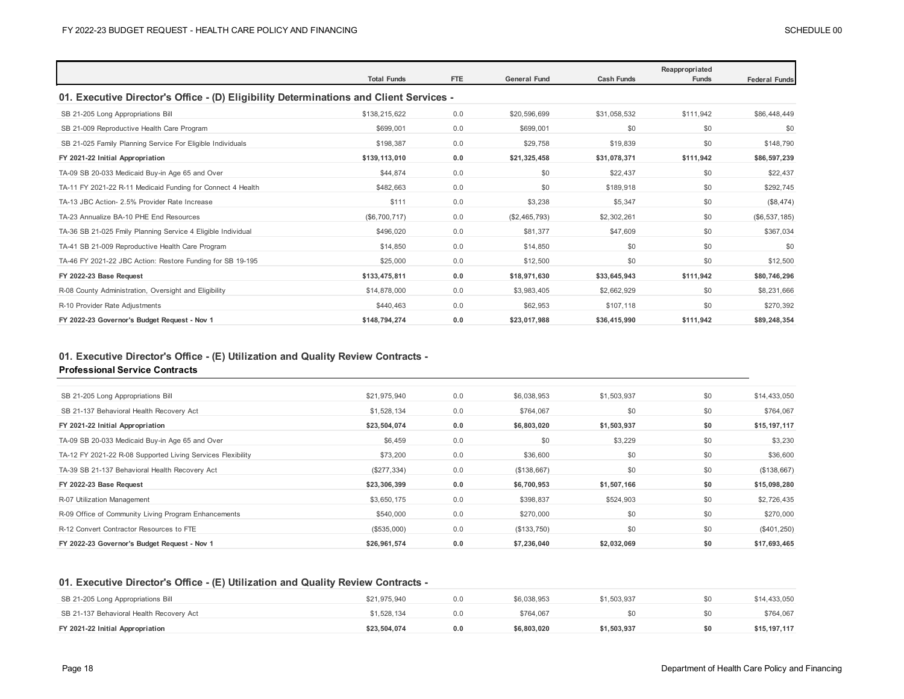|                                                                                        |                    |     |                     |                   | Reappropriated |                      |  |  |  |  |
|----------------------------------------------------------------------------------------|--------------------|-----|---------------------|-------------------|----------------|----------------------|--|--|--|--|
|                                                                                        | <b>Total Funds</b> | FTE | <b>General Fund</b> | <b>Cash Funds</b> | <b>Funds</b>   | <b>Federal Funds</b> |  |  |  |  |
| 01. Executive Director's Office - (D) Eligibility Determinations and Client Services - |                    |     |                     |                   |                |                      |  |  |  |  |
| SB 21-205 Long Appropriations Bill                                                     | \$138,215,622      | 0.0 | \$20,596,699        | \$31,058,532      | \$111,942      | \$86,448,449         |  |  |  |  |
| SB 21-009 Reproductive Health Care Program                                             | \$699,001          | 0.0 | \$699,001           | \$0               | \$0            | \$0                  |  |  |  |  |
| SB 21-025 Family Planning Service For Eligible Individuals                             | \$198,387          | 0.0 | \$29,758            | \$19,839          | \$0            | \$148,790            |  |  |  |  |
| FY 2021-22 Initial Appropriation                                                       | \$139.113.010      | 0.0 | \$21,325,458        | \$31,078,371      | \$111,942      | \$86,597,239         |  |  |  |  |
| TA-09 SB 20-033 Medicaid Buy-in Age 65 and Over                                        | \$44,874           | 0.0 | \$0                 | \$22,437          | \$0            | \$22,437             |  |  |  |  |
| TA-11 FY 2021-22 R-11 Medicaid Funding for Connect 4 Health                            | \$482,663          | 0.0 | \$0                 | \$189,918         | \$0            | \$292,745            |  |  |  |  |
| TA-13 JBC Action- 2.5% Provider Rate Increase                                          | \$111              | 0.0 | \$3,238             | \$5,347           | \$0            | (\$8,474)            |  |  |  |  |
| TA-23 Annualize BA-10 PHE End Resources                                                | (\$6,700,717)      | 0.0 | (\$2,465,793)       | \$2,302,261       | \$0            | (\$6,537,185)        |  |  |  |  |
| TA-36 SB 21-025 Fmily Planning Service 4 Eligible Individual                           | \$496,020          | 0.0 | \$81,377            | \$47,609          | \$0            | \$367,034            |  |  |  |  |
| TA-41 SB 21-009 Reproductive Health Care Program                                       | \$14,850           | 0.0 | \$14,850            | \$0               | \$0            | \$0                  |  |  |  |  |
| TA-46 FY 2021-22 JBC Action: Restore Funding for SB 19-195                             | \$25,000           | 0.0 | \$12,500            | \$0               | \$0            | \$12,500             |  |  |  |  |
| FY 2022-23 Base Request                                                                | \$133,475,811      | 0.0 | \$18,971,630        | \$33,645,943      | \$111,942      | \$80,746,296         |  |  |  |  |
| R-08 County Administration, Oversight and Eligibility                                  | \$14,878,000       | 0.0 | \$3,983,405         | \$2,662,929       | \$0            | \$8,231,666          |  |  |  |  |
| R-10 Provider Rate Adjustments                                                         | \$440,463          | 0.0 | \$62,953            | \$107,118         | \$0            | \$270,392            |  |  |  |  |
| FY 2022-23 Governor's Budget Request - Nov 1                                           | \$148,794,274      | 0.0 | \$23,017,988        | \$36,415,990      | \$111,942      | \$89,248,354         |  |  |  |  |

# **01. Executive Director's Office - (E) Utilization and Quality Review Contracts -**

## **Professional Service Contracts**

| SB 21-205 Long Appropriations Bill                          | \$21,975,940  | 0.0 | \$6,038,953 | \$1,503,937 | \$0 | \$14,433,050 |
|-------------------------------------------------------------|---------------|-----|-------------|-------------|-----|--------------|
| SB 21-137 Behavioral Health Recovery Act                    | \$1,528,134   | 0.0 | \$764.067   | \$0         | \$0 | \$764,067    |
| FY 2021-22 Initial Appropriation                            | \$23,504,074  | 0.0 | \$6,803,020 | \$1,503,937 | \$0 | \$15,197,117 |
| TA-09 SB 20-033 Medicaid Buy-in Age 65 and Over             | \$6,459       | 0.0 | \$0         | \$3,229     | \$0 | \$3,230      |
| TA-12 FY 2021-22 R-08 Supported Living Services Flexibility | \$73,200      | 0.0 | \$36,600    | \$0         | \$0 | \$36,600     |
| TA-39 SB 21-137 Behavioral Health Recovery Act              | $(\$277,334)$ | 0.0 | (\$138,667) | \$0         | \$0 | (\$138,667)  |
| FY 2022-23 Base Request                                     | \$23,306,399  | 0.0 | \$6,700,953 | \$1,507,166 | \$0 | \$15,098,280 |
| R-07 Utilization Management                                 | \$3,650,175   | 0.0 | \$398,837   | \$524,903   | \$0 | \$2,726,435  |
| R-09 Office of Community Living Program Enhancements        | \$540,000     | 0.0 | \$270,000   | \$0         | \$0 | \$270,000    |
| R-12 Convert Contractor Resources to FTE                    | (\$535,000)   | 0.0 | (\$133,750) | \$0         | \$0 | (\$401,250)  |
| FY 2022-23 Governor's Budget Request - Nov 1                | \$26.961.574  | 0.0 | \$7,236,040 | \$2,032,069 | \$0 | \$17,693,465 |
|                                                             |               |     |             |             |     |              |

## **01. Executive Director's Office - (E) Utilization and Quality Review Contracts -**

| SB 21-205 Long Appropriations Bill       | \$21,975,940 | 0.0 | \$6,038,953 | \$1.503.937 | \$0 | \$14,433,050 |
|------------------------------------------|--------------|-----|-------------|-------------|-----|--------------|
| SB 21-137 Behavioral Health Recovery Act | \$1.528.134  | 0.0 | \$764.067   |             | \$0 | \$764.067    |
| FY 2021-22 Initial Appropriation         | \$23.504.074 | 0.0 | \$6.803.020 | \$1.503.937 | \$0 | \$15,197,117 |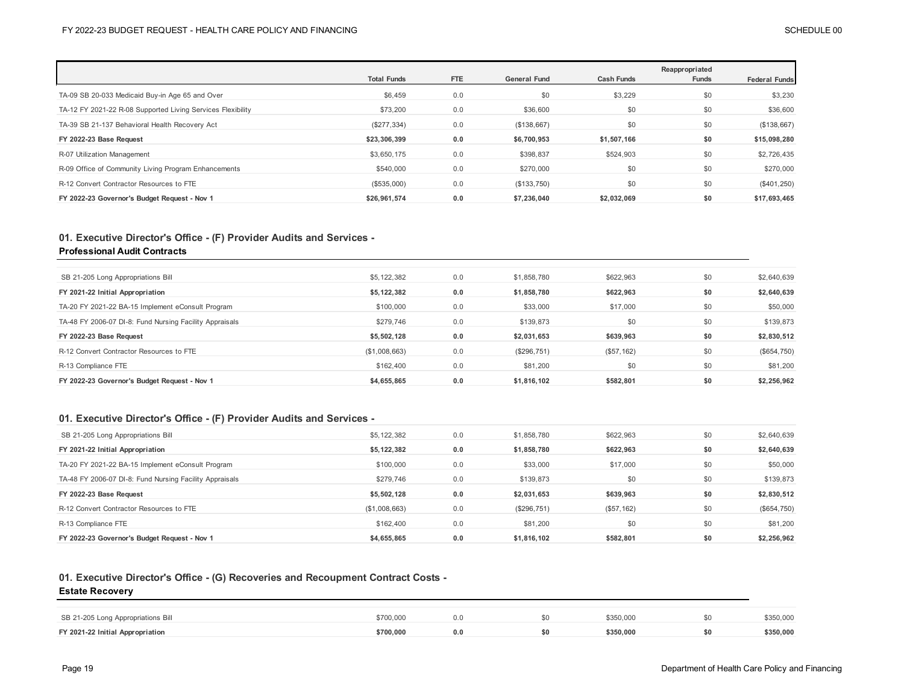|                                                             | <b>Total Funds</b> | <b>FTE</b> | <b>General Fund</b> | <b>Cash Funds</b> | Reappropriated |                      |
|-------------------------------------------------------------|--------------------|------------|---------------------|-------------------|----------------|----------------------|
|                                                             |                    |            |                     |                   | Funds          | <b>Federal Funds</b> |
| TA-09 SB 20-033 Medicaid Buy-in Age 65 and Over             | \$6,459            | 0.0        | \$0                 | \$3,229           | \$0            | \$3,230              |
| TA-12 FY 2021-22 R-08 Supported Living Services Flexibility | \$73,200           | 0.0        | \$36,600            | \$0               | \$0            | \$36,600             |
| TA-39 SB 21-137 Behavioral Health Recovery Act              | (\$277,334)        | 0.0        | (\$138,667)         | \$0               | \$0            | (\$138,667)          |
| FY 2022-23 Base Request                                     | \$23,306,399       | 0.0        | \$6,700,953         | \$1,507,166       | \$0            | \$15,098,280         |
| R-07 Utilization Management                                 | \$3,650,175        | 0.0        | \$398,837           | \$524,903         | \$0            | \$2,726,435          |
| R-09 Office of Community Living Program Enhancements        | \$540,000          | 0.0        | \$270,000           | \$0               | \$0            | \$270,000            |
| R-12 Convert Contractor Resources to FTE                    | (\$535,000)        | 0.0        | (\$133,750)         | \$0               | \$0            | (\$401,250)          |
| FY 2022-23 Governor's Budget Request - Nov 1                | \$26,961,574       | 0.0        | \$7,236,040         | \$2,032,069       | \$0            | \$17,693,465         |

# **01. Executive Director's Office - (F) Provider Audits and Services -**

## **Professional Audit Contracts**

| SB 21-205 Long Appropriations Bill                      | \$5,122,382   | 0.0 | \$1,858,780 | \$622,963  | \$0 | \$2,640,639 |
|---------------------------------------------------------|---------------|-----|-------------|------------|-----|-------------|
| FY 2021-22 Initial Appropriation                        | \$5,122,382   | 0.0 | \$1,858,780 | \$622.963  | \$0 | \$2,640,639 |
| TA-20 FY 2021-22 BA-15 Implement eConsult Program       | \$100,000     | 0.0 | \$33,000    | \$17,000   | \$0 | \$50,000    |
| TA-48 FY 2006-07 DI-8: Fund Nursing Facility Appraisals | \$279,746     | 0.0 | \$139,873   | \$0        | \$0 | \$139,873   |
| FY 2022-23 Base Request                                 | \$5,502,128   | 0.0 | \$2,031,653 | \$639.963  | \$0 | \$2,830,512 |
| R-12 Convert Contractor Resources to FTE                | (\$1,008,663) | 0.0 | (\$296,751) | (\$57,162) | \$0 | (\$654,750) |
| R-13 Compliance FTE                                     | \$162,400     | 0.0 | \$81,200    | \$0        | \$0 | \$81,200    |
| FY 2022-23 Governor's Budget Request - Nov 1            | \$4,655,865   | 0.0 | \$1.816.102 | \$582,801  | \$0 | \$2,256,962 |

## **01. Executive Director's Office - (F) Provider Audits and Services -**

| SB 21-205 Long Appropriations Bill                      | \$5,122,382   | 0.0 | \$1,858,780 | \$622,963  | \$0 | \$2,640,639 |
|---------------------------------------------------------|---------------|-----|-------------|------------|-----|-------------|
| FY 2021-22 Initial Appropriation                        | \$5,122,382   | 0.0 | \$1,858,780 | \$622,963  | \$0 | \$2,640,639 |
| TA-20 FY 2021-22 BA-15 Implement eConsult Program       | \$100,000     | 0.0 | \$33,000    | \$17,000   | \$0 | \$50,000    |
| TA-48 FY 2006-07 DI-8: Fund Nursing Facility Appraisals | \$279.746     | 0.0 | \$139,873   | \$0        | \$0 | \$139,873   |
|                                                         |               |     |             |            |     |             |
| FY 2022-23 Base Request                                 | \$5,502,128   | 0.0 | \$2,031,653 | \$639,963  | \$0 | \$2,830,512 |
| R-12 Convert Contractor Resources to FTE                | (\$1,008,663) | 0.0 | (\$296,751) | (\$57,162) | \$0 | (\$654,750) |
| R-13 Compliance FTE                                     | \$162,400     | 0.0 | \$81,200    | \$0        | \$0 | \$81,200    |

## **01. Executive Director's Office - (G) Recoveries and Recoupment Contract Costs -**

### **Estate Recovery**

| SB 21-205 Long Appropriations Bill | \$700,000 |  | \$350,000 | \$350,000 |
|------------------------------------|-----------|--|-----------|-----------|
| FY 2021-22 Initial Appropriation   | \$700.000 |  | \$350,000 | \$350,000 |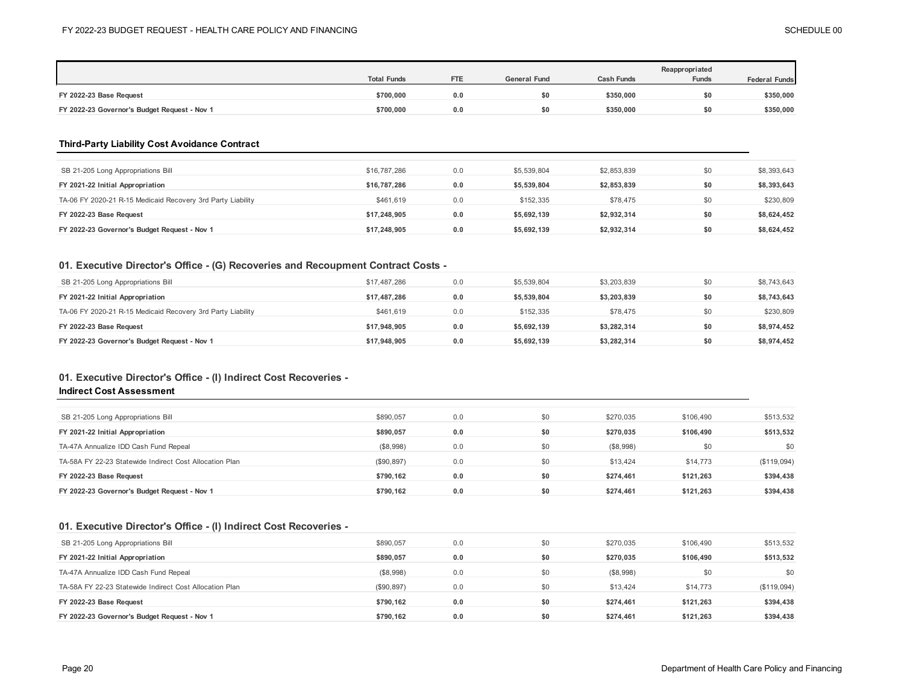|                                              |                    |            |                     |                   | Reappropriated |                      |
|----------------------------------------------|--------------------|------------|---------------------|-------------------|----------------|----------------------|
|                                              | <b>Total Funds</b> | <b>FTE</b> | <b>General Fund</b> | <b>Cash Funds</b> | <b>Funds</b>   | <b>Federal Funds</b> |
| FY 2022-23 Base Request                      | \$700,000          | 0.0        | \$0                 | \$350.000         | SO.            | \$350,000            |
| FY 2022-23 Governor's Budget Request - Nov 1 | \$700,000          | 0.0        | SO.                 | \$350,000         | \$0            | \$350,000            |

## **Third-Party Liability Cost Avoidance Contract**

| SB 21-205 Long Appropriations Bill                          | \$16,787,286 | 0.0 | \$5,539,804 | \$2,853,839 | \$0 | \$8,393,643 |
|-------------------------------------------------------------|--------------|-----|-------------|-------------|-----|-------------|
| FY 2021-22 Initial Appropriation                            | \$16,787,286 | 0.0 | \$5,539,804 | \$2,853,839 | \$0 | \$8,393,643 |
| TA-06 FY 2020-21 R-15 Medicaid Recovery 3rd Party Liability | \$461.619    | 0.0 | \$152,335   | \$78,475    | \$0 | \$230,809   |
| FY 2022-23 Base Request                                     | \$17.248.905 | 0.0 | \$5,692,139 | \$2,932,314 | \$0 | \$8,624,452 |
| FY 2022-23 Governor's Budget Request - Nov 1                | \$17,248,905 | 0.0 | \$5,692,139 | \$2,932,314 | \$0 | \$8,624,452 |

## **01. Executive Director's Office - (G) Recoveries and Recoupment Contract Costs -**

| SB 21-205 Long Appropriations Bill                          | \$17,487,286 | 0.0 | \$5,539,804 | \$3,203,839 | \$0 | \$8,743,643 |
|-------------------------------------------------------------|--------------|-----|-------------|-------------|-----|-------------|
| FY 2021-22 Initial Appropriation                            | \$17.487.286 | 0.0 | \$5,539,804 | \$3,203,839 | \$0 | \$8,743,643 |
| TA-06 FY 2020-21 R-15 Medicaid Recovery 3rd Party Liability | \$461.619    | 0.0 | \$152.335   | \$78,475    | \$0 | \$230,809   |
| FY 2022-23 Base Request                                     | \$17,948,905 | 0.0 | \$5,692,139 | \$3,282,314 | \$0 | \$8,974,452 |
| FY 2022-23 Governor's Budget Request - Nov 1                | \$17.948.905 | 0.0 | \$5,692.139 | \$3,282,314 | \$0 | \$8,974,452 |

### **01. Executive Director's Office - (I) Indirect Cost Recoveries -**

### **Indirect Cost Assessment**

| SB 21-205 Long Appropriations Bill                      | \$890.057  | 0.0 | \$0 | \$270,035 | \$106,490 | \$513,532   |
|---------------------------------------------------------|------------|-----|-----|-----------|-----------|-------------|
| FY 2021-22 Initial Appropriation                        | \$890.057  | 0.0 | \$0 | \$270.035 | \$106,490 | \$513,532   |
| TA-47A Annualize IDD Cash Fund Repeal                   | (\$8,998)  | 0.0 | \$0 | (\$8,998) | \$0       | \$0         |
| TA-58A FY 22-23 Statewide Indirect Cost Allocation Plan | (\$90,897) | 0.0 | \$0 | \$13,424  | \$14,773  | (\$119,094) |
| FY 2022-23 Base Request                                 | \$790.162  | 0.0 | \$0 | \$274.461 | \$121.263 | \$394,438   |
| FY 2022-23 Governor's Budget Request - Nov 1            | \$790.162  | 0.0 | \$0 | \$274.461 | \$121.263 | \$394,438   |

## **01. Executive Director's Office - (I) Indirect Cost Recoveries -**

| SB 21-205 Long Appropriations Bill                      | \$890.057   | 0.0 | \$0 | \$270,035 | \$106,490 | \$513,532   |
|---------------------------------------------------------|-------------|-----|-----|-----------|-----------|-------------|
| FY 2021-22 Initial Appropriation                        | \$890.057   | 0.0 | \$0 | \$270,035 | \$106.490 | \$513,532   |
| TA-47A Annualize IDD Cash Fund Repeal                   | (\$8,998)   | 0.0 | \$0 | (\$8,998) | \$0       | \$0         |
| TA-58A FY 22-23 Statewide Indirect Cost Allocation Plan | (\$90, 897) | 0.0 | \$0 | \$13,424  | \$14,773  | (\$119,094) |
| FY 2022-23 Base Request                                 | \$790.162   | 0.0 | \$0 | \$274.461 | \$121.263 | \$394,438   |
| FY 2022-23 Governor's Budget Request - Nov 1            | \$790.162   | 0.0 | \$0 | \$274,461 | \$121.263 | \$394,438   |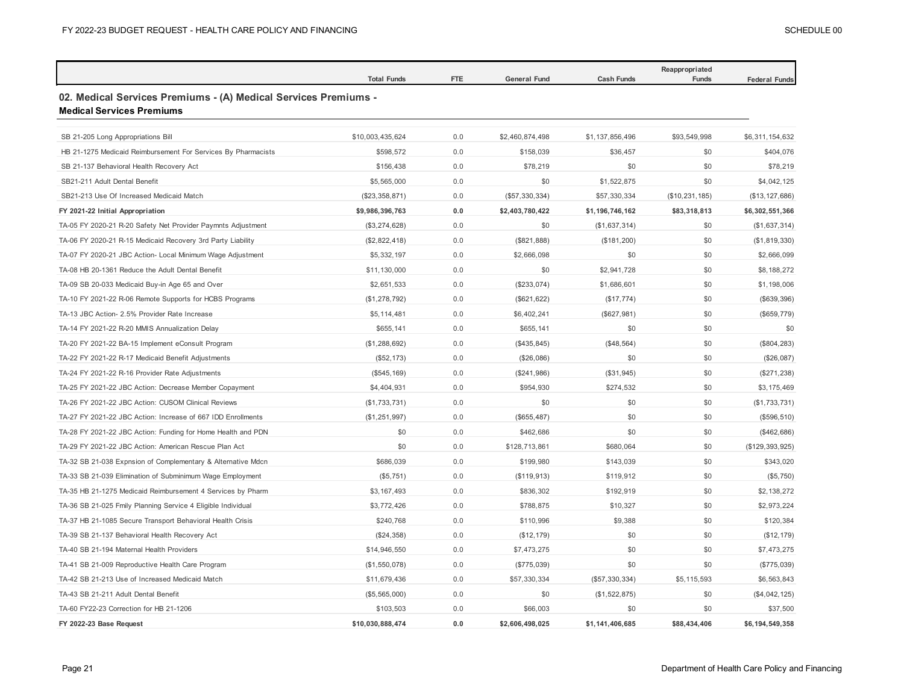|                                                                                                     | <b>Total Funds</b> | FTE | <b>General Fund</b> | <b>Cash Funds</b> | Reappropriated<br>Funds | <b>Federal Funds</b> |
|-----------------------------------------------------------------------------------------------------|--------------------|-----|---------------------|-------------------|-------------------------|----------------------|
| 02. Medical Services Premiums - (A) Medical Services Premiums -<br><b>Medical Services Premiums</b> |                    |     |                     |                   |                         |                      |
| SB 21-205 Long Appropriations Bill                                                                  | \$10,003,435,624   | 0.0 | \$2,460,874,498     | \$1,137,856,496   | \$93,549,998            | \$6,311,154,632      |
| HB 21-1275 Medicaid Reimbursement For Services By Pharmacists                                       | \$598,572          | 0.0 | \$158,039           | \$36,457          | \$0                     | \$404,076            |
| SB 21-137 Behavioral Health Recovery Act                                                            | \$156,438          | 0.0 | \$78,219            | \$0               | \$0                     | \$78,219             |
| SB21-211 Adult Dental Benefit                                                                       | \$5,565,000        | 0.0 | \$0                 | \$1,522,875       | \$0                     | \$4,042,125          |
| SB21-213 Use Of Increased Medicaid Match                                                            | (\$23,358,871)     | 0.0 | (\$57,330,334)      | \$57,330,334      | (\$10,231,185)          | (\$13, 127, 686)     |
| FY 2021-22 Initial Appropriation                                                                    | \$9,986,396,763    | 0.0 | \$2,403,780,422     | \$1,196,746,162   | \$83,318,813            | \$6,302,551,366      |
| TA-05 FY 2020-21 R-20 Safety Net Provider Paymnts Adjustment                                        | (\$3,274,628)      | 0.0 | \$0                 | (\$1,637,314)     | \$0                     | (\$1,637,314)        |
| TA-06 FY 2020-21 R-15 Medicaid Recovery 3rd Party Liability                                         | (\$2,822,418)      | 0.0 | (\$821,888)         | (\$181,200)       | \$0                     | (\$1,819,330)        |
| TA-07 FY 2020-21 JBC Action- Local Minimum Wage Adjustment                                          | \$5,332,197        | 0.0 | \$2,666,098         | \$0               | \$0                     | \$2,666,099          |
| TA-08 HB 20-1361 Reduce the Adult Dental Benefit                                                    | \$11,130,000       | 0.0 | \$0                 | \$2,941,728       | \$0                     | \$8,188,272          |
| TA-09 SB 20-033 Medicaid Buy-in Age 65 and Over                                                     | \$2,651,533        | 0.0 | (\$233,074)         | \$1,686,601       | \$0                     | \$1,198,006          |
| TA-10 FY 2021-22 R-06 Remote Supports for HCBS Programs                                             | (\$1,278,792)      | 0.0 | (\$621, 622)        | (\$17,774)        | \$0                     | (\$639,396)          |
| TA-13 JBC Action- 2.5% Provider Rate Increase                                                       | \$5,114,481        | 0.0 | \$6,402,241         | (\$627,981)       | \$0                     | (\$659, 779)         |
| TA-14 FY 2021-22 R-20 MMIS Annualization Delay                                                      | \$655,141          | 0.0 | \$655,141           | \$0               | \$0                     | \$0                  |
| TA-20 FY 2021-22 BA-15 Implement eConsult Program                                                   | (\$1,288,692)      | 0.0 | (\$435, 845)        | (\$48,564)        | \$0                     | (\$804, 283)         |
| TA-22 FY 2021-22 R-17 Medicaid Benefit Adjustments                                                  | (\$52, 173)        | 0.0 | (\$26,086)          | \$0               | \$0                     | (\$26,087)           |
| TA-24 FY 2021-22 R-16 Provider Rate Adjustments                                                     | (\$545, 169)       | 0.0 | (\$241,986)         | (\$31,945)        | \$0                     | (\$271, 238)         |
| TA-25 FY 2021-22 JBC Action: Decrease Member Copayment                                              | \$4,404,931        | 0.0 | \$954,930           | \$274,532         | \$0                     | \$3,175,469          |
| TA-26 FY 2021-22 JBC Action: CUSOM Clinical Reviews                                                 | (\$1,733,731)      | 0.0 | \$0                 | \$0               | \$0                     | (\$1,733,731)        |
| TA-27 FY 2021-22 JBC Action: Increase of 667 IDD Enrollments                                        | (\$1,251,997)      | 0.0 | (\$655,487)         | \$0               | \$0                     | (\$596,510)          |
| TA-28 FY 2021-22 JBC Action: Funding for Home Health and PDN                                        | \$0                | 0.0 | \$462,686           | \$0               | \$0                     | (\$462,686)          |
| TA-29 FY 2021-22 JBC Action: American Rescue Plan Act                                               | \$0                | 0.0 | \$128,713,861       | \$680,064         | \$0                     | (\$129, 393, 925)    |
| TA-32 SB 21-038 Expnsion of Complementary & Alternative Mdcn                                        | \$686,039          | 0.0 | \$199,980           | \$143,039         | \$0                     | \$343,020            |
| TA-33 SB 21-039 Elimination of Subminimum Wage Employment                                           | (\$5,751)          | 0.0 | (\$119,913)         | \$119,912         | \$0                     | (\$5,750)            |
| TA-35 HB 21-1275 Medicaid Reimbursement 4 Services by Pharm                                         | \$3,167,493        | 0.0 | \$836,302           | \$192,919         | \$0                     | \$2,138,272          |
| TA-36 SB 21-025 Fmily Planning Service 4 Eligible Individual                                        | \$3,772,426        | 0.0 | \$788,875           | \$10,327          | \$0                     | \$2,973,224          |
| TA-37 HB 21-1085 Secure Transport Behavioral Health Crisis                                          | \$240,768          | 0.0 | \$110,996           | \$9,388           | \$0                     | \$120,384            |
| TA-39 SB 21-137 Behavioral Health Recovery Act                                                      | (\$24,358)         | 0.0 | (\$12, 179)         | \$0               | \$0                     | (\$12, 179)          |
| TA-40 SB 21-194 Maternal Health Providers                                                           | \$14,946,550       | 0.0 | \$7,473,275         | \$0               | \$0                     | \$7,473,275          |
| TA-41 SB 21-009 Reproductive Health Care Program                                                    | (\$1,550,078)      | 0.0 | (\$775,039)         | \$0               | \$0                     | (\$775,039)          |
| TA-42 SB 21-213 Use of Increased Medicaid Match                                                     | \$11,679,436       | 0.0 | \$57,330,334        | (\$57,330,334)    | \$5,115,593             | \$6,563,843          |
| TA-43 SB 21-211 Adult Dental Benefit                                                                | (\$5,565,000)      | 0.0 | \$0                 | (\$1,522,875)     | \$0                     | (\$4,042,125)        |
| TA-60 FY22-23 Correction for HB 21-1206                                                             | \$103,503          | 0.0 | \$66,003            | \$0               | \$0                     | \$37,500             |
| FY 2022-23 Base Request                                                                             | \$10.030.888.474   | 0.0 | \$2.606.498.025     | \$1.141.406.685   | \$88.434.406            | \$6.194.549.358      |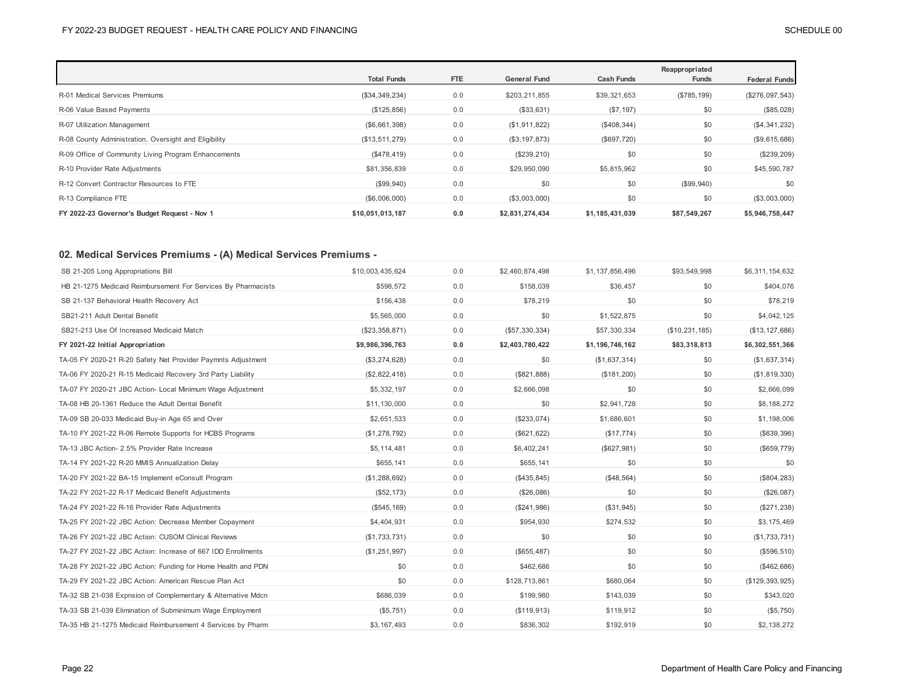|                                                       | <b>Total Funds</b> | <b>FTE</b> | <b>General Fund</b> | <b>Cash Funds</b> | Reappropriated<br>Funds | <b>Federal Funds</b> |
|-------------------------------------------------------|--------------------|------------|---------------------|-------------------|-------------------------|----------------------|
| R-01 Medical Services Premiums                        | (\$34,349,234)     | 0.0        | \$203,211,855       | \$39,321,653      | (\$785, 199)            | (\$276,097,543)      |
| R-06 Value Based Payments                             | (\$125,856)        | 0.0        | (\$33,631)          | (S7, 197)         | \$0                     | (\$85,028)           |
| R-07 Utilization Management                           | (\$6,661,398)      | 0.0        | (\$1,911,822)       | (\$408,344)       | \$0                     | (\$4,341,232)        |
| R-08 County Administration, Oversight and Eligibility | (\$13,511,279)     | 0.0        | (\$3, 197, 873)     | (\$697,720)       | \$0                     | (\$9,615,686)        |
| R-09 Office of Community Living Program Enhancements  | (\$478, 419)       | 0.0        | (\$239,210)         | \$0               | \$0                     | (\$239,209)          |
| R-10 Provider Rate Adjustments                        | \$81,356,839       | 0.0        | \$29,950,090        | \$5,815,962       | \$0                     | \$45,590,787         |
| R-12 Convert Contractor Resources to FTE              | (\$99,940)         | 0.0        | \$0                 | \$0               | (\$99,940)              | \$0                  |
| R-13 Compliance FTE                                   | (\$6,006,000)      | 0.0        | (\$3,003,000)       | \$0               | \$0                     | (\$3,003,000)        |
| FY 2022-23 Governor's Budget Request - Nov 1          | \$10,051,013,187   | 0.0        | \$2,831,274,434     | \$1,185,431,039   | \$87,549,267            | \$5,946,758,447      |

## **02. Medical Services Premiums - (A) Medical Services Premiums -**

| SB 21-205 Long Appropriations Bill                            | \$10,003,435,624 | 0.0 | \$2,460,874,498 | \$1,137,856,496 | \$93,549,998   | \$6,311,154,632   |
|---------------------------------------------------------------|------------------|-----|-----------------|-----------------|----------------|-------------------|
| HB 21-1275 Medicaid Reimbursement For Services By Pharmacists | \$598.572        | 0.0 | \$158,039       | \$36,457        | \$0            | \$404,076         |
| SB 21-137 Behavioral Health Recovery Act                      | \$156,438        | 0.0 | \$78,219        | \$0             | \$0            | \$78,219          |
| SB21-211 Adult Dental Benefit                                 | \$5,565,000      | 0.0 | \$0             | \$1,522,875     | \$0            | \$4,042,125       |
| SB21-213 Use Of Increased Medicaid Match                      | (\$23,358,871)   | 0.0 | (\$57,330,334)  | \$57,330,334    | (\$10,231,185) | (\$13, 127, 686)  |
| FY 2021-22 Initial Appropriation                              | \$9,986,396,763  | 0.0 | \$2,403,780,422 | \$1,196,746,162 | \$83,318,813   | \$6,302,551,366   |
| TA-05 FY 2020-21 R-20 Safety Net Provider Paymnts Adjustment  | (\$3,274,628)    | 0.0 | \$0             | (\$1,637,314)   | \$0            | (\$1,637,314)     |
| TA-06 FY 2020-21 R-15 Medicaid Recovery 3rd Party Liability   | (\$2,822,418)    | 0.0 | (\$821,888)     | (\$181,200)     | \$0            | (\$1,819,330)     |
| TA-07 FY 2020-21 JBC Action- Local Minimum Wage Adjustment    | \$5,332,197      | 0.0 | \$2,666,098     | \$0             | \$0            | \$2,666,099       |
| TA-08 HB 20-1361 Reduce the Adult Dental Benefit              | \$11,130,000     | 0.0 | \$0             | \$2,941,728     | \$0            | \$8,188,272       |
| TA-09 SB 20-033 Medicaid Buy-in Age 65 and Over               | \$2,651,533      | 0.0 | (\$233,074)     | \$1,686,601     | \$0            | \$1,198,006       |
| TA-10 FY 2021-22 R-06 Remote Supports for HCBS Programs       | (\$1,278,792)    | 0.0 | (\$621, 622)    | (\$17,774)      | \$0            | (\$639,396)       |
| TA-13 JBC Action- 2.5% Provider Rate Increase                 | \$5,114,481      | 0.0 | \$6,402,241     | (\$627,981)     | \$0            | (\$659, 779)      |
| TA-14 FY 2021-22 R-20 MMIS Annualization Delay                | \$655,141        | 0.0 | \$655,141       | \$0             | \$0            | \$0               |
| TA-20 FY 2021-22 BA-15 Implement eConsult Program             | (\$1,288,692)    | 0.0 | (\$435, 845)    | (\$48,564)      | \$0            | (\$804, 283)      |
| TA-22 FY 2021-22 R-17 Medicaid Benefit Adjustments            | (\$52, 173)      | 0.0 | (\$26,086)      | \$0             | \$0            | (\$26,087)        |
| TA-24 FY 2021-22 R-16 Provider Rate Adjustments               | (\$545, 169)     | 0.0 | (\$241,986)     | (\$31,945)      | \$0            | (\$271,238)       |
| TA-25 FY 2021-22 JBC Action: Decrease Member Copayment        | \$4,404,931      | 0.0 | \$954,930       | \$274,532       | \$0            | \$3,175,469       |
| TA-26 FY 2021-22 JBC Action: CUSOM Clinical Reviews           | (\$1,733,731)    | 0.0 | \$0             | \$0             | \$0            | (\$1,733,731)     |
| TA-27 FY 2021-22 JBC Action: Increase of 667 IDD Enrollments  | (\$1,251,997)    | 0.0 | (\$655, 487)    | \$0             | \$0            | (\$596, 510)      |
| TA-28 FY 2021-22 JBC Action: Funding for Home Health and PDN  | \$0              | 0.0 | \$462,686       | \$0             | \$0            | (\$462,686)       |
| TA-29 FY 2021-22 JBC Action: American Rescue Plan Act         | \$0              | 0.0 | \$128,713,861   | \$680,064       | \$0            | (\$129, 393, 925) |
| TA-32 SB 21-038 Expnsion of Complementary & Alternative Mdcn  | \$686,039        | 0.0 | \$199,980       | \$143,039       | \$0            | \$343,020         |
| TA-33 SB 21-039 Elimination of Subminimum Wage Employment     | (\$5,751)        | 0.0 | (\$119,913)     | \$119,912       | \$0            | (\$5,750)         |
| TA-35 HB 21-1275 Medicaid Reimbursement 4 Services by Pharm   | \$3,167,493      | 0.0 | \$836,302       | \$192,919       | \$0            | \$2,138,272       |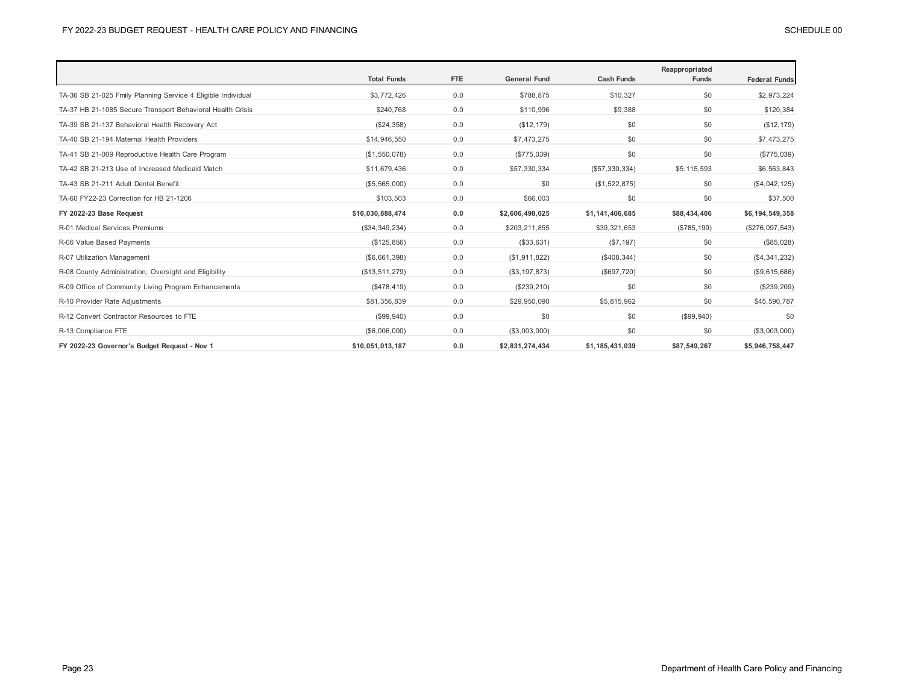|                                                              | <b>Total Funds</b> | FTE | <b>General Fund</b> | <b>Cash Funds</b> | Reappropriated<br><b>Funds</b> | <b>Federal Funds</b> |
|--------------------------------------------------------------|--------------------|-----|---------------------|-------------------|--------------------------------|----------------------|
| TA-36 SB 21-025 Fmily Planning Service 4 Eligible Individual | \$3,772,426        | 0.0 | \$788,875           | \$10,327          | \$0                            | \$2,973,224          |
|                                                              |                    |     |                     |                   |                                |                      |
| TA-37 HB 21-1085 Secure Transport Behavioral Health Crisis   | \$240,768          | 0.0 | \$110,996           | \$9,388           | \$0                            | \$120,384            |
| TA-39 SB 21-137 Behavioral Health Recovery Act               | (\$24,358)         | 0.0 | (\$12, 179)         | \$0               | \$0                            | (\$12, 179)          |
| TA-40 SB 21-194 Maternal Health Providers                    | \$14,946,550       | 0.0 | \$7,473,275         | \$0               | \$0                            | \$7,473,275          |
| TA-41 SB 21-009 Reproductive Health Care Program             | (\$1,550,078)      | 0.0 | (\$775,039)         | \$0               | \$0                            | (\$775,039)          |
| TA-42 SB 21-213 Use of Increased Medicaid Match              | \$11,679,436       | 0.0 | \$57,330,334        | (\$57,330,334)    | \$5,115,593                    | \$6,563,843          |
| TA-43 SB 21-211 Adult Dental Benefit                         | (\$5,565,000)      | 0.0 | \$0                 | (\$1,522,875)     | \$0                            | (\$4,042,125)        |
| TA-60 FY22-23 Correction for HB 21-1206                      | \$103,503          | 0.0 | \$66,003            | \$0               | \$0                            | \$37,500             |
| FY 2022-23 Base Request                                      | \$10,030,888,474   | 0.0 | \$2,606,498,025     | \$1,141,406,685   | \$88,434,406                   | \$6,194,549,358      |
| R-01 Medical Services Premiums                               | (\$34,349,234)     | 0.0 | \$203,211,855       | \$39,321,653      | (\$785, 199)                   | (\$276,097,543)      |
| R-06 Value Based Payments                                    | (\$125, 856)       | 0.0 | (\$33,631)          | (\$7,197)         | \$0                            | (\$85,028)           |
| R-07 Utilization Management                                  | (\$6,661,398)      | 0.0 | (\$1,911,822)       | (\$408,344)       | \$0                            | (\$4,341,232)        |
| R-08 County Administration, Oversight and Eligibility        | (\$13,511,279)     | 0.0 | (\$3, 197, 873)     | (\$697,720)       | \$0                            | (\$9,615,686)        |
| R-09 Office of Community Living Program Enhancements         | ( \$478, 419)      | 0.0 | (\$239, 210)        | \$0               | \$0                            | (\$239, 209)         |
| R-10 Provider Rate Adjustments                               | \$81,356,839       | 0.0 | \$29,950,090        | \$5,815,962       | \$0                            | \$45,590,787         |
| R-12 Convert Contractor Resources to FTE                     | (\$99,940)         | 0.0 | \$0                 | \$0               | (\$99,940)                     | \$0                  |
| R-13 Compliance FTE                                          | (\$6,006,000)      | 0.0 | (\$3,003,000)       | \$0               | \$0                            | (\$3,003,000)        |
| FY 2022-23 Governor's Budget Request - Nov 1                 | \$10,051,013,187   | 0.0 | \$2,831,274,434     | \$1,185,431,039   | \$87,549,267                   | \$5,946,758,447      |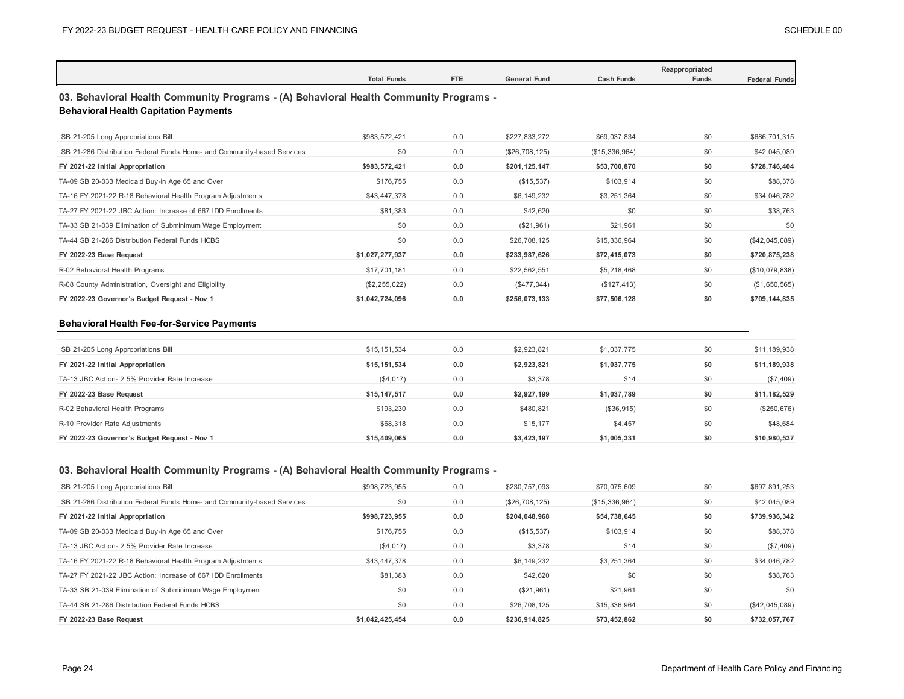|                                                                                                                                       | <b>Total Funds</b> | <b>FTE</b> | <b>General Fund</b> | <b>Cash Funds</b> | Reappropriated<br><b>Funds</b> | <b>Federal Funds</b> |
|---------------------------------------------------------------------------------------------------------------------------------------|--------------------|------------|---------------------|-------------------|--------------------------------|----------------------|
| 03. Behavioral Health Community Programs - (A) Behavioral Health Community Programs -<br><b>Behavioral Health Capitation Payments</b> |                    |            |                     |                   |                                |                      |
| SB 21-205 Long Appropriations Bill                                                                                                    | \$983.572.421      | 0.0        | \$227.833.272       | \$69,037,834      | \$0                            | \$686,701,315        |
| SB 21-286 Distribution Federal Funds Home- and Community-based Services                                                               | \$0                | 0.0        | (\$26,708,125)      | (\$15,336,964)    | \$0                            | \$42,045,089         |
| FY 2021-22 Initial Appropriation                                                                                                      | \$983,572,421      | 0.0        | \$201,125,147       | \$53,700,870      | \$0                            | \$728,746,404        |
| TA-09 SB 20-033 Medicaid Buy-in Age 65 and Over                                                                                       | \$176.755          | 0.0        | (\$15,537)          | \$103,914         | \$0                            | \$88,378             |
| TA-16 FY 2021-22 R-18 Behavioral Health Program Adjustments                                                                           | \$43,447,378       | 0.0        | \$6,149,232         | \$3,251,364       | \$0                            | \$34,046,782         |
| TA-27 FY 2021-22 JBC Action: Increase of 667 IDD Enrollments                                                                          | \$81,383           | 0.0        | \$42,620            | \$0               | \$0                            | \$38,763             |
| TA-33 SB 21-039 Elimination of Subminimum Wage Employment                                                                             | \$0                | 0.0        | (\$21,961)          | \$21,961          | \$0                            | \$0                  |
| TA-44 SB 21-286 Distribution Federal Funds HCBS                                                                                       | \$0                | 0.0        | \$26,708,125        | \$15,336,964      | \$0                            | (\$42,045,089)       |
| FY 2022-23 Base Request                                                                                                               | \$1,027,277,937    | 0.0        | \$233,987,626       | \$72,415,073      | \$0                            | \$720,875,238        |
| R-02 Behavioral Health Programs                                                                                                       | \$17,701,181       | 0.0        | \$22,562,551        | \$5,218,468       | \$0                            | (\$10,079,838)       |
| R-08 County Administration, Oversight and Eligibility                                                                                 | (\$2, 255, 022)    | 0.0        | (\$477,044)         | (\$127, 413)      | \$0                            | (\$1,650,565)        |
| FY 2022-23 Governor's Budget Request - Nov 1                                                                                          | \$1,042,724,096    | 0.0        | \$256,073,133       | \$77,506,128      | \$0                            | \$709,144,835        |

## **Behavioral Health Fee-for-Service Payments**

| SB 21-205 Long Appropriations Bill            | \$15,151,534 | 0.0 | \$2,923,821 | \$1,037,775 | \$0 | \$11,189,938 |
|-----------------------------------------------|--------------|-----|-------------|-------------|-----|--------------|
| FY 2021-22 Initial Appropriation              | \$15,151,534 | 0.0 | \$2,923,821 | \$1,037,775 | \$0 | \$11,189,938 |
| TA-13 JBC Action- 2.5% Provider Rate Increase | (\$4,017)    | 0.0 | \$3,378     | \$14        | \$0 | (\$7,409)    |
| FY 2022-23 Base Request                       | \$15,147.517 | 0.0 | \$2,927,199 | \$1,037,789 | \$0 | \$11,182,529 |
| R-02 Behavioral Health Programs               | \$193,230    | 0.0 | \$480.821   | (\$36,915)  | \$0 | (\$250,676)  |
| R-10 Provider Rate Adjustments                | \$68,318     | 0.0 | \$15,177    | \$4,457     | \$0 | \$48,684     |
|                                               |              |     |             |             |     |              |

## **03. Behavioral Health Community Programs - (A) Behavioral Health Community Programs -**

| SB 21-205 Long Appropriations Bill                                      | \$998,723,955   | 0.0 | \$230,757,093  | \$70,075,609   | \$0 | \$697,891,253  |
|-------------------------------------------------------------------------|-----------------|-----|----------------|----------------|-----|----------------|
| SB 21-286 Distribution Federal Funds Home- and Community-based Services | \$0             | 0.0 | (\$26,708,125) | (\$15,336,964) | \$0 | \$42,045,089   |
| FY 2021-22 Initial Appropriation                                        | \$998,723,955   | 0.0 | \$204,048,968  | \$54,738,645   | \$0 | \$739,936,342  |
| TA-09 SB 20-033 Medicaid Buy-in Age 65 and Over                         | \$176,755       | 0.0 | (\$15,537)     | \$103,914      | \$0 | \$88,378       |
| TA-13 JBC Action- 2.5% Provider Rate Increase                           | (\$4,017)       | 0.0 | \$3,378        | \$14           | \$0 | (\$7,409)      |
| TA-16 FY 2021-22 R-18 Behavioral Health Program Adjustments             | \$43,447,378    | 0.0 | \$6,149,232    | \$3.251.364    | \$0 | \$34,046,782   |
| TA-27 FY 2021-22 JBC Action: Increase of 667 IDD Enrollments            | \$81,383        | 0.0 | \$42,620       | \$0            | \$0 | \$38,763       |
| TA-33 SB 21-039 Elimination of Subminimum Wage Employment               | \$0             | 0.0 | (\$21,961)     | \$21.961       | \$0 | \$0            |
| TA-44 SB 21-286 Distribution Federal Funds HCBS                         | \$0             | 0.0 | \$26,708,125   | \$15,336,964   | \$0 | (\$42,045,089) |
| FY 2022-23 Base Request                                                 | \$1.042.425.454 | 0.0 | \$236.914.825  | \$73.452.862   | \$0 | \$732.057.767  |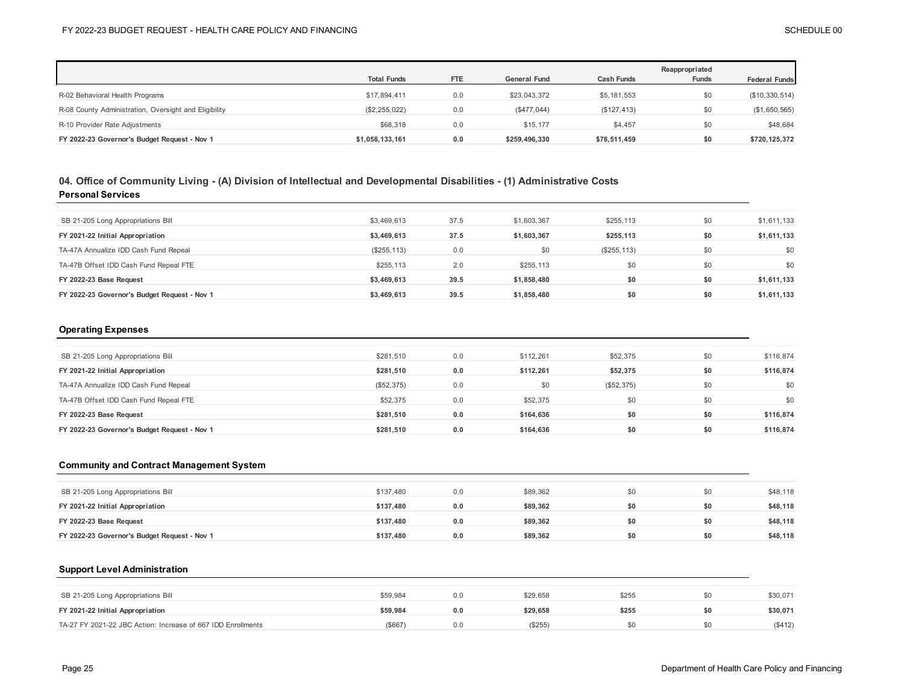|                                                       |                    |            |                     |                   | Reappropriated |                      |
|-------------------------------------------------------|--------------------|------------|---------------------|-------------------|----------------|----------------------|
|                                                       | <b>Total Funds</b> | <b>FTE</b> | <b>General Fund</b> | <b>Cash Funds</b> | <b>Funds</b>   | <b>Federal Funds</b> |
| R-02 Behavioral Health Programs                       | \$17,894,411       | 0.0        | \$23,043,372        | \$5,181,553       | \$0            | (\$10,330,514)       |
| R-08 County Administration, Oversight and Eligibility | (\$2,255,022)      | 0.0        | (\$477,044)         | (\$127,413)       | \$0            | (\$1,650,565)        |
| R-10 Provider Rate Adjustments                        | \$68,318           | 0.0        | \$15.177            | \$4.457           | \$0            | \$48,684             |
| FY 2022-23 Governor's Budget Request - Nov 1          | \$1,058,133,161    | 0.0        | \$259,496,330       | \$78,511,459      | \$0            | \$720,125,372        |

## **04. Office of Community Living - (A) Division of Intellectual and Developmental Disabilities - (1) Administrative Costs Personal Services**

| SB 21-205 Long Appropriations Bill           | \$3,469,613  | 37.5 | \$1,603,367 | \$255,113    | \$0 | \$1,611,133 |
|----------------------------------------------|--------------|------|-------------|--------------|-----|-------------|
| FY 2021-22 Initial Appropriation             | \$3,469,613  | 37.5 | \$1.603.367 | \$255,113    | \$0 | \$1,611,133 |
| TA-47A Annualize IDD Cash Fund Repeal        | (\$255, 113) | 0.0  | \$0         | (\$255, 113) | \$0 | \$0         |
| TA-47B Offset IDD Cash Fund Repeal FTE       | \$255.113    | 2.0  | \$255,113   | \$0          | \$0 | \$0         |
| FY 2022-23 Base Request                      | \$3,469,613  | 39.5 | \$1,858,480 | \$0          | \$0 | \$1,611,133 |
| FY 2022-23 Governor's Budget Request - Nov 1 | \$3,469,613  | 39.5 | \$1,858,480 | \$0          | \$0 | \$1,611,133 |

### **Operating Expenses**

| SB 21-205 Long Appropriations Bill           | \$281,510  | 0.0 | \$112.261 | \$52,375   | \$0 | \$116,874 |
|----------------------------------------------|------------|-----|-----------|------------|-----|-----------|
| FY 2021-22 Initial Appropriation             | \$281.510  | 0.0 | \$112.261 | \$52,375   | \$0 | \$116,874 |
| TA-47A Annualize IDD Cash Fund Repeal        | (\$52,375) | 0.0 | \$0       | (\$52,375) | \$0 | \$0       |
| TA-47B Offset IDD Cash Fund Repeal FTE       | \$52,375   | 0.0 | \$52,375  | \$0        | \$0 | \$0       |
| FY 2022-23 Base Request                      | \$281.510  | 0.0 | \$164.636 | \$0        | \$0 | \$116,874 |
| FY 2022-23 Governor's Budget Request - Nov 1 | \$281.510  | 0.0 | \$164.636 | \$0        | \$0 | \$116,874 |

## **Community and Contract Management System**

| SB 21-205 Long Appropriations Bill           | \$137,480 | 0.0 | \$89,362 |     | \$0 | \$48,118 |
|----------------------------------------------|-----------|-----|----------|-----|-----|----------|
| FY 2021-22 Initial Appropriation             | \$137.480 | 0.0 | \$89.362 | \$0 | \$0 | \$48,118 |
| FY 2022-23 Base Request                      | \$137.480 | 0.0 | \$89.362 | \$0 | \$0 | \$48,118 |
| FY 2022-23 Governor's Budget Request - Nov 1 | \$137.480 | 0.0 | \$89,362 | \$0 | \$0 | \$48,118 |

### **Support Level Administration**

| SB 21-205 Long Appropriations Bill | \$59.984 | 0.0 | \$29.658 | \$255 | \$0 | \$30,071 |
|------------------------------------|----------|-----|----------|-------|-----|----------|
|                                    | \$59.984 | 0.0 | \$29.658 | \$255 | \$0 | \$30,071 |
| FY 2021-22 Initial Appropriation   |          |     |          |       |     |          |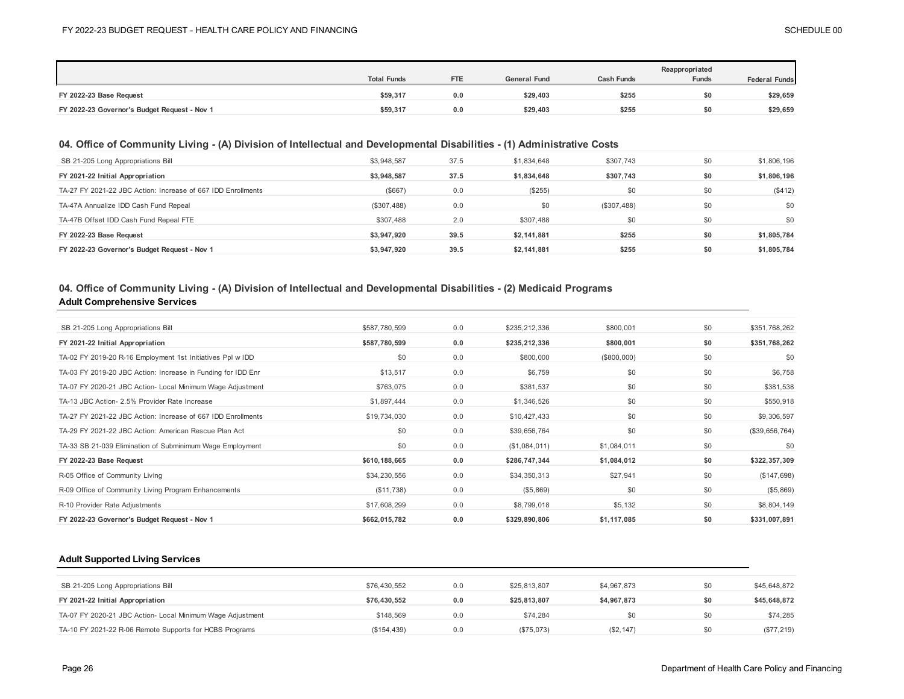|                                              |                    |            |                     |                   | Reappropriated |                      |
|----------------------------------------------|--------------------|------------|---------------------|-------------------|----------------|----------------------|
|                                              | <b>Total Funds</b> | <b>FTE</b> | <b>General Fund</b> | <b>Cash Funds</b> | <b>Funds</b>   | <b>Federal Funds</b> |
| FY 2022-23 Base Request                      | \$59,317           | 0.0        | \$29,403            | \$255             | \$0            | \$29,659             |
| FY 2022-23 Governor's Budget Request - Nov 1 | \$59,317           | 0.0        | \$29,403            | \$255             |                | \$29,659             |

## **04. Office of Community Living - (A) Division of Intellectual and Developmental Disabilities - (1) Administrative Costs**

| SB 21-205 Long Appropriations Bill                           | \$3,948,587 | 37.5 | \$1,834,648 | \$307,743   | \$0 | \$1,806,196 |
|--------------------------------------------------------------|-------------|------|-------------|-------------|-----|-------------|
| FY 2021-22 Initial Appropriation                             | \$3,948,587 | 37.5 | \$1,834,648 | \$307,743   | \$0 | \$1,806,196 |
| TA-27 FY 2021-22 JBC Action: Increase of 667 IDD Enrollments | (\$667)     | 0.0  | (\$255)     | \$0         | \$0 | (\$412)     |
| TA-47A Annualize IDD Cash Fund Repeal                        | (\$307,488) | 0.0  | \$0         | (\$307,488) | \$0 | \$0         |
| TA-47B Offset IDD Cash Fund Repeal FTE                       | \$307.488   | 2.0  | \$307.488   | \$0         | \$0 | \$0         |
| FY 2022-23 Base Request                                      | \$3.947.920 | 39.5 | \$2,141,881 | \$255       | \$0 | \$1,805,784 |
| FY 2022-23 Governor's Budget Request - Nov 1                 | \$3,947,920 | 39.5 | \$2,141,881 | \$255       | \$0 | \$1,805,784 |

## **Adult Comprehensive Services 04. Office of Community Living - (A) Division of Intellectual and Developmental Disabilities - (2) Medicaid Programs**

| SB 21-205 Long Appropriations Bill                           | \$587,780,599 | 0.0 | \$235,212,336 | \$800,001   | \$0 | \$351,768,262  |
|--------------------------------------------------------------|---------------|-----|---------------|-------------|-----|----------------|
| FY 2021-22 Initial Appropriation                             | \$587,780,599 | 0.0 | \$235,212,336 | \$800,001   | \$0 | \$351,768,262  |
| TA-02 FY 2019-20 R-16 Employment 1st Initiatives Ppl w IDD   | \$0           | 0.0 | \$800,000     | (\$800,000) | \$0 | \$0            |
| TA-03 FY 2019-20 JBC Action: Increase in Funding for IDD Enr | \$13,517      | 0.0 | \$6,759       | \$0         | \$0 | \$6,758        |
| TA-07 FY 2020-21 JBC Action- Local Minimum Wage Adjustment   | \$763,075     | 0.0 | \$381,537     | \$0         | \$0 | \$381,538      |
| TA-13 JBC Action- 2.5% Provider Rate Increase                | \$1,897,444   | 0.0 | \$1,346,526   | \$0         | \$0 | \$550,918      |
| TA-27 FY 2021-22 JBC Action: Increase of 667 IDD Enrollments | \$19,734,030  | 0.0 | \$10,427,433  | \$0         | \$0 | \$9,306,597    |
| TA-29 FY 2021-22 JBC Action: American Rescue Plan Act        | \$0           | 0.0 | \$39,656,764  | \$0         | \$0 | (\$39,656,764) |
| TA-33 SB 21-039 Elimination of Subminimum Wage Employment    | \$0           | 0.0 | (\$1,084,011) | \$1,084,011 | \$0 | \$0            |
| FY 2022-23 Base Request                                      | \$610,188,665 | 0.0 | \$286,747,344 | \$1,084,012 | \$0 | \$322,357,309  |
| R-05 Office of Community Living                              | \$34,230,556  | 0.0 | \$34,350,313  | \$27,941    | \$0 | (\$147,698)    |
| R-09 Office of Community Living Program Enhancements         | (\$11,738)    | 0.0 | (\$5,869)     | \$0         | \$0 | (\$5,869)      |
| R-10 Provider Rate Adjustments                               | \$17,608,299  | 0.0 | \$8,799,018   | \$5,132     | \$0 | \$8,804,149    |
| FY 2022-23 Governor's Budget Request - Nov 1                 | \$662,015,782 | 0.0 | \$329,890,806 | \$1,117,085 | \$0 | \$331,007,891  |

#### **Adult Supported Living Services**

| SB 21-205 Long Appropriations Bill                         | \$76,430,552 | 0.0 | \$25,813,807 | \$4,967,873 | \$0 | \$45,648,872 |
|------------------------------------------------------------|--------------|-----|--------------|-------------|-----|--------------|
| FY 2021-22 Initial Appropriation                           | \$76.430.552 | 0.0 | \$25.813.807 | \$4,967,873 | \$0 | \$45,648,872 |
| TA-07 FY 2020-21 JBC Action- Local Minimum Wage Adjustment | \$148.569    | 0.0 | \$74.284     | \$0         | \$0 | \$74.285     |
| TA-10 FY 2021-22 R-06 Remote Supports for HCBS Programs    | (S154.439)   | 0.0 | (\$75,073)   | (S2, 147)   | \$0 | (\$77, 219)  |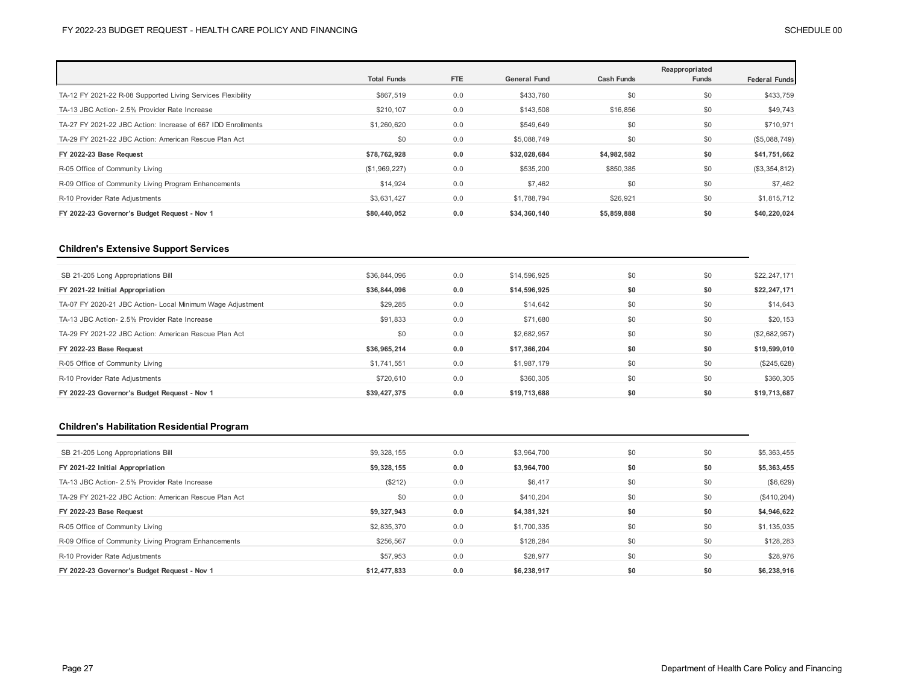|                                                              | <b>Total Funds</b> | <b>FTE</b> | <b>General Fund</b> | <b>Cash Funds</b> | Reappropriated<br><b>Funds</b> | <b>Federal Funds</b> |
|--------------------------------------------------------------|--------------------|------------|---------------------|-------------------|--------------------------------|----------------------|
| TA-12 FY 2021-22 R-08 Supported Living Services Flexibility  | \$867,519          | 0.0        | \$433,760           | \$0               | \$0                            | \$433,759            |
| TA-13 JBC Action- 2.5% Provider Rate Increase                | \$210,107          | 0.0        | \$143,508           | \$16,856          | \$0                            | \$49,743             |
| TA-27 FY 2021-22 JBC Action: Increase of 667 IDD Enrollments | \$1,260,620        | 0.0        | \$549,649           | \$0               | \$0                            | \$710,971            |
| TA-29 FY 2021-22 JBC Action: American Rescue Plan Act        | \$0                | 0.0        | \$5,088,749         | \$0               | \$0                            | (\$5,088,749)        |
| FY 2022-23 Base Request                                      | \$78,762,928       | 0.0        | \$32.028.684        | \$4,982,582       | \$0                            | \$41,751,662         |
| R-05 Office of Community Living                              | (\$1,969,227)      | 0.0        | \$535,200           | \$850,385         | \$0                            | (\$3,354,812)        |
| R-09 Office of Community Living Program Enhancements         | \$14,924           | 0.0        | \$7,462             | \$0               | \$0                            | \$7,462              |
| R-10 Provider Rate Adjustments                               | \$3,631,427        | 0.0        | \$1,788,794         | \$26,921          | \$0                            | \$1,815,712          |
| FY 2022-23 Governor's Budget Request - Nov 1                 | \$80,440,052       | 0.0        | \$34,360,140        | \$5,859,888       | \$0                            | \$40,220,024         |

## **Children's Extensive Support Services**

| SB 21-205 Long Appropriations Bill                         | \$36,844,096 | 0.0 | \$14,596,925 | \$0 | \$0 | \$22,247,171  |
|------------------------------------------------------------|--------------|-----|--------------|-----|-----|---------------|
| FY 2021-22 Initial Appropriation                           | \$36,844,096 | 0.0 | \$14,596,925 | \$0 | \$0 | \$22,247,171  |
| TA-07 FY 2020-21 JBC Action- Local Minimum Wage Adjustment | \$29,285     | 0.0 | \$14,642     | \$0 | \$0 | \$14,643      |
| TA-13 JBC Action- 2.5% Provider Rate Increase              | \$91,833     | 0.0 | \$71,680     | \$0 | \$0 | \$20,153      |
| TA-29 FY 2021-22 JBC Action: American Rescue Plan Act      | \$0          | 0.0 | \$2,682,957  | \$0 | \$0 | (\$2,682,957) |
| FY 2022-23 Base Request                                    | \$36,965,214 | 0.0 | \$17,366,204 | \$0 | \$0 | \$19,599,010  |
| R-05 Office of Community Living                            | \$1,741,551  | 0.0 | \$1,987,179  | \$0 | \$0 | (\$245,628)   |
| R-10 Provider Rate Adjustments                             | \$720,610    | 0.0 | \$360,305    | \$0 | \$0 | \$360,305     |
| FY 2022-23 Governor's Budget Request - Nov 1               | \$39.427.375 | 0.0 | \$19,713,688 | \$0 | \$0 | \$19,713,687  |

## **Children's Habilitation Residential Program**

| SB 21-205 Long Appropriations Bill                    | \$9,328,155  | 0.0 | \$3,964,700 | \$0 | \$0 | \$5,363,455  |
|-------------------------------------------------------|--------------|-----|-------------|-----|-----|--------------|
| FY 2021-22 Initial Appropriation                      | \$9,328,155  | 0.0 | \$3,964,700 | \$0 | \$0 | \$5,363,455  |
| TA-13 JBC Action- 2.5% Provider Rate Increase         | (\$212)      | 0.0 | \$6,417     | \$0 | \$0 | (\$6,629)    |
| TA-29 FY 2021-22 JBC Action: American Rescue Plan Act | \$0          | 0.0 | \$410,204   | \$0 | \$0 | (\$410, 204) |
| FY 2022-23 Base Request                               | \$9,327,943  | 0.0 | \$4,381,321 | \$0 | \$0 | \$4,946,622  |
| R-05 Office of Community Living                       | \$2,835,370  | 0.0 | \$1,700,335 | \$0 | \$0 | \$1,135,035  |
| R-09 Office of Community Living Program Enhancements  | \$256,567    | 0.0 | \$128.284   | \$0 | \$0 | \$128,283    |
| R-10 Provider Rate Adjustments                        | \$57,953     | 0.0 | \$28,977    | \$0 | \$0 | \$28,976     |
| FY 2022-23 Governor's Budget Request - Nov 1          | \$12,477,833 | 0.0 | \$6.238.917 | \$0 | \$0 | \$6,238,916  |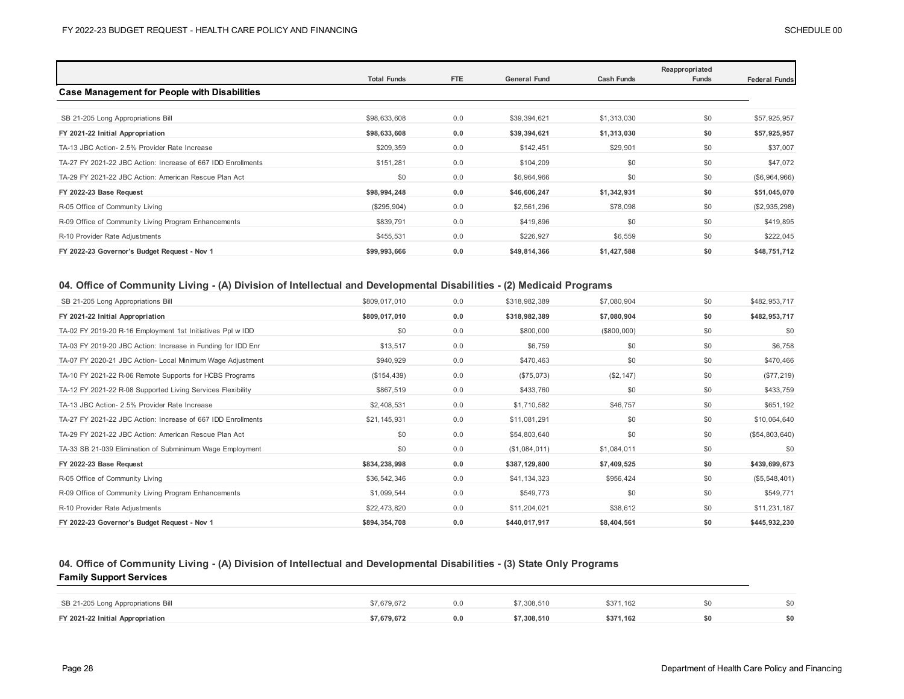|                                                              | <b>Total Funds</b> | <b>FTE</b> | <b>General Fund</b> | <b>Cash Funds</b> | Reappropriated<br>Funds | <b>Federal Funds</b> |
|--------------------------------------------------------------|--------------------|------------|---------------------|-------------------|-------------------------|----------------------|
| <b>Case Management for People with Disabilities</b>          |                    |            |                     |                   |                         |                      |
|                                                              |                    |            |                     |                   |                         |                      |
| SB 21-205 Long Appropriations Bill                           | \$98,633,608       | 0.0        | \$39,394,621        | \$1,313,030       | \$0                     | \$57,925,957         |
| FY 2021-22 Initial Appropriation                             | \$98,633,608       | 0.0        | \$39,394,621        | \$1,313,030       | \$0                     | \$57,925,957         |
| TA-13 JBC Action- 2.5% Provider Rate Increase                | \$209,359          | 0.0        | \$142,451           | \$29,901          | \$0                     | \$37,007             |
| TA-27 FY 2021-22 JBC Action: Increase of 667 IDD Enrollments | \$151,281          | 0.0        | \$104,209           | \$0               | \$0                     | \$47,072             |
| TA-29 FY 2021-22 JBC Action: American Rescue Plan Act        | \$0                | 0.0        | \$6,964,966         | \$0               | \$0                     | (\$6,964,966)        |
| FY 2022-23 Base Request                                      | \$98,994,248       | 0.0        | \$46,606,247        | \$1,342,931       | \$0                     | \$51,045,070         |
| R-05 Office of Community Living                              | (\$295,904)        | 0.0        | \$2,561,296         | \$78,098          | \$0                     | (\$2,935,298)        |
| R-09 Office of Community Living Program Enhancements         | \$839,791          | 0.0        | \$419,896           | \$0               | \$0                     | \$419,895            |
| R-10 Provider Rate Adjustments                               | \$455,531          | 0.0        | \$226,927           | \$6,559           | \$0                     | \$222,045            |
| FY 2022-23 Governor's Budget Request - Nov 1                 | \$99,993,666       | 0.0        | \$49,814,366        | \$1,427,588       | \$0                     | \$48,751,712         |

## **04. Office of Community Living - (A) Division of Intellectual and Developmental Disabilities - (2) Medicaid Programs**

| SB 21-205 Long Appropriations Bill                           | \$809,017,010 | 0.0 | \$318,982,389 | \$7,080,904 | \$0 | \$482,953,717  |
|--------------------------------------------------------------|---------------|-----|---------------|-------------|-----|----------------|
| FY 2021-22 Initial Appropriation                             | \$809,017,010 | 0.0 | \$318,982,389 | \$7,080,904 | \$0 | \$482,953,717  |
| TA-02 FY 2019-20 R-16 Employment 1st Initiatives Ppl w IDD   | \$0           | 0.0 | \$800,000     | (\$800,000) | \$0 | \$0            |
| TA-03 FY 2019-20 JBC Action: Increase in Funding for IDD Enr | \$13,517      | 0.0 | \$6,759       | \$0         | \$0 | \$6,758        |
| TA-07 FY 2020-21 JBC Action- Local Minimum Wage Adjustment   | \$940,929     | 0.0 | \$470,463     | \$0         | \$0 | \$470,466      |
| TA-10 FY 2021-22 R-06 Remote Supports for HCBS Programs      | (\$154, 439)  | 0.0 | (\$75,073)    | (\$2,147)   | \$0 | (\$77,219)     |
| TA-12 FY 2021-22 R-08 Supported Living Services Flexibility  | \$867,519     | 0.0 | \$433,760     | \$0         | \$0 | \$433,759      |
| TA-13 JBC Action- 2.5% Provider Rate Increase                | \$2,408,531   | 0.0 | \$1,710,582   | \$46,757    | \$0 | \$651,192      |
| TA-27 FY 2021-22 JBC Action: Increase of 667 IDD Enrollments | \$21,145,931  | 0.0 | \$11,081,291  | \$0         | \$0 | \$10,064,640   |
| TA-29 FY 2021-22 JBC Action: American Rescue Plan Act        | \$0           | 0.0 | \$54,803,640  | \$0         | \$0 | (\$54,803,640) |
| TA-33 SB 21-039 Elimination of Subminimum Wage Employment    | \$0           | 0.0 | (\$1,084,011) | \$1,084,011 | \$0 | \$0            |
| FY 2022-23 Base Request                                      | \$834,238,998 | 0.0 | \$387,129,800 | \$7,409,525 | \$0 | \$439,699,673  |
| R-05 Office of Community Living                              | \$36,542,346  | 0.0 | \$41,134,323  | \$956,424   | \$0 | (\$5,548,401)  |
| R-09 Office of Community Living Program Enhancements         | \$1,099,544   | 0.0 | \$549,773     | \$0         | \$0 | \$549,771      |
| R-10 Provider Rate Adjustments                               | \$22,473,820  | 0.0 | \$11,204,021  | \$38,612    | \$0 | \$11,231,187   |
| FY 2022-23 Governor's Budget Request - Nov 1                 | \$894,354,708 | 0.0 | \$440,017,917 | \$8,404,561 | \$0 | \$445,932,230  |

### **04. Office of Community Living - (A) Division of Intellectual and Developmental Disabilities - (3) State Only Programs Family Support Services**

| SB 21-205 Long Appropriations Bill | 7.679.67  |     | .308.510  | \$371.162 | ¢η |
|------------------------------------|-----------|-----|-----------|-----------|----|
| FY 2021-22 Initial Appropriation   | 7.679.672 | 0.0 | 7.308.510 | \$371.162 | ¢n |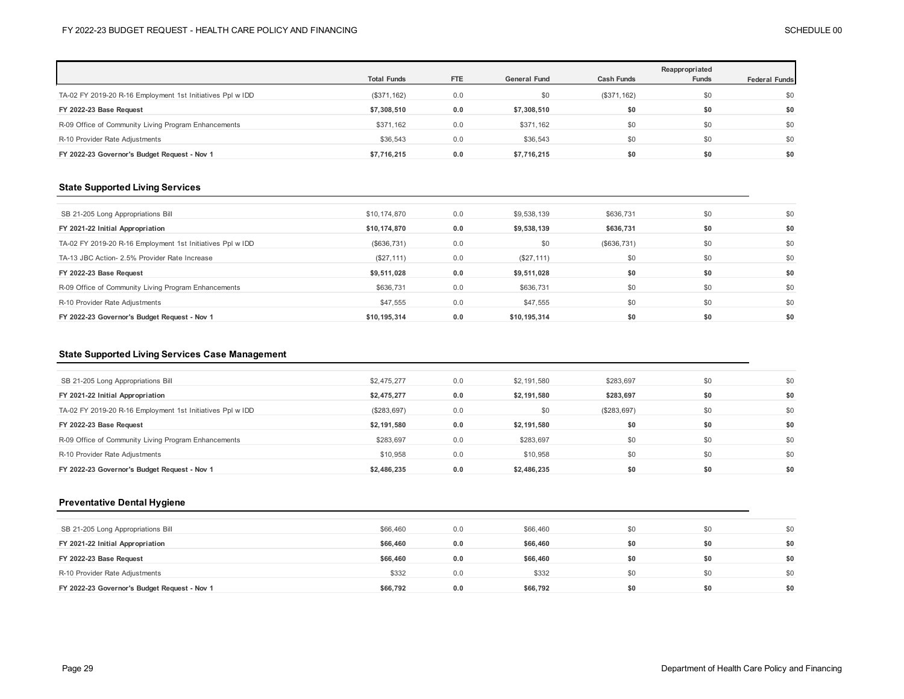|                                                            |                    |            |                     |                   | Reappropriated |                      |
|------------------------------------------------------------|--------------------|------------|---------------------|-------------------|----------------|----------------------|
|                                                            | <b>Total Funds</b> | <b>FTE</b> | <b>General Fund</b> | <b>Cash Funds</b> | <b>Funds</b>   | <b>Federal Funds</b> |
| TA-02 FY 2019-20 R-16 Employment 1st Initiatives Ppl w IDD | (\$371,162)        | 0.0        | \$0                 | (\$371,162)       | \$0            | \$0                  |
| FY 2022-23 Base Request                                    | \$7,308,510        | 0.0        | \$7,308,510         | \$0               | \$0            | \$0                  |
| R-09 Office of Community Living Program Enhancements       | \$371,162          | 0.0        | \$371,162           | \$0               | \$0            | \$0                  |
| R-10 Provider Rate Adjustments                             | \$36,543           | 0.0        | \$36,543            | \$0               | \$0            | \$0                  |
| FY 2022-23 Governor's Budget Request - Nov 1               | \$7.716.215        | 0.0        | \$7.716.215         | \$0               | \$0            | \$0                  |

## **State Supported Living Services**

| SB 21-205 Long Appropriations Bill                         | \$10,174,870 | 0.0 | \$9,538,139  | \$636,731   | \$0 | \$0 |
|------------------------------------------------------------|--------------|-----|--------------|-------------|-----|-----|
| FY 2021-22 Initial Appropriation                           | \$10,174,870 | 0.0 | \$9,538,139  | \$636.731   | \$0 | \$0 |
| TA-02 FY 2019-20 R-16 Employment 1st Initiatives Ppl w IDD | (\$636,731)  | 0.0 | \$0          | (\$636,731) | \$0 | \$0 |
| TA-13 JBC Action- 2.5% Provider Rate Increase              | (\$27, 111)  | 0.0 | (\$27,111)   | \$0         | \$0 | \$0 |
| FY 2022-23 Base Request                                    | \$9,511,028  | 0.0 | \$9,511,028  | \$0         | \$0 | \$0 |
| R-09 Office of Community Living Program Enhancements       | \$636.731    | 0.0 | \$636,731    | \$0         | \$0 | \$0 |
| R-10 Provider Rate Adjustments                             | \$47,555     | 0.0 | \$47,555     | \$0         | \$0 | \$0 |
| FY 2022-23 Governor's Budget Request - Nov 1               | \$10.195.314 | 0.0 | \$10,195,314 | \$0         | \$0 | \$0 |

### **State Supported Living Services Case Management**

| SB 21-205 Long Appropriations Bill                         | \$2,475,277 | 0.0 | \$2,191,580 | \$283,697   | SO. | \$0 |
|------------------------------------------------------------|-------------|-----|-------------|-------------|-----|-----|
| FY 2021-22 Initial Appropriation                           | \$2,475,277 | 0.0 | \$2,191,580 | \$283,697   | \$0 | \$0 |
| TA-02 FY 2019-20 R-16 Employment 1st Initiatives Ppl w IDD | (\$283,697) | 0.0 | \$0         | (\$283,697) | \$0 | \$0 |
| FY 2022-23 Base Request                                    | \$2,191,580 | 0.0 | \$2,191,580 | \$0         | \$0 | \$0 |
| R-09 Office of Community Living Program Enhancements       | \$283,697   | 0.0 | \$283,697   | \$0         | \$0 | \$0 |
| R-10 Provider Rate Adjustments                             | \$10,958    | 0.0 | \$10,958    | \$0         | \$0 | \$0 |
| FY 2022-23 Governor's Budget Request - Nov 1               | \$2,486,235 | 0.0 | \$2,486.235 | \$0         |     | \$0 |

## **Preventative Dental Hygiene**

| SB 21-205 Long Appropriations Bill           | \$66,460 | 0.0 | \$66,460 | \$0 | \$0 | \$0 |
|----------------------------------------------|----------|-----|----------|-----|-----|-----|
| FY 2021-22 Initial Appropriation             | \$66,460 | 0.0 | \$66,460 | \$0 | \$0 | \$0 |
| FY 2022-23 Base Request                      | \$66,460 | 0.0 | \$66,460 | \$0 | \$0 | \$0 |
| R-10 Provider Rate Adjustments               | \$332    | 0.0 | \$332    | \$0 | \$0 | \$0 |
| FY 2022-23 Governor's Budget Request - Nov 1 | \$66,792 | 0.0 | \$66,792 | \$0 | \$0 | \$0 |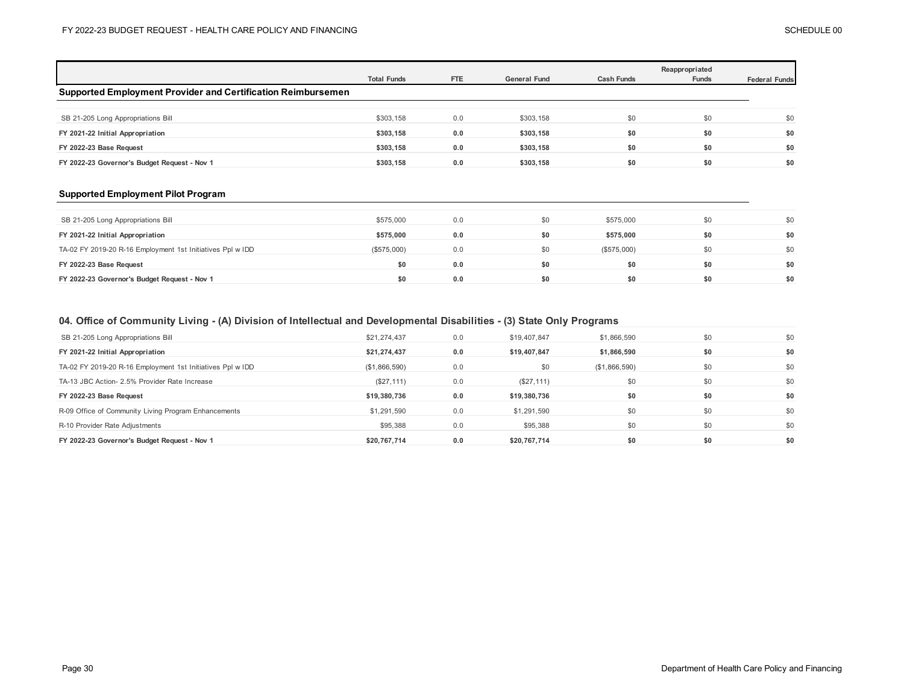|                                                              | <b>Total Funds</b> | <b>FTE</b> | <b>General Fund</b> | <b>Cash Funds</b> | Reappropriated<br><b>Funds</b> | <b>Federal Funds</b> |
|--------------------------------------------------------------|--------------------|------------|---------------------|-------------------|--------------------------------|----------------------|
| Supported Employment Provider and Certification Reimbursemen |                    |            |                     |                   |                                |                      |
|                                                              |                    |            |                     |                   |                                |                      |
| SB 21-205 Long Appropriations Bill                           | \$303,158          | 0.0        | \$303,158           | \$0               | \$0                            | \$0                  |
| FY 2021-22 Initial Appropriation                             | \$303,158          | 0.0        | \$303,158           | \$0               | \$0                            | \$0                  |
| FY 2022-23 Base Request                                      | \$303.158          | 0.0        | \$303,158           | \$0               | \$0                            | \$0                  |
| FY 2022-23 Governor's Budget Request - Nov 1                 | \$303.158          | 0.0        | \$303,158           | \$0               | \$0                            | \$0                  |

### **Supported Employment Pilot Program**

| SB 21-205 Long Appropriations Bill                         | \$575,000   | 0.0 | \$0 | \$575,000   | \$0 | \$0 |
|------------------------------------------------------------|-------------|-----|-----|-------------|-----|-----|
| FY 2021-22 Initial Appropriation                           | \$575,000   | 0.0 | \$0 | \$575,000   | \$0 | \$0 |
| TA-02 FY 2019-20 R-16 Employment 1st Initiatives Ppl w IDD | (\$575,000) | 0.0 | \$0 | (\$575,000) | \$0 | \$0 |
| FY 2022-23 Base Request                                    | \$0         | 0.0 | \$0 | \$0         | \$0 | \$0 |
| FY 2022-23 Governor's Budget Request - Nov 1               | \$0         | 0.0 | \$0 | \$0         | \$0 | \$0 |

## **04. Office of Community Living - (A) Division of Intellectual and Developmental Disabilities - (3) State Only Programs**

| SB 21-205 Long Appropriations Bill                         | \$21,274,437  | 0.0 | \$19,407,847 | \$1,866,590   | \$0 | \$0 |
|------------------------------------------------------------|---------------|-----|--------------|---------------|-----|-----|
| FY 2021-22 Initial Appropriation                           | \$21,274,437  | 0.0 | \$19,407.847 | \$1,866,590   | \$0 | \$0 |
| TA-02 FY 2019-20 R-16 Employment 1st Initiatives Ppl w IDD | (\$1,866,590) | 0.0 | \$0          | (\$1,866,590) | \$0 | \$0 |
| TA-13 JBC Action- 2.5% Provider Rate Increase              | (\$27, 111)   | 0.0 | (\$27,111)   | \$0           | \$0 | \$0 |
|                                                            |               |     |              |               |     |     |
| FY 2022-23 Base Request                                    | \$19,380,736  | 0.0 | \$19,380,736 | \$0           | \$0 | \$0 |
| R-09 Office of Community Living Program Enhancements       | \$1,291,590   | 0.0 | \$1,291,590  | \$0           | \$0 | \$0 |
| R-10 Provider Rate Adjustments                             | \$95,388      | 0.0 | \$95,388     | \$0           | \$0 | \$0 |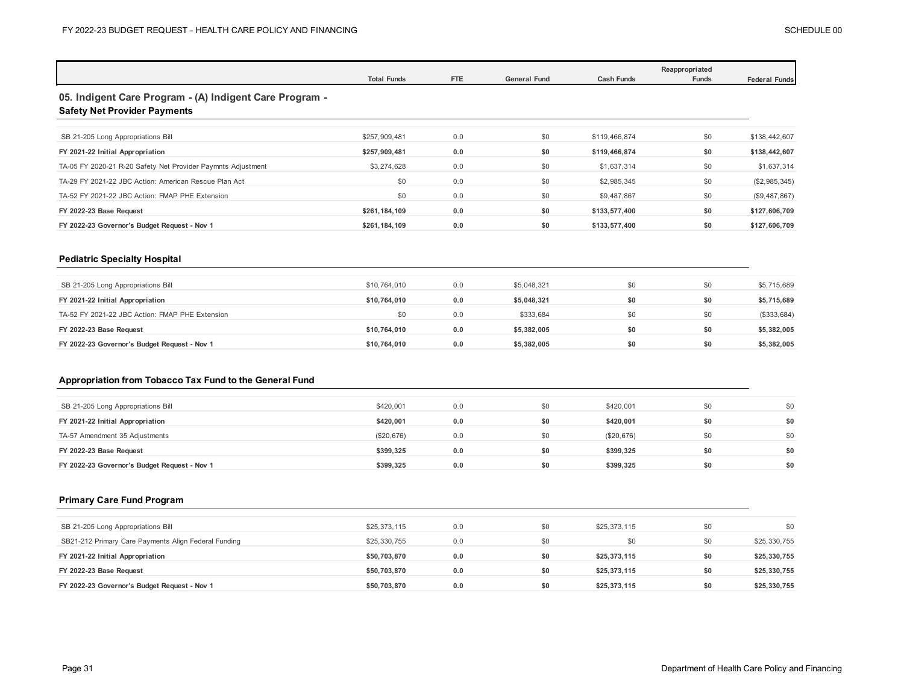|                                                                                                |                    |     |                     | Reappropriated    |       |                      |  |  |  |
|------------------------------------------------------------------------------------------------|--------------------|-----|---------------------|-------------------|-------|----------------------|--|--|--|
|                                                                                                | <b>Total Funds</b> | FTE | <b>General Fund</b> | <b>Cash Funds</b> | Funds | <b>Federal Funds</b> |  |  |  |
| 05. Indigent Care Program - (A) Indigent Care Program -<br><b>Safety Net Provider Payments</b> |                    |     |                     |                   |       |                      |  |  |  |
|                                                                                                |                    |     |                     |                   |       |                      |  |  |  |
| SB 21-205 Long Appropriations Bill                                                             | \$257.909.481      | 0.0 | \$0                 | \$119,466,874     | \$0   | \$138,442,607        |  |  |  |
| FY 2021-22 Initial Appropriation                                                               | \$257.909.481      | 0.0 | \$0                 | \$119,466,874     | \$0   | \$138,442,607        |  |  |  |
| TA-05 FY 2020-21 R-20 Safety Net Provider Paymnts Adjustment                                   | \$3,274,628        | 0.0 | \$0                 | \$1,637,314       | \$0   | \$1,637,314          |  |  |  |
| TA-29 FY 2021-22 JBC Action: American Rescue Plan Act                                          | \$0                | 0.0 | \$0                 | \$2,985,345       | \$0   | (\$2,985,345)        |  |  |  |
| TA-52 FY 2021-22 JBC Action: FMAP PHE Extension                                                | \$0                | 0.0 | \$0                 | \$9,487,867       | \$0   | (\$9,487,867)        |  |  |  |
| FY 2022-23 Base Request                                                                        | \$261,184,109      | 0.0 | \$0                 | \$133,577,400     | \$0   | \$127,606,709        |  |  |  |
| FY 2022-23 Governor's Budget Request - Nov 1                                                   | \$261,184,109      | 0.0 | \$0                 | \$133,577,400     | \$0   | \$127,606,709        |  |  |  |
|                                                                                                |                    |     |                     |                   |       |                      |  |  |  |

### **Pediatric Specialty Hospital**

| SB 21-205 Long Appropriations Bill              | \$10,764,010 | 0.0 | \$5,048,321 | \$0 | \$0 | \$5,715,689 |
|-------------------------------------------------|--------------|-----|-------------|-----|-----|-------------|
| FY 2021-22 Initial Appropriation                | \$10.764.010 | 0.0 | \$5,048,321 | \$0 | \$0 | \$5,715,689 |
| TA-52 FY 2021-22 JBC Action: FMAP PHE Extension | \$0          | 0.0 | \$333.684   | \$0 | \$0 | (\$333,684) |
| FY 2022-23 Base Request                         | \$10.764.010 | 0.0 | \$5,382,005 | \$0 | \$0 | \$5,382,005 |
| FY 2022-23 Governor's Budget Request - Nov 1    | \$10,764,010 | 0.0 | \$5,382,005 | \$0 | \$0 | \$5,382,005 |

## **Appropriation from Tobacco Tax Fund to the General Fund**

| SB 21-205 Long Appropriations Bill           | \$420,001  | 0.0 | \$0 | \$420,001  | \$0 | \$0 |
|----------------------------------------------|------------|-----|-----|------------|-----|-----|
| FY 2021-22 Initial Appropriation             | \$420.001  | 0.0 | \$0 | \$420.001  | \$0 | \$0 |
| TA-57 Amendment 35 Adjustments               | (\$20,676) | 0.0 | \$0 | (\$20,676) | \$0 | \$0 |
| FY 2022-23 Base Request                      | \$399.325  | 0.0 | \$0 | \$399,325  | \$0 | \$0 |
| FY 2022-23 Governor's Budget Request - Nov 1 | \$399.325  | 0.0 | \$0 | \$399.325  | \$0 | \$0 |

#### **Primary Care Fund Program**

| SB 21-205 Long Appropriations Bill                   | \$25,373,115 | 0.0 | \$0 | \$25,373,115 | \$0 | \$0          |
|------------------------------------------------------|--------------|-----|-----|--------------|-----|--------------|
| SB21-212 Primary Care Payments Align Federal Funding | \$25,330,755 | 0.0 | \$0 | \$0          | \$0 | \$25,330,755 |
| FY 2021-22 Initial Appropriation                     | \$50,703,870 | 0.0 | \$0 | \$25,373,115 | \$0 | \$25,330,755 |
| FY 2022-23 Base Request                              | \$50,703,870 | 0.0 | \$0 | \$25,373,115 | \$0 | \$25,330,755 |
| FY 2022-23 Governor's Budget Request - Nov 1         | \$50,703,870 | 0.0 | \$0 | \$25,373,115 | \$0 | \$25,330,755 |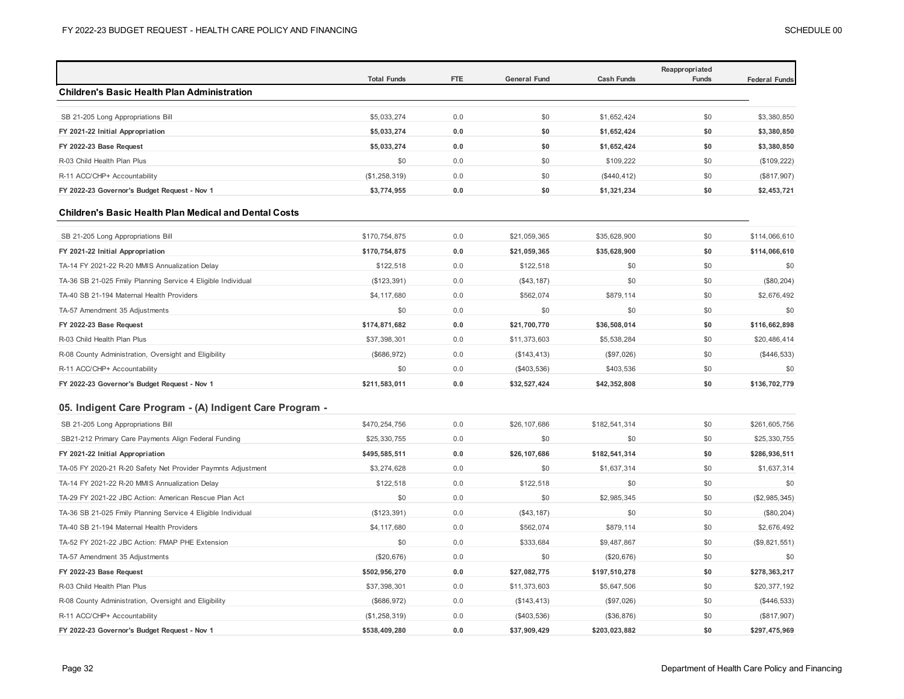|               |                                                                                                                                                                                                                                                                                                                                   |                                                                                                                                                        |                                                                                                                                                                                                                                                               | Reappropriated                                                                                                                                                                                                                                                                                                         | <b>Federal Funds</b>                                                                                                                                     |
|---------------|-----------------------------------------------------------------------------------------------------------------------------------------------------------------------------------------------------------------------------------------------------------------------------------------------------------------------------------|--------------------------------------------------------------------------------------------------------------------------------------------------------|---------------------------------------------------------------------------------------------------------------------------------------------------------------------------------------------------------------------------------------------------------------|------------------------------------------------------------------------------------------------------------------------------------------------------------------------------------------------------------------------------------------------------------------------------------------------------------------------|----------------------------------------------------------------------------------------------------------------------------------------------------------|
|               |                                                                                                                                                                                                                                                                                                                                   |                                                                                                                                                        |                                                                                                                                                                                                                                                               |                                                                                                                                                                                                                                                                                                                        |                                                                                                                                                          |
|               |                                                                                                                                                                                                                                                                                                                                   |                                                                                                                                                        |                                                                                                                                                                                                                                                               |                                                                                                                                                                                                                                                                                                                        |                                                                                                                                                          |
|               |                                                                                                                                                                                                                                                                                                                                   |                                                                                                                                                        |                                                                                                                                                                                                                                                               |                                                                                                                                                                                                                                                                                                                        | \$3,380,850                                                                                                                                              |
|               |                                                                                                                                                                                                                                                                                                                                   |                                                                                                                                                        |                                                                                                                                                                                                                                                               |                                                                                                                                                                                                                                                                                                                        | \$3,380,850<br>\$3,380,850                                                                                                                               |
|               |                                                                                                                                                                                                                                                                                                                                   |                                                                                                                                                        |                                                                                                                                                                                                                                                               |                                                                                                                                                                                                                                                                                                                        |                                                                                                                                                          |
|               |                                                                                                                                                                                                                                                                                                                                   |                                                                                                                                                        |                                                                                                                                                                                                                                                               |                                                                                                                                                                                                                                                                                                                        | (\$109, 222)                                                                                                                                             |
|               |                                                                                                                                                                                                                                                                                                                                   |                                                                                                                                                        |                                                                                                                                                                                                                                                               |                                                                                                                                                                                                                                                                                                                        | (\$817,907)                                                                                                                                              |
|               |                                                                                                                                                                                                                                                                                                                                   |                                                                                                                                                        |                                                                                                                                                                                                                                                               |                                                                                                                                                                                                                                                                                                                        | \$2,453,721                                                                                                                                              |
|               |                                                                                                                                                                                                                                                                                                                                   |                                                                                                                                                        |                                                                                                                                                                                                                                                               |                                                                                                                                                                                                                                                                                                                        |                                                                                                                                                          |
| \$170,754,875 | 0.0                                                                                                                                                                                                                                                                                                                               | \$21,059,365                                                                                                                                           | \$35,628,900                                                                                                                                                                                                                                                  | \$0                                                                                                                                                                                                                                                                                                                    | \$114,066,610                                                                                                                                            |
| \$170,754,875 | 0.0                                                                                                                                                                                                                                                                                                                               | \$21,059,365                                                                                                                                           | \$35,628,900                                                                                                                                                                                                                                                  | \$0                                                                                                                                                                                                                                                                                                                    | \$114,066,610                                                                                                                                            |
| \$122,518     | 0.0                                                                                                                                                                                                                                                                                                                               | \$122,518                                                                                                                                              | \$0                                                                                                                                                                                                                                                           | \$0                                                                                                                                                                                                                                                                                                                    | \$0                                                                                                                                                      |
| (\$123, 391)  | 0.0                                                                                                                                                                                                                                                                                                                               | (\$43, 187)                                                                                                                                            | \$0                                                                                                                                                                                                                                                           | \$0                                                                                                                                                                                                                                                                                                                    | (\$80, 204)                                                                                                                                              |
| \$4,117,680   | 0.0                                                                                                                                                                                                                                                                                                                               | \$562,074                                                                                                                                              | \$879,114                                                                                                                                                                                                                                                     | \$0                                                                                                                                                                                                                                                                                                                    | \$2,676,492                                                                                                                                              |
| \$0           | 0.0                                                                                                                                                                                                                                                                                                                               | \$0                                                                                                                                                    | \$0                                                                                                                                                                                                                                                           | \$0                                                                                                                                                                                                                                                                                                                    | \$0                                                                                                                                                      |
| \$174,871,682 | 0.0                                                                                                                                                                                                                                                                                                                               | \$21,700,770                                                                                                                                           | \$36,508,014                                                                                                                                                                                                                                                  | \$0                                                                                                                                                                                                                                                                                                                    | \$116,662,898                                                                                                                                            |
| \$37,398,301  | 0.0                                                                                                                                                                                                                                                                                                                               | \$11,373,603                                                                                                                                           | \$5,538,284                                                                                                                                                                                                                                                   | \$0                                                                                                                                                                                                                                                                                                                    | \$20,486,414                                                                                                                                             |
| (\$686,972)   | 0.0                                                                                                                                                                                                                                                                                                                               | (\$143, 413)                                                                                                                                           | (\$97,026)                                                                                                                                                                                                                                                    | \$0                                                                                                                                                                                                                                                                                                                    | (\$446,533)                                                                                                                                              |
| \$0           | 0.0                                                                                                                                                                                                                                                                                                                               | (\$403,536)                                                                                                                                            | \$403,536                                                                                                                                                                                                                                                     | \$0                                                                                                                                                                                                                                                                                                                    | \$0                                                                                                                                                      |
| \$211,583,011 | 0.0                                                                                                                                                                                                                                                                                                                               | \$32,527,424                                                                                                                                           | \$42,352,808                                                                                                                                                                                                                                                  | \$0                                                                                                                                                                                                                                                                                                                    | \$136,702,779                                                                                                                                            |
|               |                                                                                                                                                                                                                                                                                                                                   |                                                                                                                                                        |                                                                                                                                                                                                                                                               |                                                                                                                                                                                                                                                                                                                        |                                                                                                                                                          |
|               |                                                                                                                                                                                                                                                                                                                                   |                                                                                                                                                        |                                                                                                                                                                                                                                                               |                                                                                                                                                                                                                                                                                                                        |                                                                                                                                                          |
|               |                                                                                                                                                                                                                                                                                                                                   |                                                                                                                                                        |                                                                                                                                                                                                                                                               |                                                                                                                                                                                                                                                                                                                        | \$261,605,756                                                                                                                                            |
|               |                                                                                                                                                                                                                                                                                                                                   |                                                                                                                                                        |                                                                                                                                                                                                                                                               |                                                                                                                                                                                                                                                                                                                        | \$25,330,755                                                                                                                                             |
|               |                                                                                                                                                                                                                                                                                                                                   |                                                                                                                                                        |                                                                                                                                                                                                                                                               |                                                                                                                                                                                                                                                                                                                        | \$286,936,511                                                                                                                                            |
|               |                                                                                                                                                                                                                                                                                                                                   |                                                                                                                                                        |                                                                                                                                                                                                                                                               |                                                                                                                                                                                                                                                                                                                        | \$1,637,314                                                                                                                                              |
|               |                                                                                                                                                                                                                                                                                                                                   |                                                                                                                                                        |                                                                                                                                                                                                                                                               |                                                                                                                                                                                                                                                                                                                        | \$0                                                                                                                                                      |
|               |                                                                                                                                                                                                                                                                                                                                   |                                                                                                                                                        |                                                                                                                                                                                                                                                               |                                                                                                                                                                                                                                                                                                                        | (\$2,985,345)                                                                                                                                            |
|               |                                                                                                                                                                                                                                                                                                                                   |                                                                                                                                                        |                                                                                                                                                                                                                                                               |                                                                                                                                                                                                                                                                                                                        | (\$80, 204)                                                                                                                                              |
|               |                                                                                                                                                                                                                                                                                                                                   |                                                                                                                                                        |                                                                                                                                                                                                                                                               |                                                                                                                                                                                                                                                                                                                        | \$2,676,492                                                                                                                                              |
|               |                                                                                                                                                                                                                                                                                                                                   |                                                                                                                                                        |                                                                                                                                                                                                                                                               |                                                                                                                                                                                                                                                                                                                        | (\$9,821,551)                                                                                                                                            |
|               |                                                                                                                                                                                                                                                                                                                                   |                                                                                                                                                        |                                                                                                                                                                                                                                                               |                                                                                                                                                                                                                                                                                                                        | \$0                                                                                                                                                      |
|               |                                                                                                                                                                                                                                                                                                                                   |                                                                                                                                                        |                                                                                                                                                                                                                                                               |                                                                                                                                                                                                                                                                                                                        | \$278,363,217                                                                                                                                            |
|               |                                                                                                                                                                                                                                                                                                                                   |                                                                                                                                                        |                                                                                                                                                                                                                                                               |                                                                                                                                                                                                                                                                                                                        | \$20,377,192                                                                                                                                             |
|               |                                                                                                                                                                                                                                                                                                                                   |                                                                                                                                                        |                                                                                                                                                                                                                                                               |                                                                                                                                                                                                                                                                                                                        | (\$446,533)<br>(\$817,907)                                                                                                                               |
|               |                                                                                                                                                                                                                                                                                                                                   |                                                                                                                                                        |                                                                                                                                                                                                                                                               |                                                                                                                                                                                                                                                                                                                        | \$297,475,969                                                                                                                                            |
|               | <b>Total Funds</b><br>\$5,033,274<br>\$5,033,274<br>\$5,033,274<br>\$0<br>(\$1,258,319)<br>\$3,774,955<br>\$470,254,756<br>\$25,330,755<br>\$495,585,511<br>\$3,274,628<br>\$122,518<br>\$0<br>(\$123, 391)<br>\$4,117,680<br>\$0<br>(\$20,676)<br>\$502,956,270<br>\$37,398,301<br>(\$686,972)<br>(\$1,258,319)<br>\$538,409,280 | FTE<br>0.0<br>0.0<br>0.0<br>0.0<br>0.0<br>0.0<br>0.0<br>0.0<br>0.0<br>0.0<br>0.0<br>0.0<br>0.0<br>0.0<br>0.0<br>0.0<br>0.0<br>0.0<br>0.0<br>0.0<br>0.0 | <b>General Fund</b><br>\$0<br>\$0<br>\$0<br>\$0<br>\$0<br>\$0<br>\$26,107,686<br>\$0<br>\$26,107,686<br>\$0<br>\$122,518<br>\$0<br>(\$43,187)<br>\$562,074<br>\$333,684<br>\$0<br>\$27,082,775<br>\$11,373,603<br>(\$143, 413)<br>(\$403,536)<br>\$37,909,429 | <b>Cash Funds</b><br>\$1,652,424<br>\$1,652,424<br>\$1,652,424<br>\$109,222<br>(\$440, 412)<br>\$1,321,234<br>\$182,541,314<br>\$0<br>\$182,541,314<br>\$1,637,314<br>\$0<br>\$2,985,345<br>\$0<br>\$879,114<br>\$9,487,867<br>(\$20,676)<br>\$197,510,278<br>\$5,647,506<br>(\$97,026)<br>(\$36,876)<br>\$203,023,882 | Funds<br>\$0<br>\$0<br>\$0<br>\$0<br>\$0<br>\$0<br>\$0<br>\$0<br>\$0<br>\$0<br>\$0<br>\$0<br>\$0<br>\$0<br>\$0<br>\$0<br>\$0<br>\$0<br>\$0<br>\$0<br>\$0 |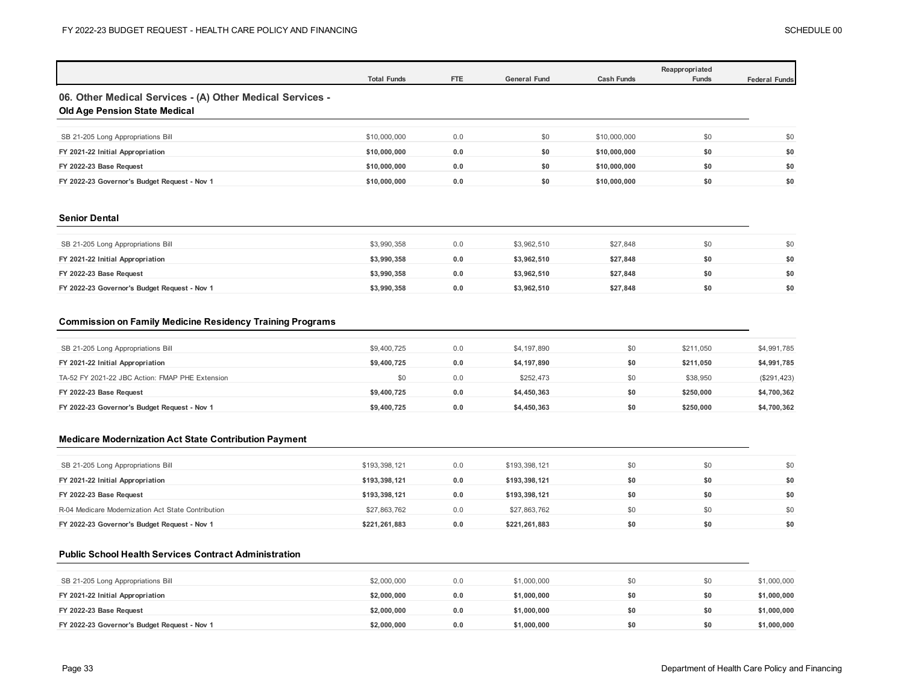|                                                                                            | <b>Total Funds</b> | FTE | <b>General Fund</b> | <b>Cash Funds</b> | Reappropriated<br>Funds | <b>Federal Funds</b> |
|--------------------------------------------------------------------------------------------|--------------------|-----|---------------------|-------------------|-------------------------|----------------------|
| 06. Other Medical Services - (A) Other Medical Services -<br>Old Age Pension State Medical |                    |     |                     |                   |                         |                      |
| SB 21-205 Long Appropriations Bill                                                         | \$10,000,000       | 0.0 | \$0                 | \$10,000,000      | \$0                     | \$0                  |
| FY 2021-22 Initial Appropriation                                                           | \$10,000,000       | 0.0 | \$0                 | \$10,000,000      | \$0                     | \$0                  |
| FY 2022-23 Base Request                                                                    | \$10,000,000       | 0.0 | \$0                 | \$10,000,000      | \$0                     | \$0                  |
| FY 2022-23 Governor's Budget Request - Nov 1                                               | \$10,000,000       | 0.0 | \$0                 | \$10,000,000      | \$0                     | \$0                  |
|                                                                                            |                    |     |                     |                   |                         |                      |

### **Senior Dental**

 $\mathbf{I}$ 

| SB 21-205 Long Appropriations Bill           | \$3,990,358 | 0.0 | \$3,962,510 | \$27.848 |     | \$0 |
|----------------------------------------------|-------------|-----|-------------|----------|-----|-----|
| FY 2021-22 Initial Appropriation             | \$3,990,358 | 0.0 | \$3.962.510 | \$27,848 | \$0 | \$0 |
| FY 2022-23 Base Request                      | \$3,990,358 | 0.0 | \$3,962,510 | \$27,848 | \$0 | \$0 |
| FY 2022-23 Governor's Budget Request - Nov 1 | \$3,990,358 | 0.0 | \$3.962.510 | \$27.848 | \$0 | \$0 |

## **Commission on Family Medicine Residency Training Programs**

| SB 21-205 Long Appropriations Bill              | \$9,400,725 | 0.0 | \$4,197,890 | \$0 | \$211.050 | \$4,991,785  |
|-------------------------------------------------|-------------|-----|-------------|-----|-----------|--------------|
| FY 2021-22 Initial Appropriation                | \$9,400.725 | 0.0 | \$4,197,890 | \$0 | \$211.050 | \$4,991,785  |
| TA-52 FY 2021-22 JBC Action: FMAP PHE Extension | \$0         | 0.0 | \$252,473   | \$0 | \$38,950  | (\$291, 423) |
| FY 2022-23 Base Request                         | \$9,400,725 | 0.0 | \$4,450,363 | \$0 | \$250,000 | \$4,700,362  |
| FY 2022-23 Governor's Budget Request - Nov 1    | \$9,400,725 | 0.0 | \$4,450,363 | \$0 | \$250,000 | \$4,700,362  |

### **Medicare Modernization Act State Contribution Payment**

| SB 21-205 Long Appropriations Bill                 | \$193,398,121 | 0.0 | \$193,398,121 | 50  |     | \$0 |
|----------------------------------------------------|---------------|-----|---------------|-----|-----|-----|
| FY 2021-22 Initial Appropriation                   | \$193,398,121 | 0.0 | \$193,398,121 | \$0 | \$0 | \$0 |
| FY 2022-23 Base Request                            | \$193,398,121 | 0.0 | \$193,398,121 | \$0 | \$0 | \$0 |
| R-04 Medicare Modernization Act State Contribution | \$27,863,762  | 0.0 | \$27,863,762  | \$0 | \$0 | \$0 |
| FY 2022-23 Governor's Budget Request - Nov 1       | \$221.261.883 | 0.0 | \$221.261.883 | \$0 | \$0 | \$0 |

### **Public School Health Services Contract Administration**

| SB 21-205 Long Appropriations Bill           | \$2,000,000 | 0.0 | \$1,000,000 |     | \$0 | \$1,000,000 |
|----------------------------------------------|-------------|-----|-------------|-----|-----|-------------|
| FY 2021-22 Initial Appropriation             | \$2,000,000 | 0.0 | \$1,000,000 | \$0 | \$0 | \$1,000,000 |
| FY 2022-23 Base Request                      | \$2,000,000 | 0.0 | \$1,000,000 | \$0 | \$0 | \$1,000,000 |
|                                              |             | 0.0 |             | \$0 | \$0 | \$1,000,000 |
| FY 2022-23 Governor's Budget Request - Nov 1 | \$2,000,000 |     | \$1,000,000 |     |     |             |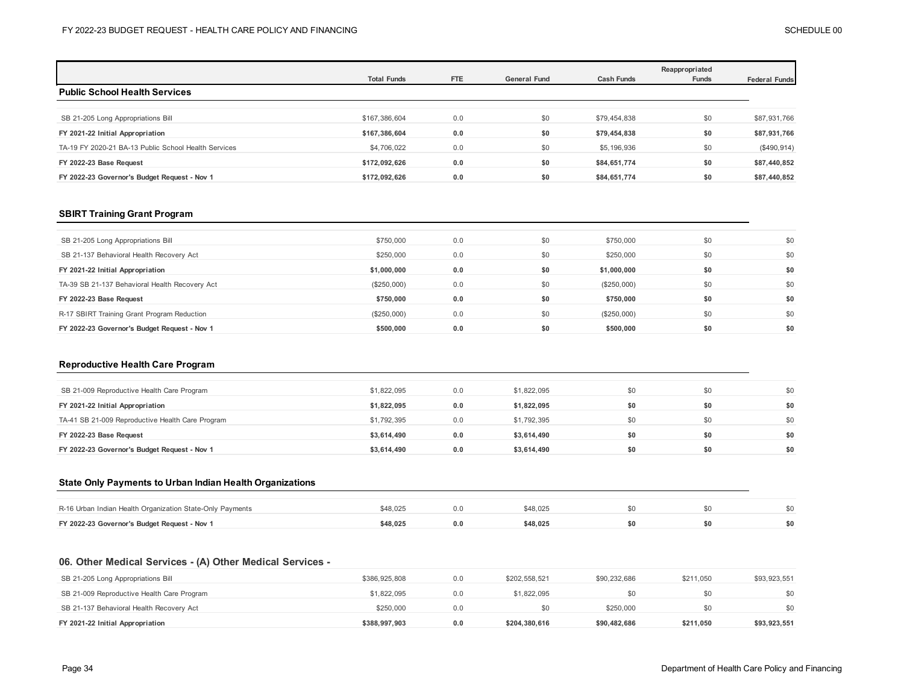|                                                      | <b>Total Funds</b> | <b>FTE</b> | <b>General Fund</b> | <b>Cash Funds</b> | Reappropriated<br>Funds | <b>Federal Funds</b> |
|------------------------------------------------------|--------------------|------------|---------------------|-------------------|-------------------------|----------------------|
| <b>Public School Health Services</b>                 |                    |            |                     |                   |                         |                      |
|                                                      |                    |            |                     |                   |                         |                      |
| SB 21-205 Long Appropriations Bill                   | \$167,386,604      | 0.0        | \$0                 | \$79,454,838      | \$0                     | \$87,931,766         |
| FY 2021-22 Initial Appropriation                     | \$167,386,604      | 0.0        | \$0                 | \$79,454,838      | \$0                     | \$87,931,766         |
| TA-19 FY 2020-21 BA-13 Public School Health Services | \$4,706,022        | 0.0        | \$0                 | \$5,196,936       | \$0                     | (\$490,914)          |
| FY 2022-23 Base Request                              | \$172,092,626      | 0.0        | \$0                 | \$84,651,774      | \$0                     | \$87,440,852         |
| FY 2022-23 Governor's Budget Request - Nov 1         | \$172.092.626      | 0.0        | \$0                 | \$84,651,774      | \$0                     | \$87,440,852         |

### **SBIRT Training Grant Program**

| SB 21-205 Long Appropriations Bill             | \$750,000   | 0.0 | \$0 | \$750,000     | \$0 | \$0 |
|------------------------------------------------|-------------|-----|-----|---------------|-----|-----|
| SB 21-137 Behavioral Health Recovery Act       | \$250,000   | 0.0 | \$0 | \$250,000     | \$0 | \$0 |
| FY 2021-22 Initial Appropriation               | \$1,000,000 | 0.0 | \$0 | \$1,000,000   | \$0 | \$0 |
| TA-39 SB 21-137 Behavioral Health Recovery Act | (\$250,000) | 0.0 | \$0 | $(\$250,000)$ | \$0 | \$0 |
| FY 2022-23 Base Request                        | \$750,000   | 0.0 | \$0 | \$750,000     | \$0 | \$0 |
| R-17 SBIRT Training Grant Program Reduction    | (\$250,000) | 0.0 | \$0 | (\$250,000)   | \$0 | \$0 |
| FY 2022-23 Governor's Budget Request - Nov 1   | \$500,000   | 0.0 | \$0 | \$500,000     | \$0 | \$0 |

### **Reproductive Health Care Program**

| SB 21-009 Reproductive Health Care Program       | \$1,822,095 | 0.0 | \$1,822,095 |     |     | \$0 |
|--------------------------------------------------|-------------|-----|-------------|-----|-----|-----|
| FY 2021-22 Initial Appropriation                 | \$1,822,095 | 0.0 | \$1,822,095 |     | \$0 | \$0 |
| TA-41 SB 21-009 Reproductive Health Care Program | \$1,792,395 | 0.0 | \$1,792,395 | \$0 |     | \$0 |
| FY 2022-23 Base Request                          | \$3.614.490 | 0.0 | \$3.614.490 | \$0 | \$0 | \$0 |
| FY 2022-23 Governor's Budget Request - Nov 1     | \$3,614,490 | 0.0 | \$3,614,490 | \$0 | \$0 | \$0 |

### **State Only Payments to Urban Indian Health Organizations**

| \$48.025<br>R-16 Urban Indian Health Organization State-Only Payments<br>\$0<br>\$48.025<br>\$0<br>FY 2022-23 Governor's Budget Request - Nov 1<br>\$48.025<br>\$48.025 |  |  |  |  |
|-------------------------------------------------------------------------------------------------------------------------------------------------------------------------|--|--|--|--|
|                                                                                                                                                                         |  |  |  |  |
|                                                                                                                                                                         |  |  |  |  |

## **06. Other Medical Services - (A) Other Medical Services -**

| SB 21-205 Long Appropriations Bill         | \$386,925,808 | 0.0 | \$202.558.521 | \$90,232,686 | \$211.050 | \$93,923,551 |
|--------------------------------------------|---------------|-----|---------------|--------------|-----------|--------------|
| SB 21-009 Reproductive Health Care Program | \$1,822,095   | 0.0 | \$1,822,095   | \$0          |           | \$0          |
| SB 21-137 Behavioral Health Recovery Act   | \$250,000     | 0.0 |               | \$250,000    |           | \$0          |
| FY 2021-22 Initial Appropriation           | \$388,997,903 | 0.0 | \$204.380.616 | \$90,482,686 | \$211,050 | \$93,923,551 |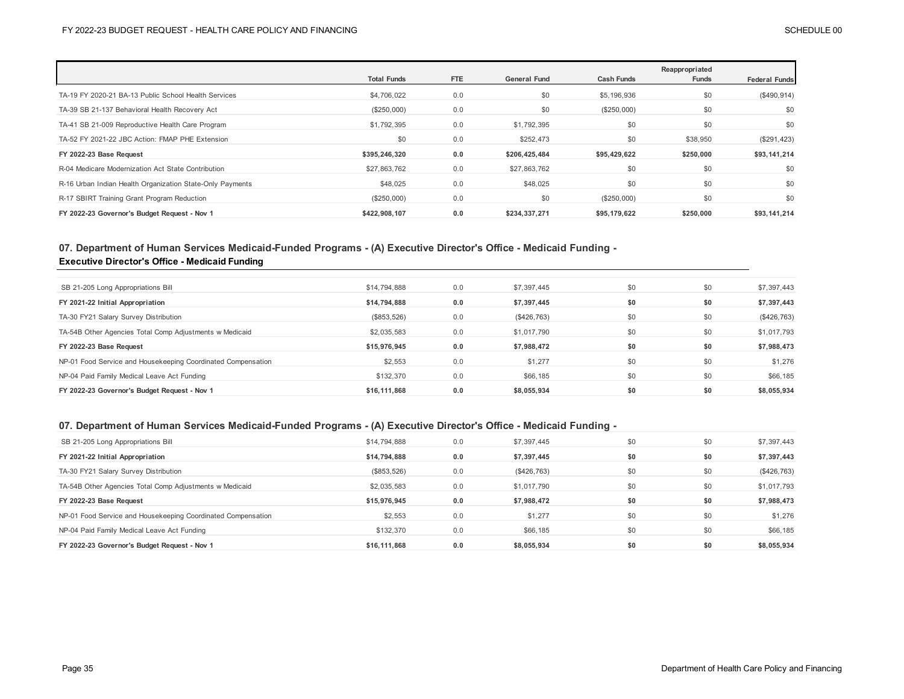|                                                           | <b>Total Funds</b> | <b>FTE</b> | <b>General Fund</b> | <b>Cash Funds</b> | Reappropriated<br>Funds | <b>Federal Funds</b> |
|-----------------------------------------------------------|--------------------|------------|---------------------|-------------------|-------------------------|----------------------|
| TA-19 FY 2020-21 BA-13 Public School Health Services      | \$4,706,022        | 0.0        | \$0                 | \$5,196,936       | \$0                     | (\$490,914)          |
| TA-39 SB 21-137 Behavioral Health Recovery Act            | $(\$250,000)$      | 0.0        | \$0                 | (\$250,000)       | \$0                     | \$0                  |
| TA-41 SB 21-009 Reproductive Health Care Program          | \$1,792,395        | 0.0        | \$1,792,395         | \$0               | \$0                     | \$0                  |
| TA-52 FY 2021-22 JBC Action: FMAP PHE Extension           | \$0                | 0.0        | \$252,473           | \$0               | \$38,950                | (\$291, 423)         |
| FY 2022-23 Base Request                                   | \$395,246,320      | 0.0        | \$206,425,484       | \$95,429,622      | \$250,000               | \$93,141,214         |
| R-04 Medicare Modernization Act State Contribution        | \$27,863,762       | 0.0        | \$27,863,762        | \$0               | \$0                     | \$0                  |
| R-16 Urban Indian Health Organization State-Only Payments | \$48,025           | 0.0        | \$48,025            | \$0               | \$0                     | \$0                  |
| R-17 SBIRT Training Grant Program Reduction               | $(\$250,000)$      | 0.0        | \$0                 | (\$250,000)       | \$0                     | \$0                  |
| FY 2022-23 Governor's Budget Request - Nov 1              | \$422,908,107      | 0.0        | \$234,337,271       | \$95,179,622      | \$250,000               | \$93,141,214         |

## **07. Department of Human Services Medicaid-Funded Programs - (A) Executive Director's Office - Medicaid Funding - Executive Director's Office - Medicaid Funding**

| SB 21-205 Long Appropriations Bill                           | \$14,794,888  | 0.0 | \$7,397,445 | \$0 | \$0 | \$7,397,443 |
|--------------------------------------------------------------|---------------|-----|-------------|-----|-----|-------------|
| FY 2021-22 Initial Appropriation                             | \$14,794,888  | 0.0 | \$7.397.445 | \$0 | \$0 | \$7,397,443 |
| TA-30 FY21 Salary Survey Distribution                        | $(\$853,526)$ | 0.0 | (\$426,763) | \$0 | \$0 | (\$426,763) |
| TA-54B Other Agencies Total Comp Adjustments w Medicaid      | \$2,035,583   | 0.0 | \$1,017,790 | \$0 | \$0 | \$1,017,793 |
| FY 2022-23 Base Request                                      | \$15,976,945  | 0.0 | \$7,988,472 | \$0 | \$0 | \$7,988,473 |
| NP-01 Food Service and Housekeeping Coordinated Compensation | \$2,553       | 0.0 | \$1,277     | \$0 | \$0 | \$1,276     |
| NP-04 Paid Family Medical Leave Act Funding                  | \$132,370     | 0.0 | \$66,185    | \$0 | \$0 | \$66,185    |
| FY 2022-23 Governor's Budget Request - Nov 1                 | \$16,111,868  | 0.0 | \$8,055,934 | \$0 | \$0 | \$8,055,934 |

## **07. Department of Human Services Medicaid-Funded Programs - (A) Executive Director's Office - Medicaid Funding -**

| SB 21-205 Long Appropriations Bill                           | \$14,794,888 | 0.0 | \$7,397,445 | \$0 | \$0 | \$7,397,443 |
|--------------------------------------------------------------|--------------|-----|-------------|-----|-----|-------------|
| FY 2021-22 Initial Appropriation                             | \$14,794,888 | 0.0 | \$7,397,445 | \$0 | \$0 | \$7,397,443 |
| TA-30 FY21 Salary Survey Distribution                        | (\$853,526)  | 0.0 | (\$426,763) | \$0 | \$0 | (\$426,763) |
| TA-54B Other Agencies Total Comp Adjustments w Medicaid      | \$2,035,583  | 0.0 | \$1,017,790 | \$0 | \$0 | \$1,017,793 |
| FY 2022-23 Base Request                                      | \$15,976,945 | 0.0 | \$7,988,472 | \$0 | \$0 | \$7,988,473 |
| NP-01 Food Service and Housekeeping Coordinated Compensation | \$2,553      | 0.0 | \$1,277     | \$0 | \$0 | \$1,276     |
| NP-04 Paid Family Medical Leave Act Funding                  | \$132,370    | 0.0 | \$66,185    | \$0 | \$0 | \$66,185    |
|                                                              |              |     |             |     |     |             |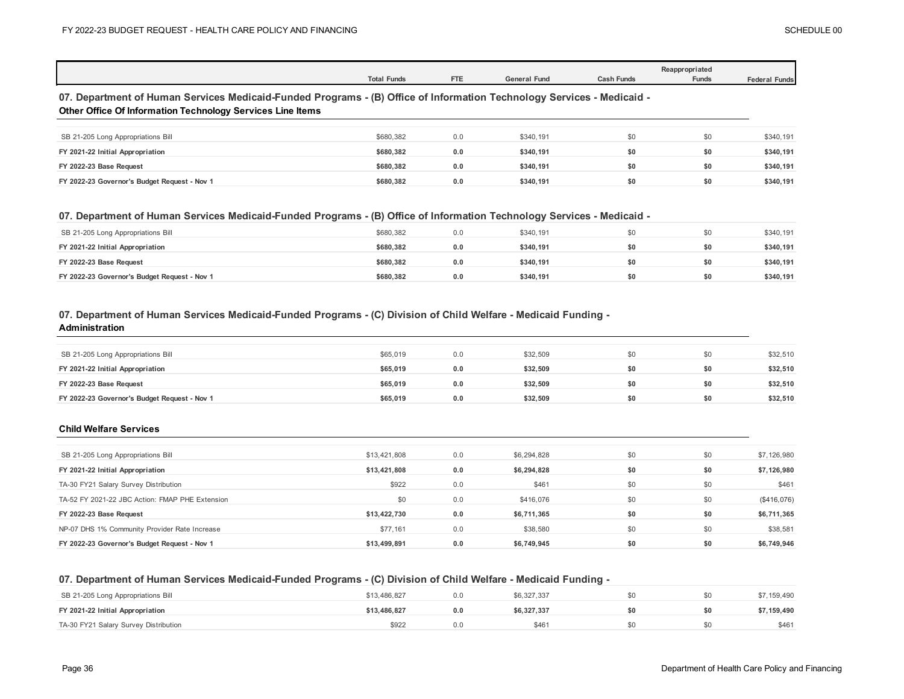|                                                                                                                                                                                             | <b>Total Funds</b> | FTE | <b>General Fund</b> | <b>Cash Funds</b> | Reappropriated<br><b>Funds</b> | <b>Federal Funds</b> |
|---------------------------------------------------------------------------------------------------------------------------------------------------------------------------------------------|--------------------|-----|---------------------|-------------------|--------------------------------|----------------------|
| 07. Department of Human Services Medicaid-Funded Programs - (B) Office of Information Technology Services - Medicaid -<br><b>Other Office Of Information Technology Services Line Items</b> |                    |     |                     |                   |                                |                      |
| SB 21-205 Long Appropriations Bill                                                                                                                                                          | \$680,382          | 0.0 | \$340.191           | \$0               | \$0                            | \$340,191            |
| FY 2021-22 Initial Appropriation                                                                                                                                                            | \$680.382          | 0.0 | \$340.191           | \$0               | \$0                            | \$340,191            |
| FY 2022-23 Base Request                                                                                                                                                                     | \$680.382          | 0.0 | \$340.191           | \$0               | \$0                            | \$340,191            |
| FY 2022-23 Governor's Budget Request - Nov 1                                                                                                                                                | \$680.382          | 0.0 | \$340,191           | \$0               | \$0                            | \$340,191            |

### **07. Department of Human Services Medicaid-Funded Programs - (B) Office of Information Technology Services - Medicaid -**

| SB 21-205 Long Appropriations Bill           | \$680.382 | 0.0 | \$340.191 | \$0 | \$340.191 |
|----------------------------------------------|-----------|-----|-----------|-----|-----------|
| FY 2021-22 Initial Appropriation             | \$680.382 | 0.0 | \$340.191 | \$0 | \$340,191 |
| FY 2022-23 Base Request                      | \$680.382 |     | \$340.191 | \$0 | \$340,191 |
| FY 2022-23 Governor's Budget Request - Nov 1 | \$680.382 | 0.0 | \$340.191 | \$0 | \$340,191 |

### **07. Department of Human Services Medicaid-Funded Programs - (C) Division of Child Welfare - Medicaid Funding -**

#### **Administration**

| SB 21-205 Long Appropriations Bill           | \$65,019 | 0.0 | \$32,509 | \$0 | \$0 | \$32,510 |
|----------------------------------------------|----------|-----|----------|-----|-----|----------|
| FY 2021-22 Initial Appropriation             | \$65,019 | 0.0 | \$32.509 | \$0 | \$0 | \$32,510 |
| FY 2022-23 Base Request                      | \$65,019 | 0.0 | \$32,509 | \$0 | \$0 | \$32,510 |
| FY 2022-23 Governor's Budget Request - Nov 1 | \$65,019 | 0.0 | \$32.509 | \$0 | \$0 | \$32,510 |

### **Child Welfare Services**

| SB 21-205 Long Appropriations Bill              | \$13,421,808 | 0.0 | \$6,294,828 | \$0 | \$0 | \$7,126,980 |
|-------------------------------------------------|--------------|-----|-------------|-----|-----|-------------|
| FY 2021-22 Initial Appropriation                | \$13,421,808 | 0.0 | \$6,294,828 | \$0 | \$0 | \$7,126,980 |
| TA-30 FY21 Salary Survey Distribution           | \$922        | 0.0 | \$461       | \$0 | \$0 | \$461       |
| TA-52 FY 2021-22 JBC Action: FMAP PHE Extension | \$0          | 0.0 | \$416,076   | \$0 | \$0 | (\$416,076) |
| FY 2022-23 Base Request                         | \$13,422,730 | 0.0 | \$6,711,365 | \$0 | \$0 | \$6,711,365 |
| NP-07 DHS 1% Community Provider Rate Increase   | \$77.161     | 0.0 | \$38,580    | \$0 | \$0 | \$38,581    |
| FY 2022-23 Governor's Budget Request - Nov 1    | \$13,499,891 | 0.0 | \$6,749,945 | \$0 | \$0 | \$6,749,946 |

## **07. Department of Human Services Medicaid-Funded Programs - (C) Division of Child Welfare - Medicaid Funding -**

| SB 21-205 Long Appropriations Bill    | \$13,486,827 | 0.0 | \$6,327,337 | \$0 | \$7,159,490 |
|---------------------------------------|--------------|-----|-------------|-----|-------------|
| FY 2021-22 Initial Appropriation      | \$13.486.827 | 0.0 | \$6.327.337 | \$0 | \$7.159.490 |
| TA-30 FY21 Salary Survey Distribution | \$922        |     | \$46'       |     | \$461       |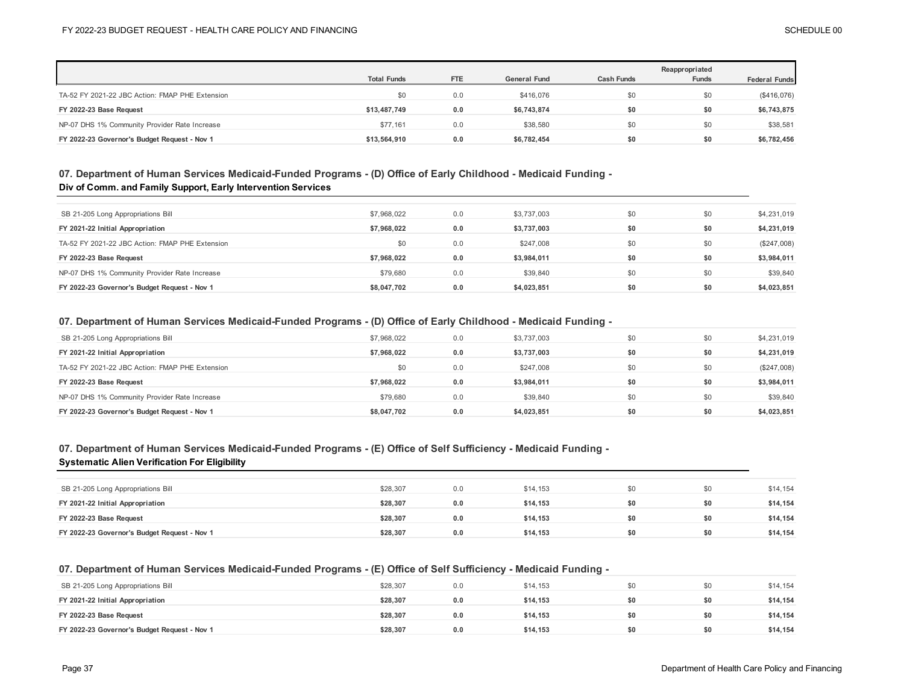|                                                 |                    |            |                     |                   | Reappropriated |                      |
|-------------------------------------------------|--------------------|------------|---------------------|-------------------|----------------|----------------------|
|                                                 | <b>Total Funds</b> | <b>FTE</b> | <b>General Fund</b> | <b>Cash Funds</b> | <b>Funds</b>   | <b>Federal Funds</b> |
| TA-52 FY 2021-22 JBC Action: FMAP PHE Extension | \$0                | 0.0        | \$416,076           | \$0               | \$0            | (\$416,076)          |
| FY 2022-23 Base Request                         | \$13,487,749       | 0.0        | \$6,743,874         | \$0               | \$0            | \$6,743,875          |
| NP-07 DHS 1% Community Provider Rate Increase   | \$77.161           | 0.0        | \$38,580            | \$0               | \$0            | \$38,581             |
| FY 2022-23 Governor's Budget Request - Nov 1    | \$13,564.910       | 0.0        | \$6,782,454         | \$0               | \$0            | \$6,782,456          |

## **07. Department of Human Services Medicaid-Funded Programs - (D) Office of Early Childhood - Medicaid Funding - Div of Comm. and Family Support, Early Intervention Services**

| SB 21-205 Long Appropriations Bill              | \$7,968,022 | 0.0 | \$3,737,003 | \$0 | \$0 | \$4,231,019 |
|-------------------------------------------------|-------------|-----|-------------|-----|-----|-------------|
| FY 2021-22 Initial Appropriation                | \$7,968,022 | 0.0 | \$3,737,003 | \$0 | \$0 | \$4,231,019 |
| TA-52 FY 2021-22 JBC Action: FMAP PHE Extension | \$0         | 0.0 | \$247,008   | \$0 | \$0 | (\$247,008) |
| FY 2022-23 Base Request                         | \$7.968.022 | 0.0 | \$3,984,011 | \$0 | \$0 | \$3,984,011 |
| NP-07 DHS 1% Community Provider Rate Increase   | \$79,680    | 0.0 | \$39,840    | \$0 | \$0 | \$39,840    |
| FY 2022-23 Governor's Budget Request - Nov 1    | \$8,047,702 | 0.0 | \$4,023,851 | \$0 | \$0 | \$4,023,851 |

### **07. Department of Human Services Medicaid-Funded Programs - (D) Office of Early Childhood - Medicaid Funding -**

| SB 21-205 Long Appropriations Bill              | \$7,968,022 | 0.0 | \$3,737,003 | \$0 | \$0 | \$4,231,019   |
|-------------------------------------------------|-------------|-----|-------------|-----|-----|---------------|
| FY 2021-22 Initial Appropriation                | \$7.968.022 | 0.0 | \$3.737.003 | \$0 | \$0 | \$4,231,019   |
| TA-52 FY 2021-22 JBC Action: FMAP PHE Extension | \$0         | 0.0 | \$247,008   | \$0 | \$0 | $(\$247,008)$ |
|                                                 |             |     |             |     |     |               |
| FY 2022-23 Base Request                         | \$7.968.022 | 0.0 | \$3.984.011 | \$0 | \$0 | \$3,984,011   |
| NP-07 DHS 1% Community Provider Rate Increase   | \$79,680    | 0.0 | \$39,840    | \$0 | \$0 | \$39,840      |

## **07. Department of Human Services Medicaid-Funded Programs - (E) Office of Self Sufficiency - Medicaid Funding -**

### **Systematic Alien Verification For Eligibility**

| SB 21-205 Long Appropriations Bill           | \$28,307 | 0.0 | \$14,153 |     | \$0 | \$14,154 |
|----------------------------------------------|----------|-----|----------|-----|-----|----------|
| FY 2021-22 Initial Appropriation             | \$28,307 | 0.0 | \$14,153 | \$0 | \$0 | \$14,154 |
| FY 2022-23 Base Request                      | \$28,307 | 0.0 | \$14.153 | \$0 | \$0 | \$14,154 |
| FY 2022-23 Governor's Budget Request - Nov 1 | \$28,307 | 0.0 | \$14.153 | \$0 | \$0 | \$14,154 |

### **07. Department of Human Services Medicaid-Funded Programs - (E) Office of Self Sufficiency - Medicaid Funding -**

| SB 21-205 Long Appropriations Bill           | \$28,307 | 0.0 | \$14,153 |     | \$14,154 |
|----------------------------------------------|----------|-----|----------|-----|----------|
| FY 2021-22 Initial Appropriation             | \$28,307 | 0.0 | \$14.153 | \$0 | \$14,154 |
| FY 2022-23 Base Request                      | \$28,307 | 0.0 | \$14.153 | \$0 | \$14,154 |
| FY 2022-23 Governor's Budget Request - Nov 1 | \$28.307 | 0.0 | \$14.153 | \$0 | \$14,154 |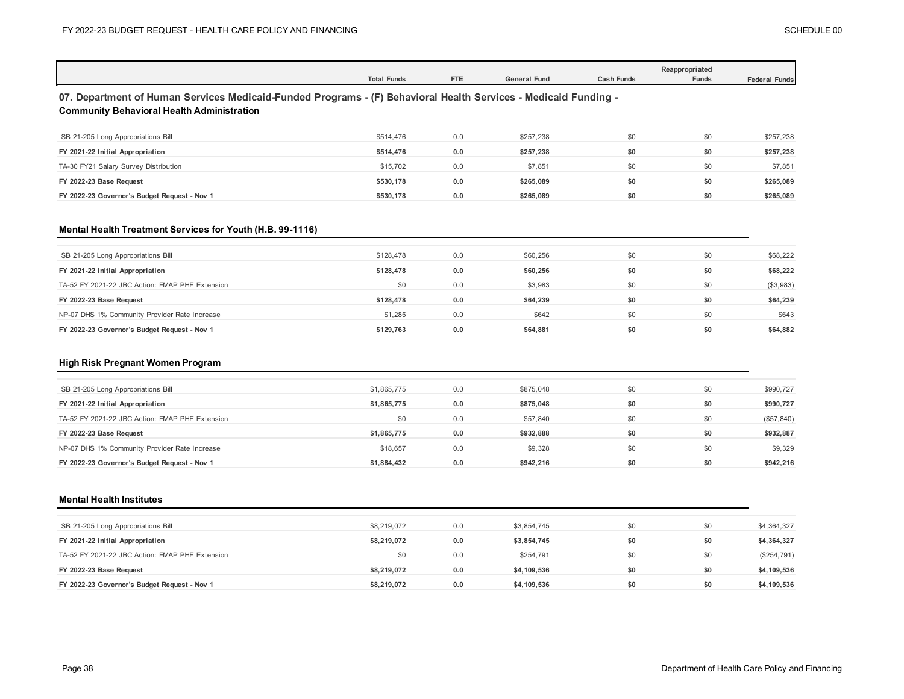|                                                                                                                                                                      | <b>Total Funds</b> | <b>FTE</b> | <b>General Fund</b> | <b>Cash Funds</b> | Reappropriated<br>Funds | <b>Federal Funds</b> |
|----------------------------------------------------------------------------------------------------------------------------------------------------------------------|--------------------|------------|---------------------|-------------------|-------------------------|----------------------|
| 07. Department of Human Services Medicaid-Funded Programs - (F) Behavioral Health Services - Medicaid Funding -<br><b>Community Behavioral Health Administration</b> |                    |            |                     |                   |                         |                      |
| SB 21-205 Long Appropriations Bill                                                                                                                                   | \$514,476          | 0.0        | \$257,238           | \$0               | \$0                     | \$257,238            |
| FY 2021-22 Initial Appropriation                                                                                                                                     | \$514,476          | 0.0        | \$257,238           | \$0               | \$0                     | \$257,238            |
| TA-30 FY21 Salary Survey Distribution                                                                                                                                | \$15,702           | 0.0        | \$7,851             | \$0               | \$0                     | \$7,851              |
| FY 2022-23 Base Request                                                                                                                                              | \$530,178          | 0.0        | \$265,089           | \$0               | \$0                     | \$265,089            |
| FY 2022-23 Governor's Budget Request - Nov 1                                                                                                                         | \$530,178          | 0.0        | \$265,089           | \$0               | \$0                     | \$265,089            |
| Mental Health Treatment Services for Youth (H.B. 99-1116)<br>SB 21-205 Long Appropriations Bill                                                                      | \$128,478          | 0.0        | \$60,256            | \$0               | \$0                     | \$68,222             |
| FY 2021-22 Initial Appropriation                                                                                                                                     | \$128,478          | 0.0        | \$60,256            | \$0               | \$0                     | \$68,222             |
| TA-52 FY 2021-22 JBC Action: FMAP PHE Extension                                                                                                                      | \$0                | 0.0        | \$3,983             | \$0               | \$0                     | (\$3,983)            |
| FY 2022-23 Base Request                                                                                                                                              | \$128,478          | 0.0        | \$64,239            | \$0               | \$0                     | \$64,239             |
| NP-07 DHS 1% Community Provider Rate Increase                                                                                                                        | \$1,285            | 0.0        | \$642               | \$0               | \$0                     | \$643                |
| FY 2022-23 Governor's Budget Request - Nov 1                                                                                                                         | \$129,763          | 0.0        | \$64,881            | \$0               | \$0                     | \$64,882             |
| High Risk Pregnant Women Program                                                                                                                                     |                    |            |                     |                   |                         |                      |
| SB 21-205 Long Appropriations Bill                                                                                                                                   | \$1,865,775        | 0.0        | \$875,048           | \$0               | \$0                     | \$990.727            |
| FY 2021-22 Initial Appropriation                                                                                                                                     | \$1,865,775        | 0.0        | \$875,048           | \$0               | \$0                     | \$990,727            |
| TA-52 FY 2021-22 JBC Action: FMAP PHE Extension                                                                                                                      | \$0                | 0.0        | \$57,840            | \$0               | \$0                     | (\$57, 840)          |
| FY 2022-23 Base Request                                                                                                                                              | \$1,865,775        | 0.0        | \$932,888           | \$0               | \$0                     | \$932,887            |
| NP-07 DHS 1% Community Provider Rate Increase                                                                                                                        | \$18,657           | 0.0        | \$9,328             | \$0               | \$0                     | \$9,329              |

#### **Mental Health Institutes**

**FY 2022-23 Governor's Budget Request - Nov 1**

| SB 21-205 Long Appropriations Bill              | \$8,219,072 | 0.0 | \$3.854.745 | \$0 | \$0 | \$4,364,327 |
|-------------------------------------------------|-------------|-----|-------------|-----|-----|-------------|
| FY 2021-22 Initial Appropriation                | \$8,219,072 | 0.0 | \$3,854,745 | \$0 | \$0 | \$4,364,327 |
| TA-52 FY 2021-22 JBC Action: FMAP PHE Extension | \$0         | 0.0 | \$254.791   | \$0 | \$0 | (\$254,791) |
| FY 2022-23 Base Request                         | \$8,219,072 | 0.0 | \$4,109,536 | \$0 | \$0 | \$4,109,536 |
| FY 2022-23 Governor's Budget Request - Nov 1    | \$8,219,072 | 0.0 | \$4,109,536 | \$0 | \$0 | \$4,109,536 |

 $$18,657$  0.0  $$9,328$  \$0 \$0 \$0 **\$1,884,432 0.0 \$942,216 \$0 \$0**

**\$942,216**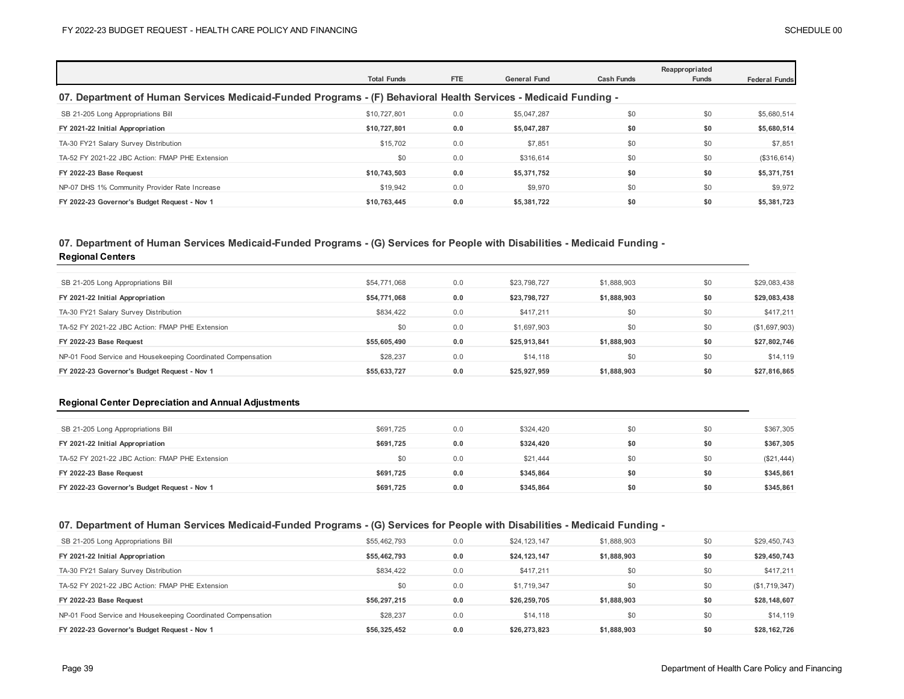|                                                                                                                 | <b>Total Funds</b> | FTE | <b>General Fund</b> | <b>Cash Funds</b> | Reappropriated<br><b>Funds</b> | <b>Federal Funds</b> |  |  |  |
|-----------------------------------------------------------------------------------------------------------------|--------------------|-----|---------------------|-------------------|--------------------------------|----------------------|--|--|--|
| 07. Department of Human Services Medicaid-Funded Programs - (F) Behavioral Health Services - Medicaid Funding - |                    |     |                     |                   |                                |                      |  |  |  |
| SB 21-205 Long Appropriations Bill                                                                              | \$10,727,801       | 0.0 | \$5,047,287         | \$0               | \$0                            | \$5,680,514          |  |  |  |
| FY 2021-22 Initial Appropriation                                                                                | \$10.727.801       | 0.0 | \$5,047,287         | \$0               | \$0                            | \$5,680,514          |  |  |  |
| TA-30 FY21 Salary Survey Distribution                                                                           | \$15,702           | 0.0 | \$7,851             | \$0               | \$0                            | \$7,851              |  |  |  |
| TA-52 FY 2021-22 JBC Action: FMAP PHE Extension                                                                 | \$0                | 0.0 | \$316,614           | \$0               | \$0                            | (\$316, 614)         |  |  |  |
| FY 2022-23 Base Request                                                                                         | \$10,743,503       | 0.0 | \$5,371,752         | \$0               | \$0                            | \$5,371,751          |  |  |  |
| NP-07 DHS 1% Community Provider Rate Increase                                                                   | \$19,942           | 0.0 | \$9,970             | \$0               | \$0                            | \$9,972              |  |  |  |
| FY 2022-23 Governor's Budget Request - Nov 1                                                                    | \$10.763.445       | 0.0 | \$5,381,722         | \$0               | \$0                            | \$5,381,723          |  |  |  |

### **07. Department of Human Services Medicaid-Funded Programs - (G) Services for People with Disabilities - Medicaid Funding -**

**Regional Centers**

| SB 21-205 Long Appropriations Bill                           | \$54,771,068 | 0.0 | \$23,798,727 | \$1,888,903 | \$0 | \$29,083,438  |
|--------------------------------------------------------------|--------------|-----|--------------|-------------|-----|---------------|
| FY 2021-22 Initial Appropriation                             | \$54.771.068 | 0.0 | \$23.798.727 | \$1,888,903 | \$0 | \$29,083,438  |
| TA-30 FY21 Salary Survey Distribution                        | \$834,422    | 0.0 | \$417,211    | \$0         | \$0 | \$417,211     |
| TA-52 FY 2021-22 JBC Action: FMAP PHE Extension              | \$0          | 0.0 | \$1,697,903  | \$0         | \$0 | (\$1,697,903) |
| FY 2022-23 Base Request                                      | \$55,605,490 | 0.0 | \$25,913,841 | \$1,888,903 | \$0 | \$27,802,746  |
| NP-01 Food Service and Housekeeping Coordinated Compensation | \$28,237     | 0.0 | \$14,118     | \$0         | \$0 | \$14,119      |
| FY 2022-23 Governor's Budget Request - Nov 1                 | \$55.633.727 | 0.0 | \$25,927,959 | \$1,888,903 | \$0 | \$27,816,865  |

#### **Regional Center Depreciation and Annual Adjustments**

| SB 21-205 Long Appropriations Bill              | \$691,725 | 0.0 | \$324,420 | \$0 | \$0 | \$367,305  |
|-------------------------------------------------|-----------|-----|-----------|-----|-----|------------|
| FY 2021-22 Initial Appropriation                | \$691.725 | 0.0 | \$324.420 | \$0 | \$0 | \$367,305  |
| TA-52 FY 2021-22 JBC Action: FMAP PHE Extension | \$0       | 0.0 | \$21,444  | \$0 | \$0 | (\$21,444) |
| FY 2022-23 Base Request                         | \$691.725 | 0.0 | \$345.864 | \$0 | \$0 | \$345,861  |
| FY 2022-23 Governor's Budget Request - Nov 1    | \$691.725 | 0.0 | \$345.864 | \$0 | \$0 | \$345,861  |

## **07. Department of Human Services Medicaid-Funded Programs - (G) Services for People with Disabilities - Medicaid Funding -**

| SB 21-205 Long Appropriations Bill                           | \$55,462,793 | 0.0 | \$24,123,147 | \$1,888,903 | \$0 | \$29,450,743  |
|--------------------------------------------------------------|--------------|-----|--------------|-------------|-----|---------------|
| FY 2021-22 Initial Appropriation                             | \$55,462,793 | 0.0 | \$24,123,147 | \$1,888,903 | \$0 | \$29,450,743  |
| TA-30 FY21 Salary Survey Distribution                        | \$834.422    | 0.0 | \$417.211    | \$0         | \$0 | \$417,211     |
| TA-52 FY 2021-22 JBC Action: FMAP PHE Extension              | \$0          | 0.0 | \$1,719,347  | \$0         | \$0 | (\$1,719,347) |
| FY 2022-23 Base Request                                      | \$56,297,215 | 0.0 | \$26,259,705 | \$1,888,903 | \$0 | \$28,148,607  |
| NP-01 Food Service and Housekeeping Coordinated Compensation | \$28,237     | 0.0 | \$14,118     | \$0         | \$0 | \$14,119      |
| FY 2022-23 Governor's Budget Request - Nov 1                 | \$56,325,452 | 0.0 | \$26,273,823 | \$1,888,903 | \$0 | \$28,162,726  |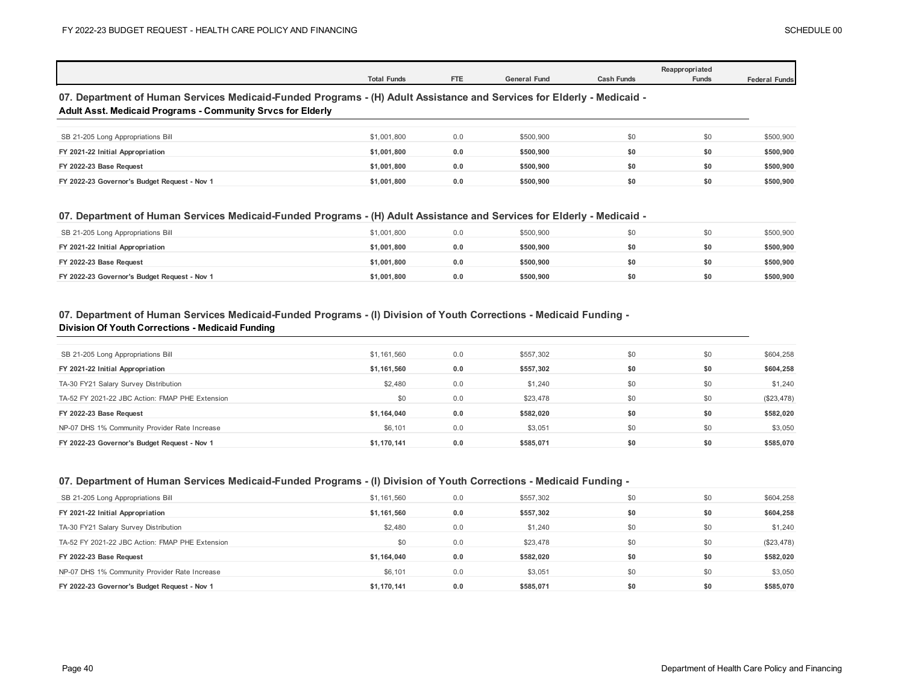|                                                                                                                                                                                              | <b>Total Funds</b> | FTE | <b>General Fund</b> | <b>Cash Funds</b> | Reappropriated<br><b>Funds</b> | <b>Federal Funds</b> |  |  |
|----------------------------------------------------------------------------------------------------------------------------------------------------------------------------------------------|--------------------|-----|---------------------|-------------------|--------------------------------|----------------------|--|--|
| 07. Department of Human Services Medicaid-Funded Programs - (H) Adult Assistance and Services for Elderly - Medicaid -<br><b>Adult Asst. Medicaid Programs - Community Srvcs for Elderly</b> |                    |     |                     |                   |                                |                      |  |  |
|                                                                                                                                                                                              |                    |     |                     |                   |                                |                      |  |  |
| SB 21-205 Long Appropriations Bill                                                                                                                                                           | \$1,001,800        | 0.0 | \$500,900           | \$0               | \$0                            | \$500,900            |  |  |
| FY 2021-22 Initial Appropriation                                                                                                                                                             | \$1.001.800        | 0.0 | \$500,900           | \$0               | \$0                            | \$500,900            |  |  |
| FY 2022-23 Base Request                                                                                                                                                                      | \$1,001.800        | 0.0 | \$500,900           | \$0               | \$0                            | \$500,900            |  |  |
| FY 2022-23 Governor's Budget Request - Nov 1                                                                                                                                                 | \$1,001.800        | 0.0 | \$500,900           | \$0               | \$0                            | \$500,900            |  |  |

### **07. Department of Human Services Medicaid-Funded Programs - (H) Adult Assistance and Services for Elderly - Medicaid -**

| SB 21-205 Long Appropriations Bill           | \$1.001.800 | 0.0 | \$500,900 |     | SO. | \$500,900 |
|----------------------------------------------|-------------|-----|-----------|-----|-----|-----------|
| FY 2021-22 Initial Appropriation             | \$1.001.800 | 0.0 | \$500.900 |     | \$0 | \$500,900 |
| FY 2022-23 Base Request                      | \$1.001.800 | 0.0 | \$500,900 | \$0 | \$0 | \$500,900 |
| FY 2022-23 Governor's Budget Request - Nov 1 | \$1.001.800 | 0.0 | \$500,900 | \$0 | \$0 | \$500,900 |

### **07. Department of Human Services Medicaid-Funded Programs - (I) Division of Youth Corrections - Medicaid Funding - Division Of Youth Corrections - Medicaid Funding**

| SB 21-205 Long Appropriations Bill              | \$1,161,560 | 0.0 | \$557,302 | \$0 | \$0 | \$604,258  |
|-------------------------------------------------|-------------|-----|-----------|-----|-----|------------|
| FY 2021-22 Initial Appropriation                | \$1,161,560 | 0.0 | \$557,302 | \$0 | \$0 | \$604,258  |
| TA-30 FY21 Salary Survey Distribution           | \$2,480     | 0.0 | \$1,240   | \$0 | \$0 | \$1,240    |
| TA-52 FY 2021-22 JBC Action: FMAP PHE Extension | \$0         | 0.0 | \$23,478  | \$0 | \$0 | (\$23,478) |
| FY 2022-23 Base Request                         | \$1,164,040 | 0.0 | \$582,020 | \$0 | \$0 | \$582,020  |
| NP-07 DHS 1% Community Provider Rate Increase   | \$6,101     | 0.0 | \$3,051   | \$0 | \$0 | \$3,050    |
| FY 2022-23 Governor's Budget Request - Nov 1    | \$1.170.141 | 0.0 | \$585.071 | \$0 | \$0 | \$585,070  |

### **07. Department of Human Services Medicaid-Funded Programs - (I) Division of Youth Corrections - Medicaid Funding -**

| SB 21-205 Long Appropriations Bill              | \$1,161,560 | 0.0 | \$557.302 | \$0 | \$0 | \$604,258  |
|-------------------------------------------------|-------------|-----|-----------|-----|-----|------------|
| FY 2021-22 Initial Appropriation                | \$1,161,560 | 0.0 | \$557,302 | \$0 | \$0 | \$604,258  |
| TA-30 FY21 Salary Survey Distribution           | \$2,480     | 0.0 | \$1,240   | \$0 | \$0 | \$1,240    |
| TA-52 FY 2021-22 JBC Action: FMAP PHE Extension | \$0         | 0.0 | \$23,478  | \$0 | \$0 | (\$23,478) |
| FY 2022-23 Base Request                         | \$1,164,040 | 0.0 | \$582.020 | \$0 | \$0 | \$582,020  |
| NP-07 DHS 1% Community Provider Rate Increase   | \$6,101     | 0.0 | \$3,051   | \$0 | \$0 | \$3,050    |
| FY 2022-23 Governor's Budget Request - Nov 1    | \$1.170.141 | 0.0 | \$585.071 | \$0 | \$0 | \$585,070  |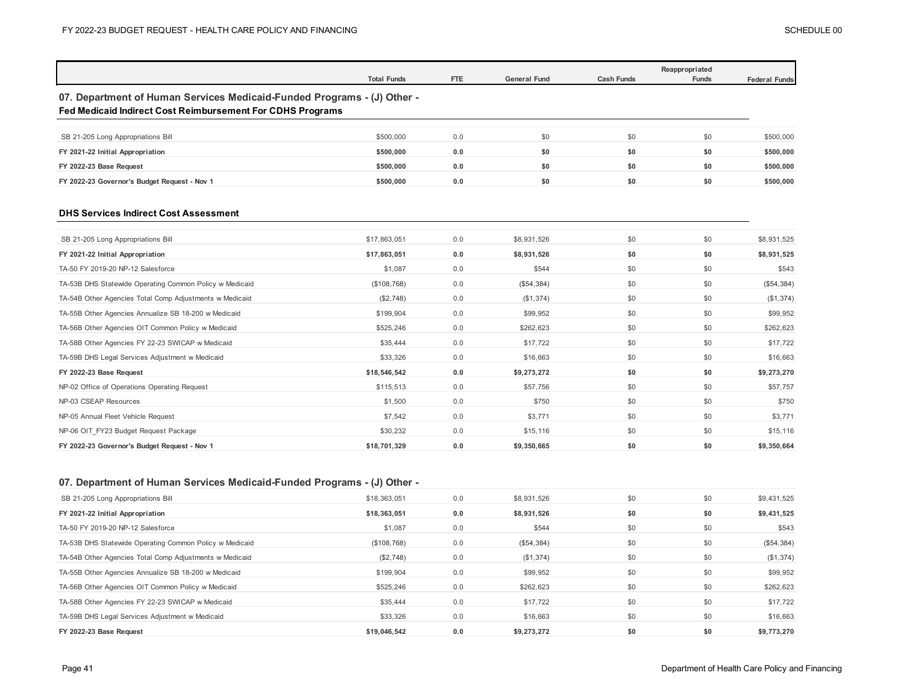|                                                                                                                                              | <b>Total Funds</b> | FTE | <b>General Fund</b> | <b>Cash Funds</b> | Reappropriated<br>Funds | <b>Federal Funds</b> |
|----------------------------------------------------------------------------------------------------------------------------------------------|--------------------|-----|---------------------|-------------------|-------------------------|----------------------|
| 07. Department of Human Services Medicaid-Funded Programs - (J) Other -<br><b>Fed Medicaid Indirect Cost Reimbursement For CDHS Programs</b> |                    |     |                     |                   |                         |                      |
| SB 21-205 Long Appropriations Bill                                                                                                           | \$500,000          | 0.0 | \$0                 | \$0               | \$0                     | \$500,000            |
| FY 2021-22 Initial Appropriation                                                                                                             | \$500,000          | 0.0 | \$0                 | \$0               | \$0                     | \$500,000            |
| FY 2022-23 Base Request                                                                                                                      | \$500,000          | 0.0 | \$0                 | \$0               | \$0                     | \$500,000            |
| FY 2022-23 Governor's Budget Request - Nov 1                                                                                                 | \$500,000          | 0.0 | \$0                 | \$0               | \$0                     | \$500,000            |
| <b>DHS Services Indirect Cost Assessment</b>                                                                                                 |                    |     |                     |                   |                         |                      |
| SB 21-205 Long Appropriations Bill                                                                                                           | \$17,863,051       | 0.0 | \$8,931,526         | \$0               | \$0                     | \$8.931.525          |
| FY 2021-22 Initial Appropriation                                                                                                             | \$17,863,051       | 0.0 | \$8,931,526         | \$0               | \$0                     | \$8,931,525          |
| TA-50 FY 2019-20 NP-12 Salesforce                                                                                                            | \$1.087            | 0.0 | \$544               | \$0               | \$0                     | \$543                |
| TA-53B DHS Statewide Operating Common Policy w Medicaid                                                                                      | (\$108,768)        | 0.0 | (\$54,384)          | \$0               | \$0                     | (\$54,384)           |
| TA-54B Other Agencies Total Comp Adjustments w Medicaid                                                                                      | (\$2,748)          | 0.0 | (\$1,374)           | \$0               | \$0                     | (\$1,374)            |
| TA-55B Other Agencies Annualize SB 18-200 w Medicaid                                                                                         | \$199,904          | 0.0 | \$99,952            | \$0               | \$0                     | \$99.952             |
| TA-56B Other Agencies OIT Common Policy w Medicaid                                                                                           | \$525,246          | 0.0 | \$262,623           | \$0               | \$0                     | \$262,623            |
| TA-58B Other Agencies FY 22-23 SWICAP w Medicaid                                                                                             | \$35.444           | 0.0 | \$17,722            | \$0               | \$0                     | \$17,722             |
| TA-59B DHS Legal Services Adjustment w Medicaid                                                                                              | \$33,326           | 0.0 | \$16,663            | \$0               | \$0                     | \$16,663             |
| FY 2022-23 Base Request                                                                                                                      | \$18,546,542       | 0.0 | \$9,273,272         | \$0               | \$0                     | \$9,273,270          |
| NP-02 Office of Operations Operating Request                                                                                                 | \$115,513          | 0.0 | \$57,756            | \$0               | \$0                     | \$57,757             |
| NP-03 CSEAP Resources                                                                                                                        | \$1,500            | 0.0 | \$750               | \$0               | \$0                     | \$750                |
| NP-05 Annual Fleet Vehicle Request                                                                                                           | \$7,542            | 0.0 | \$3,771             | \$0               | \$0                     | \$3,771              |
| NP-06 OIT FY23 Budget Request Package                                                                                                        | \$30,232           | 0.0 | \$15,116            | \$0               | \$0                     | \$15,116             |
| FY 2022-23 Governor's Budget Request - Nov 1                                                                                                 | \$18,701,329       | 0.0 | \$9,350,665         | \$0               | \$0                     | \$9,350,664          |

## **07. Department of Human Services Medicaid-Funded Programs - (J) Other -**

| SB 21-205 Long Appropriations Bill                      | \$18,363,051 | 0.0 | \$8,931,526 | \$0 | \$0 | \$9,431,525 |
|---------------------------------------------------------|--------------|-----|-------------|-----|-----|-------------|
| FY 2021-22 Initial Appropriation                        | \$18,363,051 | 0.0 | \$8,931,526 | \$0 | \$0 | \$9,431,525 |
| TA-50 FY 2019-20 NP-12 Salesforce                       | \$1,087      | 0.0 | \$544       | \$0 | \$0 | \$543       |
| TA-53B DHS Statewide Operating Common Policy w Medicaid | (\$108,768)  | 0.0 | (\$54,384)  | \$0 | \$0 | (\$54,384)  |
| TA-54B Other Agencies Total Comp Adjustments w Medicaid | (\$2,748)    | 0.0 | (\$1,374)   | \$0 | \$0 | (\$1,374)   |
| TA-55B Other Agencies Annualize SB 18-200 w Medicaid    | \$199.904    | 0.0 | \$99,952    | \$0 | \$0 | \$99,952    |
| TA-56B Other Agencies OIT Common Policy w Medicaid      | \$525.246    | 0.0 | \$262,623   | \$0 | \$0 | \$262,623   |
| TA-58B Other Agencies FY 22-23 SWICAP w Medicaid        | \$35,444     | 0.0 | \$17,722    | \$0 | \$0 | \$17,722    |
| TA-59B DHS Legal Services Adjustment w Medicaid         | \$33,326     | 0.0 | \$16,663    | \$0 | \$0 | \$16,663    |
| FY 2022-23 Base Request                                 | \$19.046.542 | 0.0 | \$9.273.272 | \$0 | \$0 | \$9,773,270 |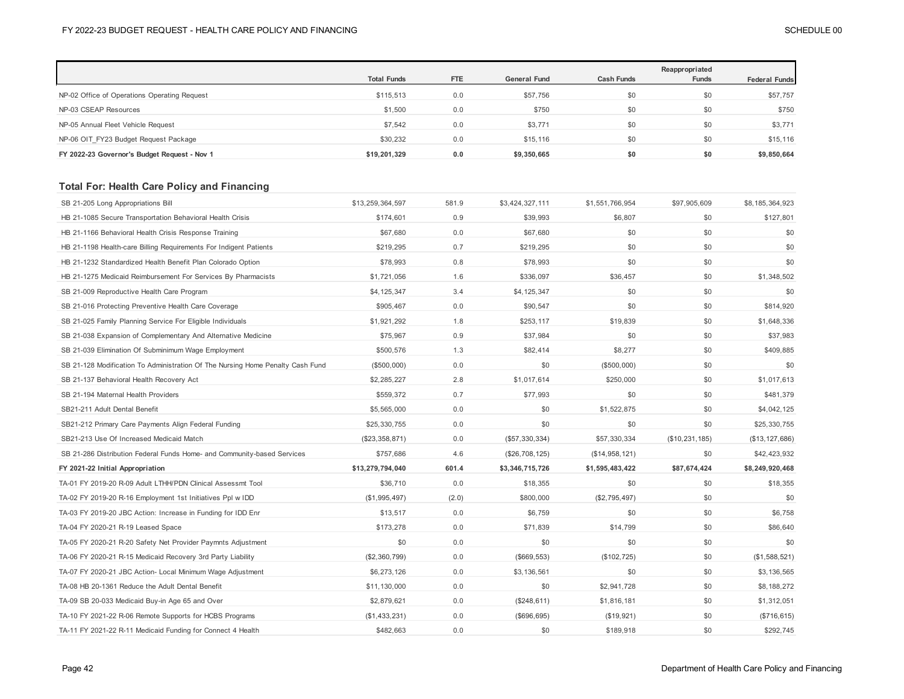|                                              | <b>Total Funds</b> | <b>FTE</b> | <b>General Fund</b> | <b>Cash Funds</b> | Reappropriated<br><b>Funds</b> | <b>Federal Funds</b> |
|----------------------------------------------|--------------------|------------|---------------------|-------------------|--------------------------------|----------------------|
| NP-02 Office of Operations Operating Request | \$115,513          | 0.0        | \$57,756            | \$0               | \$0                            | \$57,757             |
| NP-03 CSEAP Resources                        | \$1,500            | 0.0        | \$750               | \$0               | \$0                            | \$750                |
| NP-05 Annual Fleet Vehicle Request           | \$7,542            | 0.0        | \$3,771             | \$0               | \$0                            | \$3,771              |
| NP-06 OIT FY23 Budget Request Package        | \$30.232           | 0.0        | \$15,116            | \$0               | \$0                            | \$15,116             |
| FY 2022-23 Governor's Budget Request - Nov 1 | \$19,201,329       | 0.0        | \$9,350,665         | \$0               | \$0                            | \$9,850,664          |

## **Total For: Health Care Policy and Financing**

| SB 21-205 Long Appropriations Bill                                             | \$13,259,364,597 | 581.9 | \$3,424,327,111 | \$1,551,766,954 | \$97,905,609   | \$8,185,364,923  |
|--------------------------------------------------------------------------------|------------------|-------|-----------------|-----------------|----------------|------------------|
| HB 21-1085 Secure Transportation Behavioral Health Crisis                      | \$174,601        | 0.9   | \$39,993        | \$6,807         | \$0            | \$127,801        |
| HB 21-1166 Behavioral Health Crisis Response Training                          | \$67,680         | 0.0   | \$67,680        | \$0             | \$0            | \$0              |
| HB 21-1198 Health-care Billing Requirements For Indigent Patients              | \$219,295        | 0.7   | \$219,295       | \$0             | \$0            | \$0              |
| HB 21-1232 Standardized Health Benefit Plan Colorado Option                    | \$78,993         | 0.8   | \$78,993        | \$0             | \$0            | \$0              |
| HB 21-1275 Medicaid Reimbursement For Services By Pharmacists                  | \$1,721,056      | 1.6   | \$336,097       | \$36,457        | \$0            | \$1,348,502      |
| SB 21-009 Reproductive Health Care Program                                     | \$4,125,347      | 3.4   | \$4,125,347     | \$0             | \$0            | \$0              |
| SB 21-016 Protecting Preventive Health Care Coverage                           | \$905,467        | 0.0   | \$90,547        | \$0             | \$0            | \$814,920        |
| SB 21-025 Family Planning Service For Eligible Individuals                     | \$1,921,292      | 1.8   | \$253,117       | \$19,839        | \$0            | \$1,648,336      |
| SB 21-038 Expansion of Complementary And Alternative Medicine                  | \$75,967         | 0.9   | \$37,984        | \$0             | \$0            | \$37,983         |
| SB 21-039 Elimination Of Subminimum Wage Employment                            | \$500,576        | 1.3   | \$82,414        | \$8,277         | \$0            | \$409,885        |
| SB 21-128 Modification To Administration Of The Nursing Home Penalty Cash Fund | (\$500,000)      | 0.0   | \$0             | (\$500,000)     | \$0            | \$0              |
| SB 21-137 Behavioral Health Recovery Act                                       | \$2,285,227      | 2.8   | \$1,017,614     | \$250,000       | \$0            | \$1,017,613      |
| SB 21-194 Maternal Health Providers                                            | \$559,372        | 0.7   | \$77,993        | \$0             | \$0            | \$481,379        |
| SB21-211 Adult Dental Benefit                                                  | \$5,565,000      | 0.0   | \$0             | \$1,522,875     | \$0            | \$4,042,125      |
| SB21-212 Primary Care Payments Align Federal Funding                           | \$25,330,755     | 0.0   | \$0             | \$0             | \$0            | \$25,330,755     |
| SB21-213 Use Of Increased Medicaid Match                                       | (\$23,358,871)   | 0.0   | (\$57,330,334)  | \$57,330,334    | (\$10,231,185) | (\$13, 127, 686) |
| SB 21-286 Distribution Federal Funds Home- and Community-based Services        | \$757,686        | 4.6   | (\$26,708,125)  | (\$14,958,121)  | \$0            | \$42,423,932     |
| FY 2021-22 Initial Appropriation                                               | \$13,279,794,040 | 601.4 | \$3,346,715,726 | \$1,595,483,422 | \$87,674,424   | \$8,249,920,468  |
| TA-01 FY 2019-20 R-09 Adult LTHH/PDN Clinical Assessmt Tool                    | \$36,710         | 0.0   | \$18,355        | \$0             | \$0            | \$18,355         |
| TA-02 FY 2019-20 R-16 Employment 1st Initiatives Ppl w IDD                     | (\$1,995,497)    | (2.0) | \$800,000       | (\$2,795,497)   | \$0            | \$0              |
| TA-03 FY 2019-20 JBC Action: Increase in Funding for IDD Enr                   | \$13,517         | 0.0   | \$6,759         | \$0             | \$0            | \$6,758          |
| TA-04 FY 2020-21 R-19 Leased Space                                             | \$173,278        | 0.0   | \$71,839        | \$14,799        | \$0            | \$86,640         |
| TA-05 FY 2020-21 R-20 Safety Net Provider Paymnts Adjustment                   | \$0              | 0.0   | \$0             | \$0             | \$0            | \$0              |
| TA-06 FY 2020-21 R-15 Medicaid Recovery 3rd Party Liability                    | (\$2,360,799)    | 0.0   | (\$669, 553)    | (\$102, 725)    | \$0            | (\$1,588,521)    |
| TA-07 FY 2020-21 JBC Action- Local Minimum Wage Adjustment                     | \$6,273,126      | 0.0   | \$3,136,561     | \$0             | \$0            | \$3,136,565      |
| TA-08 HB 20-1361 Reduce the Adult Dental Benefit                               | \$11,130,000     | 0.0   | \$0             | \$2,941,728     | \$0            | \$8,188,272      |
| TA-09 SB 20-033 Medicaid Buy-in Age 65 and Over                                | \$2,879,621      | 0.0   | (\$248,611)     | \$1,816,181     | \$0            | \$1,312,051      |
| TA-10 FY 2021-22 R-06 Remote Supports for HCBS Programs                        | (\$1,433,231)    | 0.0   | (\$696,695)     | (\$19,921)      | \$0            | (\$716, 615)     |
| TA-11 FY 2021-22 R-11 Medicaid Funding for Connect 4 Health                    | \$482,663        | 0.0   | \$0             | \$189,918       | \$0            | \$292,745        |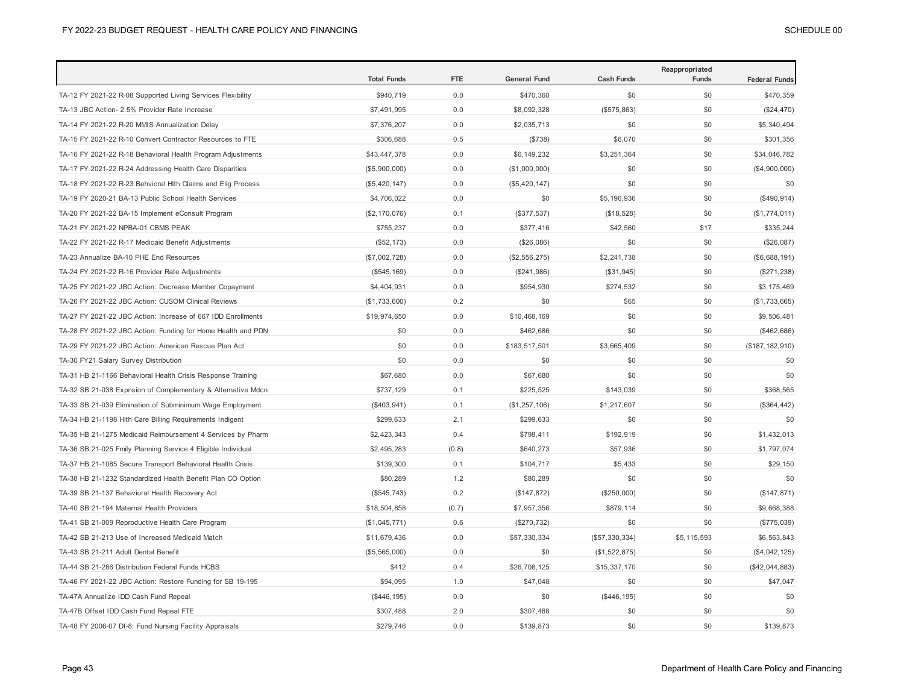|                                                              | <b>Total Funds</b> | FTE   | <b>General Fund</b> | <b>Cash Funds</b> | Reappropriated<br><b>Funds</b> |                      |
|--------------------------------------------------------------|--------------------|-------|---------------------|-------------------|--------------------------------|----------------------|
|                                                              |                    |       |                     |                   |                                | <b>Federal Funds</b> |
| TA-12 FY 2021-22 R-08 Supported Living Services Flexibility  | \$940,719          | 0.0   | \$470,360           | \$0               | \$0                            | \$470,359            |
| TA-13 JBC Action- 2.5% Provider Rate Increase                | \$7,491,995        | 0.0   | \$8,092,328         | (\$575,863)       | \$0                            | (\$24,470)           |
| TA-14 FY 2021-22 R-20 MMIS Annualization Delay               | \$7,376,207        | 0.0   | \$2,035,713         | \$0               | \$0                            | \$5,340,494          |
| TA-15 FY 2021-22 R-10 Convert Contractor Resources to FTE    | \$306,688          | 0.5   | (\$738)             | \$6,070           | \$0                            | \$301,356            |
| TA-16 FY 2021-22 R-18 Behavioral Health Program Adjustments  | \$43,447,378       | 0.0   | \$6,149,232         | \$3,251,364       | \$0                            | \$34,046,782         |
| TA-17 FY 2021-22 R-24 Addressing Health Care Disparities     | (\$5,900,000)      | 0.0   | (\$1,000,000)       | \$0               | \$0                            | (\$4,900,000)        |
| TA-18 FY 2021-22 R-23 Behvioral Hlth Claims and Elig Process | (\$5,420,147)      | 0.0   | (\$5,420,147)       | \$0               | \$0                            | \$0                  |
| TA-19 FY 2020-21 BA-13 Public School Health Services         | \$4,706,022        | 0.0   | \$0                 | \$5,196,936       | \$0                            | (\$490, 914)         |
| TA-20 FY 2021-22 BA-15 Implement eConsult Program            | (\$2, 170, 076)    | 0.1   | (\$377,537)         | (\$18,528)        | \$0                            | (\$1,774,011)        |
| TA-21 FY 2021-22 NPBA-01 CBMS PEAK                           | \$755,237          | 0.0   | \$377,416           | \$42,560          | \$17                           | \$335,244            |
| TA-22 FY 2021-22 R-17 Medicaid Benefit Adjustments           | (\$52, 173)        | 0.0   | (\$26,086)          | \$0               | \$0                            | (\$26,087)           |
| TA-23 Annualize BA-10 PHE End Resources                      | (\$7,002,728)      | 0.0   | (\$2,556,275)       | \$2,241,738       | \$0                            | (\$6,688,191)        |
| TA-24 FY 2021-22 R-16 Provider Rate Adjustments              | (\$545, 169)       | 0.0   | (\$241,986)         | (\$31,945)        | \$0                            | (\$271, 238)         |
| TA-25 FY 2021-22 JBC Action: Decrease Member Copayment       | \$4,404,931        | 0.0   | \$954,930           | \$274,532         | \$0                            | \$3,175,469          |
| TA-26 FY 2021-22 JBC Action: CUSOM Clinical Reviews          | (\$1,733,600)      | 0.2   | \$0                 | \$65              | \$0                            | (\$1,733,665)        |
| TA-27 FY 2021-22 JBC Action: Increase of 667 IDD Enrollments | \$19,974,650       | 0.0   | \$10,468,169        | \$0               | \$0                            | \$9,506,481          |
| TA-28 FY 2021-22 JBC Action: Funding for Home Health and PDN | \$0                | 0.0   | \$462,686           | \$0               | \$0                            | (\$462,686)          |
| TA-29 FY 2021-22 JBC Action: American Rescue Plan Act        | \$0                | 0.0   | \$183,517,501       | \$3,665,409       | \$0                            | (\$187, 182, 910)    |
| TA-30 FY21 Salary Survey Distribution                        | \$0                | 0.0   | \$0                 | \$0               | \$0                            | \$0                  |
| TA-31 HB 21-1166 Behavioral Health Crisis Response Training  | \$67,680           | 0.0   | \$67,680            | \$0               | \$0                            | \$0                  |
| TA-32 SB 21-038 Expnsion of Complementary & Alternative Mdcn | \$737,129          | 0.1   | \$225,525           | \$143,039         | \$0                            | \$368,565            |
| TA-33 SB 21-039 Elimination of Subminimum Wage Employment    | (\$403, 941)       | 0.1   | (\$1,257,106)       | \$1,217,607       | \$0                            | (\$364, 442)         |
| TA-34 HB 21-1198 Hlth Care Billing Requirements Indigent     | \$299,633          | 2.1   | \$299,633           | \$0               | \$0                            | \$0                  |
| TA-35 HB 21-1275 Medicaid Reimbursement 4 Services by Pharm  | \$2,423,343        | 0.4   | \$798,411           | \$192,919         | \$0                            | \$1,432,013          |
| TA-36 SB 21-025 Fmily Planning Service 4 Eligible Individual | \$2,495,283        | (0.8) | \$640,273           | \$57,936          | \$0                            | \$1,797,074          |
| TA-37 HB 21-1085 Secure Transport Behavioral Health Crisis   | \$139,300          | 0.1   | \$104,717           | \$5,433           | \$0                            | \$29,150             |
| TA-38 HB 21-1232 Standardized Health Benefit Plan CO Option  | \$80,289           | 1.2   | \$80,289            | \$0               | \$0                            | \$0                  |
| TA-39 SB 21-137 Behavioral Health Recovery Act               | (\$545,743)        | 0.2   | (\$147,872)         | (\$250,000)       | \$0                            | (\$147, 871)         |
| TA-40 SB 21-194 Maternal Health Providers                    | \$18,504,858       | (0.7) | \$7,957,356         | \$879,114         | \$0                            | \$9,668,388          |
| TA-41 SB 21-009 Reproductive Health Care Program             | (\$1,045,771)      | 0.6   | (\$270,732)         | \$0               | \$0                            | (\$775,039)          |
| TA-42 SB 21-213 Use of Increased Medicaid Match              | \$11,679,436       | 0.0   | \$57,330,334        | $(\$57,330,334)$  | \$5,115,593                    | \$6,563,843          |
| TA-43 SB 21-211 Adult Dental Benefit                         | (\$5,565,000)      | 0.0   | \$0                 | (\$1,522,875)     | \$0                            | (\$4,042,125)        |
| TA-44 SB 21-286 Distribution Federal Funds HCBS              | \$412              | 0.4   | \$26,708,125        | \$15,337,170      | \$0                            | (\$42,044,883)       |
| TA-46 FY 2021-22 JBC Action: Restore Funding for SB 19-195   | \$94,095           | 1.0   | \$47,048            | \$0               | \$0                            | \$47,047             |
| TA-47A Annualize IDD Cash Fund Repeal                        | (\$446, 195)       | 0.0   | \$0                 | (\$446, 195)      | \$0                            | \$0                  |
| TA-47B Offset IDD Cash Fund Repeal FTE                       | \$307,488          | 2.0   | \$307,488           | \$0               | \$0                            | \$0                  |
| TA-48 FY 2006-07 DI-8: Fund Nursing Facility Appraisals      | \$279,746          | 0.0   | \$139.873           | \$0               | \$0                            | \$139.873            |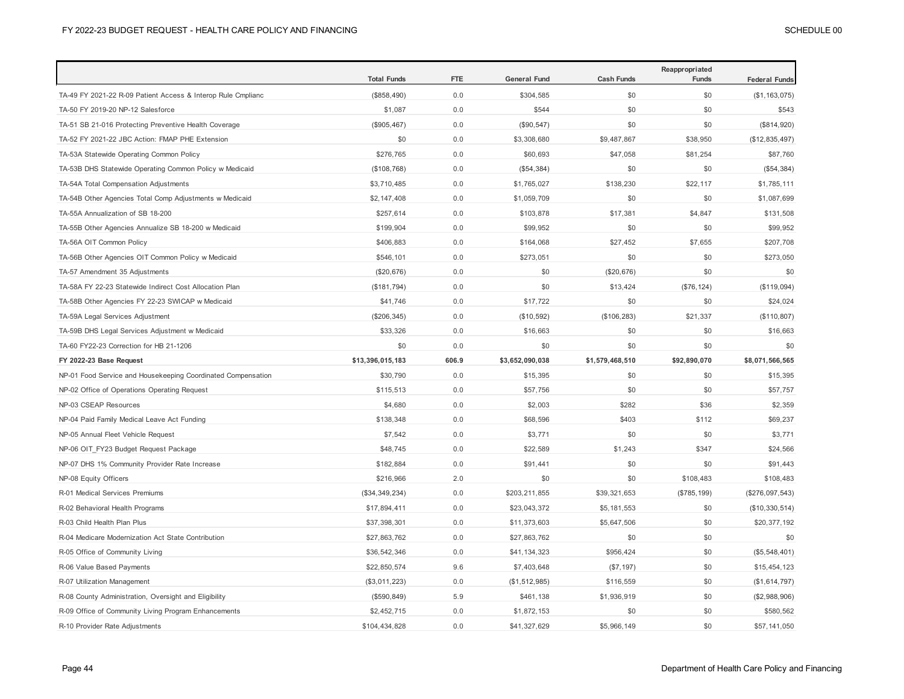|                                                              | <b>Total Funds</b> | <b>FTE</b> | <b>General Fund</b> | <b>Cash Funds</b> | Reappropriated<br>Funds | <b>Federal Funds</b> |
|--------------------------------------------------------------|--------------------|------------|---------------------|-------------------|-------------------------|----------------------|
| TA-49 FY 2021-22 R-09 Patient Access & Interop Rule Cmplianc | (\$858,490)        | 0.0        | \$304,585           | \$0               | \$0                     | (\$1, 163, 075)      |
| TA-50 FY 2019-20 NP-12 Salesforce                            | \$1,087            | 0.0        | \$544               | \$0               | \$0                     | \$543                |
| TA-51 SB 21-016 Protecting Preventive Health Coverage        | (\$905,467)        | 0.0        | (\$90, 547)         | \$0               | \$0                     | (\$814,920)          |
| TA-52 FY 2021-22 JBC Action: FMAP PHE Extension              | \$0                | 0.0        | \$3,308,680         | \$9,487,867       | \$38,950                | (\$12,835,497)       |
| TA-53A Statewide Operating Common Policy                     | \$276,765          | 0.0        | \$60,693            | \$47,058          | \$81,254                | \$87,760             |
| TA-53B DHS Statewide Operating Common Policy w Medicaid      | (\$108,768)        | 0.0        | (\$54,384)          | \$0               | \$0                     | (\$54,384)           |
| TA-54A Total Compensation Adjustments                        | \$3,710,485        | 0.0        | \$1,765,027         | \$138,230         | \$22,117                | \$1,785,111          |
| TA-54B Other Agencies Total Comp Adjustments w Medicaid      | \$2,147,408        | 0.0        | \$1,059,709         | \$0               | \$0                     | \$1,087,699          |
| TA-55A Annualization of SB 18-200                            | \$257,614          | 0.0        | \$103,878           | \$17,381          | \$4,847                 | \$131,508            |
| TA-55B Other Agencies Annualize SB 18-200 w Medicaid         | \$199,904          | 0.0        | \$99,952            | \$0               | \$0                     | \$99,952             |
| TA-56A OIT Common Policy                                     | \$406,883          | 0.0        | \$164,068           | \$27,452          | \$7,655                 | \$207,708            |
| TA-56B Other Agencies OIT Common Policy w Medicaid           | \$546,101          | 0.0        | \$273,051           | \$0               | \$0                     | \$273,050            |
| TA-57 Amendment 35 Adjustments                               | (\$20,676)         | 0.0        | \$0                 | (\$20,676)        | \$0                     | \$0                  |
| TA-58A FY 22-23 Statewide Indirect Cost Allocation Plan      | (\$181,794)        | 0.0        | \$0                 | \$13,424          | (\$76, 124)             | (\$119,094)          |
| TA-58B Other Agencies FY 22-23 SWICAP w Medicaid             | \$41,746           | 0.0        | \$17,722            | \$0               | \$0                     | \$24,024             |
| TA-59A Legal Services Adjustment                             | (\$206, 345)       | 0.0        | (\$10,592)          | (\$106, 283)      | \$21,337                | (\$110, 807)         |
| TA-59B DHS Legal Services Adjustment w Medicaid              | \$33,326           | 0.0        | \$16,663            | \$0               | \$0                     | \$16,663             |
| TA-60 FY22-23 Correction for HB 21-1206                      | \$0                | 0.0        | \$0                 | \$0               | \$0                     | \$0                  |
| FY 2022-23 Base Request                                      | \$13,396,015,183   | 606.9      | \$3,652,090,038     | \$1,579,468,510   | \$92,890,070            | \$8,071,566,565      |
| NP-01 Food Service and Housekeeping Coordinated Compensation | \$30,790           | 0.0        | \$15,395            | \$0               | \$0                     | \$15,395             |
| NP-02 Office of Operations Operating Request                 | \$115,513          | 0.0        | \$57,756            | \$0               | \$0                     | \$57,757             |
| NP-03 CSEAP Resources                                        | \$4,680            | 0.0        | \$2,003             | \$282             | \$36                    | \$2,359              |
| NP-04 Paid Family Medical Leave Act Funding                  | \$138,348          | 0.0        | \$68,596            | \$403             | \$112                   | \$69,237             |
| NP-05 Annual Fleet Vehicle Request                           | \$7,542            | 0.0        | \$3,771             | \$0               | \$0                     | \$3,771              |
| NP-06 OIT_FY23 Budget Request Package                        | \$48,745           | 0.0        | \$22,589            | \$1,243           | \$347                   | \$24,566             |
| NP-07 DHS 1% Community Provider Rate Increase                | \$182,884          | 0.0        | \$91,441            | \$0               | \$0                     | \$91,443             |
| NP-08 Equity Officers                                        | \$216,966          | 2.0        | \$0                 | \$0               | \$108,483               | \$108,483            |
| R-01 Medical Services Premiums                               | (\$34,349,234)     | 0.0        | \$203,211,855       | \$39,321,653      | (\$785, 199)            | $(\$276,097,543)$    |
| R-02 Behavioral Health Programs                              | \$17,894,411       | 0.0        | \$23,043,372        | \$5,181,553       | \$0                     | (\$10,330,514)       |
| R-03 Child Health Plan Plus                                  | \$37,398,301       | 0.0        | \$11,373,603        | \$5,647,506       | \$0                     | \$20,377,192         |
| R-04 Medicare Modernization Act State Contribution           | \$27,863,762       | 0.0        | \$27,863,762        | \$0               | \$0                     | \$0                  |
| R-05 Office of Community Living                              | \$36,542,346       | 0.0        | \$41,134,323        | \$956,424         | \$0                     | (\$5,548,401)        |
| R-06 Value Based Payments                                    | \$22,850,574       | 9.6        | \$7,403,648         | (\$7, 197)        | \$0                     | \$15,454,123         |
| R-07 Utilization Management                                  | (\$3,011,223)      | 0.0        | (\$1,512,985)       | \$116,559         | \$0                     | (\$1,614,797)        |
| R-08 County Administration, Oversight and Eligibility        | (\$590, 849)       | 5.9        | \$461,138           | \$1,936,919       | \$0                     | (\$2,988,906)        |
| R-09 Office of Community Living Program Enhancements         | \$2,452,715        | 0.0        | \$1,872,153         | \$0               | \$0                     | \$580,562            |
| R-10 Provider Rate Adjustments                               | \$104,434,828      | 0.0        | \$41,327,629        | \$5,966,149       | \$0                     | \$57,141,050         |